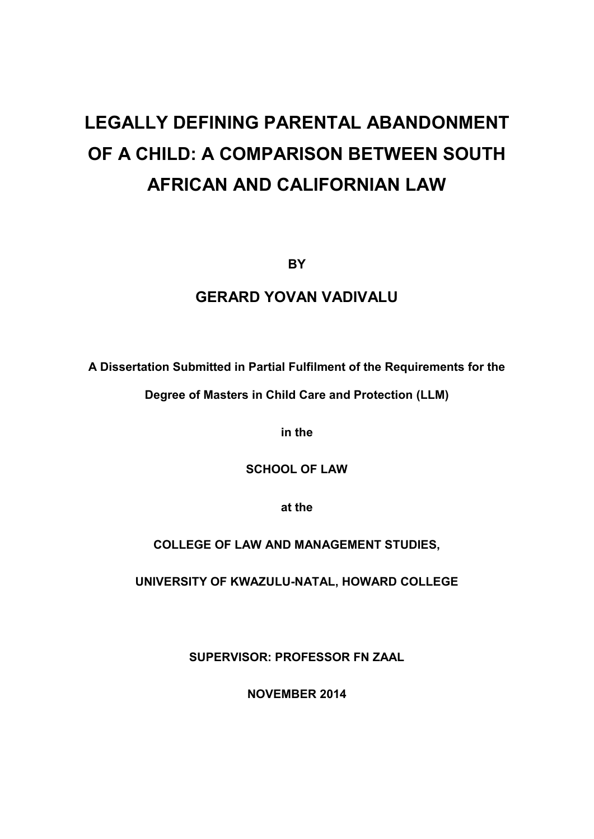# **LEGALLY DEFINING PARENTAL ABANDONMENT OF A CHILD: A COMPARISON BETWEEN SOUTH AFRICAN AND CALIFORNIAN LAW**

**BY**

# **GERARD YOVAN VADIVALU**

**A Dissertation Submitted in Partial Fulfilment of the Requirements for the** 

**Degree of Masters in Child Care and Protection (LLM)** 

**in the** 

**SCHOOL OF LAW** 

**at the** 

**COLLEGE OF LAW AND MANAGEMENT STUDIES,** 

**UNIVERSITY OF KWAZULU-NATAL, HOWARD COLLEGE** 

**SUPERVISOR: PROFESSOR FN ZAAL** 

**NOVEMBER 2014**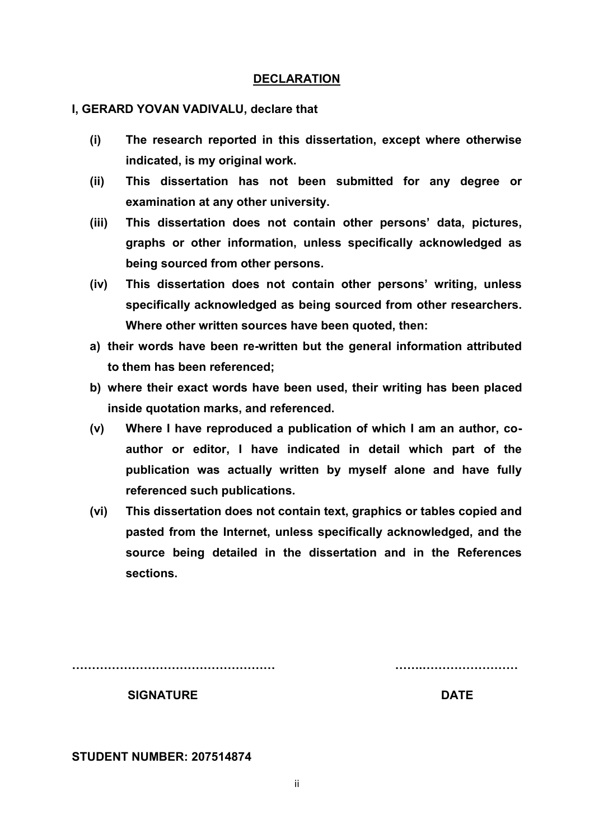## **DECLARATION**

## **I, GERARD YOVAN VADIVALU, declare that**

- **(i) The research reported in this dissertation, except where otherwise indicated, is my original work.**
- **(ii) This dissertation has not been submitted for any degree or examination at any other university.**
- **(iii) This dissertation does not contain other persons' data, pictures, graphs or other information, unless specifically acknowledged as being sourced from other persons.**
- **(iv) This dissertation does not contain other persons' writing, unless specifically acknowledged as being sourced from other researchers. Where other written sources have been quoted, then:**
- **a) their words have been re-written but the general information attributed to them has been referenced;**
- **b) where their exact words have been used, their writing has been placed inside quotation marks, and referenced.**
- **(v) Where I have reproduced a publication of which I am an author, coauthor or editor, I have indicated in detail which part of the publication was actually written by myself alone and have fully referenced such publications.**
- **(vi) This dissertation does not contain text, graphics or tables copied and pasted from the Internet, unless specifically acknowledged, and the source being detailed in the dissertation and in the References sections.**

**…………………………………………… …….……………………** 

**SIGNATURE DATE** 

**STUDENT NUMBER: 207514874** 

ii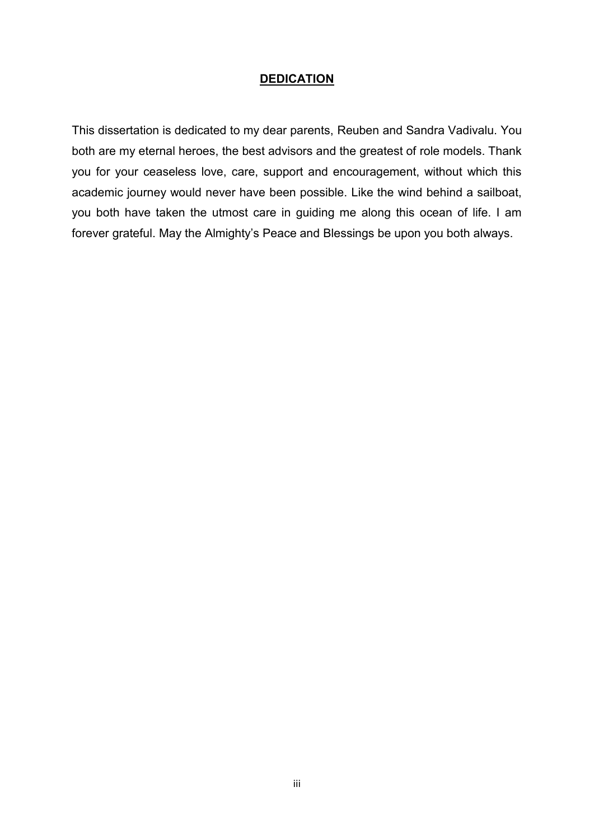## **DEDICATION**

This dissertation is dedicated to my dear parents, Reuben and Sandra Vadivalu. You both are my eternal heroes, the best advisors and the greatest of role models. Thank you for your ceaseless love, care, support and encouragement, without which this academic journey would never have been possible. Like the wind behind a sailboat, you both have taken the utmost care in guiding me along this ocean of life. I am forever grateful. May the Almighty's Peace and Blessings be upon you both always.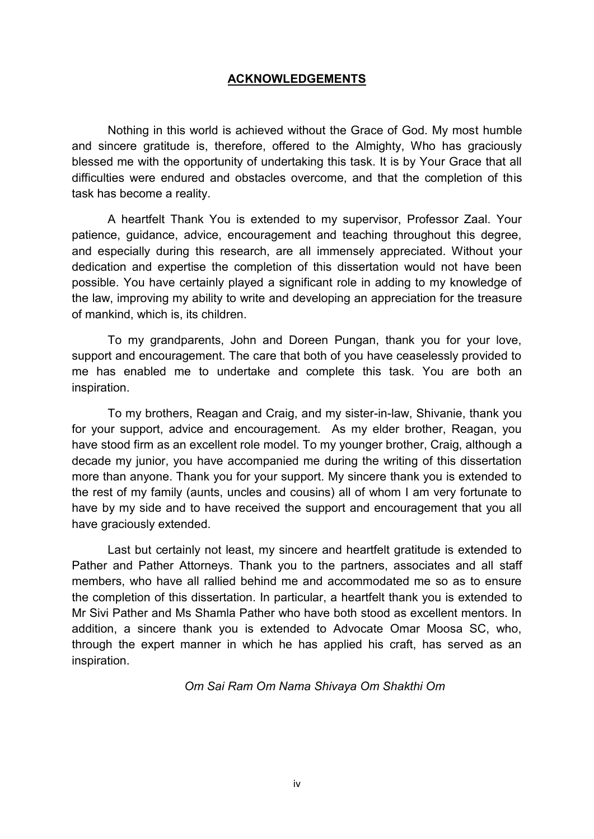# **ACKNOWLEDGEMENTS**

Nothing in this world is achieved without the Grace of God. My most humble and sincere gratitude is, therefore, offered to the Almighty, Who has graciously blessed me with the opportunity of undertaking this task. It is by Your Grace that all difficulties were endured and obstacles overcome, and that the completion of this task has become a reality.

A heartfelt Thank You is extended to my supervisor, Professor Zaal. Your patience, guidance, advice, encouragement and teaching throughout this degree, and especially during this research, are all immensely appreciated. Without your dedication and expertise the completion of this dissertation would not have been possible. You have certainly played a significant role in adding to my knowledge of the law, improving my ability to write and developing an appreciation for the treasure of mankind, which is, its children.

To my grandparents, John and Doreen Pungan, thank you for your love, support and encouragement. The care that both of you have ceaselessly provided to me has enabled me to undertake and complete this task. You are both an inspiration.

To my brothers, Reagan and Craig, and my sister-in-law, Shivanie, thank you for your support, advice and encouragement. As my elder brother, Reagan, you have stood firm as an excellent role model. To my younger brother, Craig, although a decade my junior, you have accompanied me during the writing of this dissertation more than anyone. Thank you for your support. My sincere thank you is extended to the rest of my family (aunts, uncles and cousins) all of whom I am very fortunate to have by my side and to have received the support and encouragement that you all have graciously extended.

Last but certainly not least, my sincere and heartfelt gratitude is extended to Pather and Pather Attorneys. Thank you to the partners, associates and all staff members, who have all rallied behind me and accommodated me so as to ensure the completion of this dissertation. In particular, a heartfelt thank you is extended to Mr Sivi Pather and Ms Shamla Pather who have both stood as excellent mentors. In addition, a sincere thank you is extended to Advocate Omar Moosa SC, who, through the expert manner in which he has applied his craft, has served as an inspiration.

*Om Sai Ram Om Nama Shivaya Om Shakthi Om*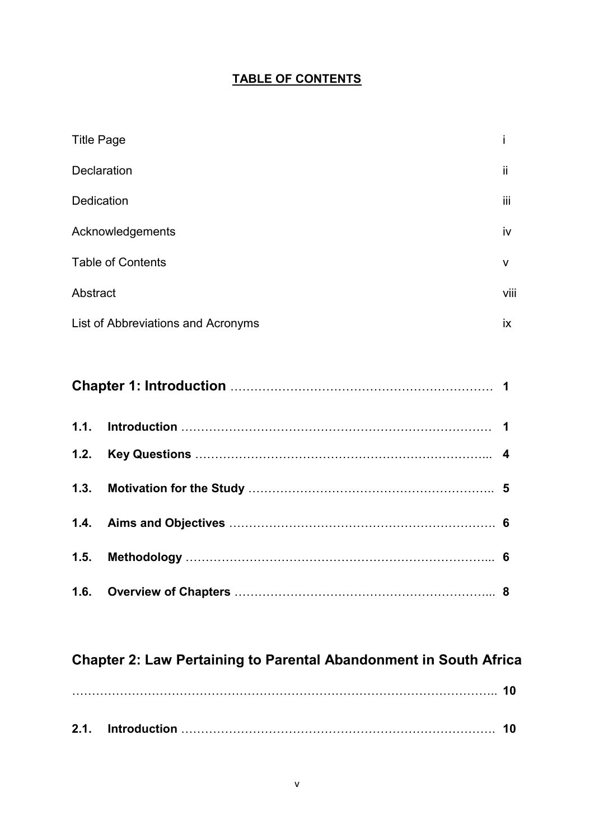# **TABLE OF CONTENTS**

| <b>Title Page</b>                  |      |
|------------------------------------|------|
| <b>Declaration</b>                 | ji   |
| <b>Dedication</b>                  | iii  |
| Acknowledgements                   | iv   |
| <b>Table of Contents</b>           | v    |
| Abstract                           | viii |
| List of Abbreviations and Acronyms | ix   |

# **Chapter 2: Law Pertaining to Parental Abandonment in South Africa**

| 2.1. | <b>Introduction</b> |  |
|------|---------------------|--|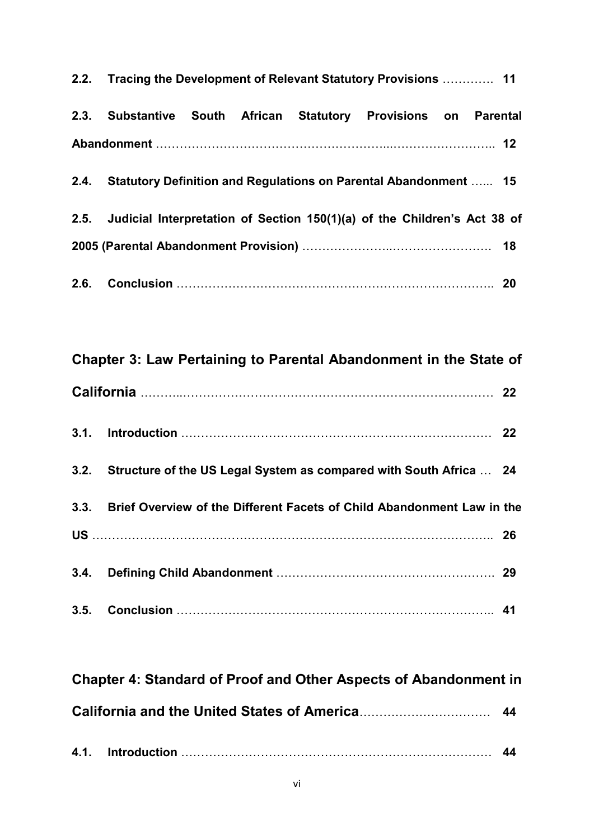| 2.2. Tracing the Development of Relevant Statutory Provisions  11             |  |  |
|-------------------------------------------------------------------------------|--|--|
| 2.3. Substantive South African Statutory Provisions on Parental               |  |  |
|                                                                               |  |  |
| 2.4. Statutory Definition and Regulations on Parental Abandonment  15         |  |  |
| 2.5. Judicial Interpretation of Section 150(1)(a) of the Children's Act 38 of |  |  |
|                                                                               |  |  |
|                                                                               |  |  |

| Chapter 3: Law Pertaining to Parental Abandonment in the State of           |  |
|-----------------------------------------------------------------------------|--|
|                                                                             |  |
|                                                                             |  |
| 3.2. Structure of the US Legal System as compared with South Africa  24     |  |
| 3.3. Brief Overview of the Different Facets of Child Abandonment Law in the |  |
|                                                                             |  |
|                                                                             |  |
|                                                                             |  |

| <b>Chapter 4: Standard of Proof and Other Aspects of Abandonment in</b> |  |
|-------------------------------------------------------------------------|--|
|                                                                         |  |
|                                                                         |  |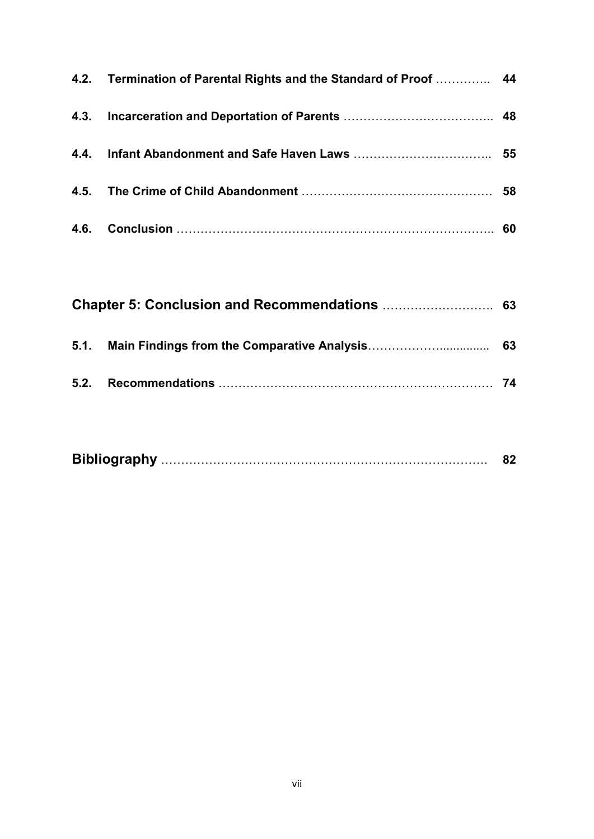| 4.2. Termination of Parental Rights and the Standard of Proof  44 |  |
|-------------------------------------------------------------------|--|
|                                                                   |  |
|                                                                   |  |
|                                                                   |  |
|                                                                   |  |

| 5.1. Main Findings from the Comparative Analysis | 63 |
|--------------------------------------------------|----|
|                                                  | 74 |

|--|--|--|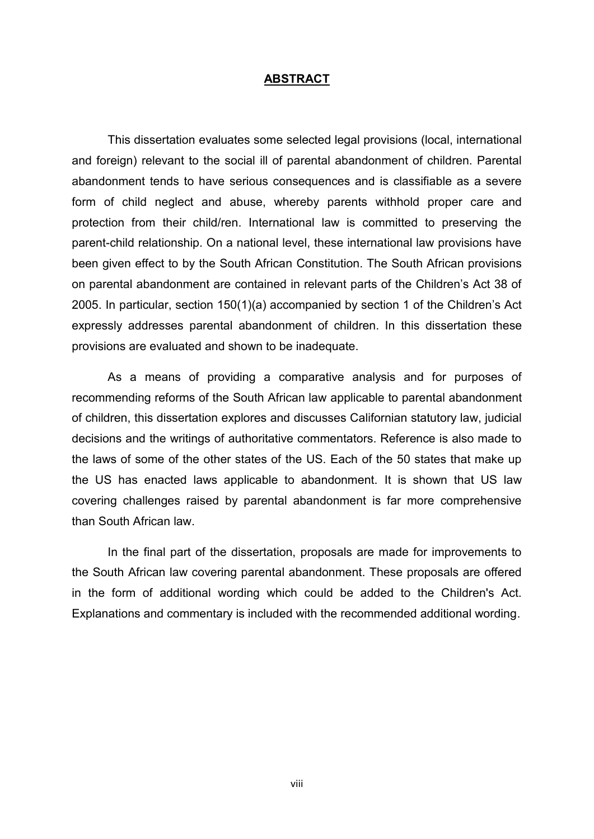#### **ABSTRACT**

This dissertation evaluates some selected legal provisions (local, international and foreign) relevant to the social ill of parental abandonment of children. Parental abandonment tends to have serious consequences and is classifiable as a severe form of child neglect and abuse, whereby parents withhold proper care and protection from their child/ren. International law is committed to preserving the parent-child relationship. On a national level, these international law provisions have been given effect to by the South African Constitution. The South African provisions on parental abandonment are contained in relevant parts of the Children's Act 38 of 2005. In particular, section 150(1)(a) accompanied by section 1 of the Children's Act expressly addresses parental abandonment of children. In this dissertation these provisions are evaluated and shown to be inadequate.

As a means of providing a comparative analysis and for purposes of recommending reforms of the South African law applicable to parental abandonment of children, this dissertation explores and discusses Californian statutory law, judicial decisions and the writings of authoritative commentators. Reference is also made to the laws of some of the other states of the US. Each of the 50 states that make up the US has enacted laws applicable to abandonment. It is shown that US law covering challenges raised by parental abandonment is far more comprehensive than South African law.

In the final part of the dissertation, proposals are made for improvements to the South African law covering parental abandonment. These proposals are offered in the form of additional wording which could be added to the Children's Act. Explanations and commentary is included with the recommended additional wording.

viii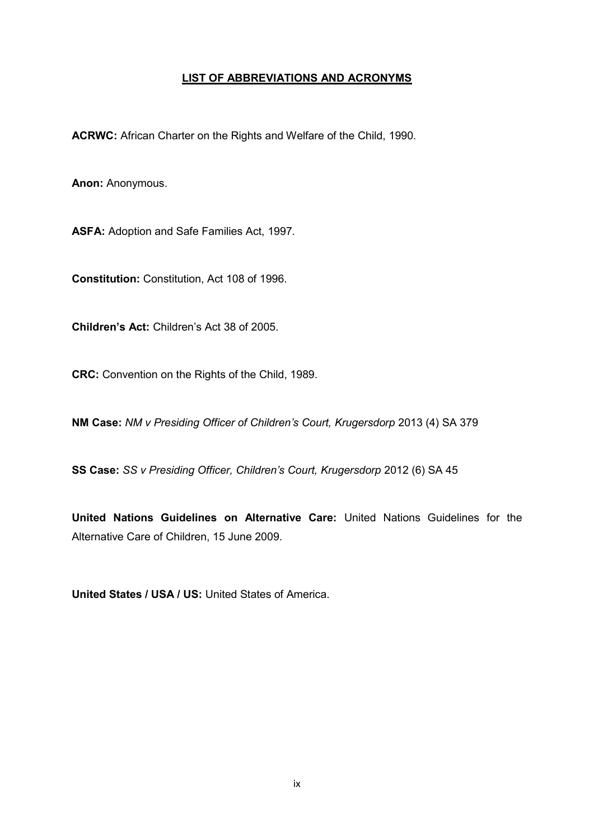## **LIST OF ABBREVIATIONS AND ACRONYMS**

**ACRWC:** African Charter on the Rights and Welfare of the Child, 1990.

**Anon:** Anonymous.

**ASFA:** Adoption and Safe Families Act, 1997.

**Constitution:** Constitution, Act 108 of 1996.

**Children's Act:** Children's Act 38 of 2005.

**CRC:** Convention on the Rights of the Child, 1989.

**NM Case:** *NM v Presiding Officer of Children's Court, Krugersdorp* 2013 (4) SA 379

**SS Case:** *SS v Presiding Officer, Children's Court, Krugersdorp* 2012 (6) SA 45

**United Nations Guidelines on Alternative Care:** United Nations Guidelines for the Alternative Care of Children, 15 June 2009.

**United States / USA / US:** United States of America.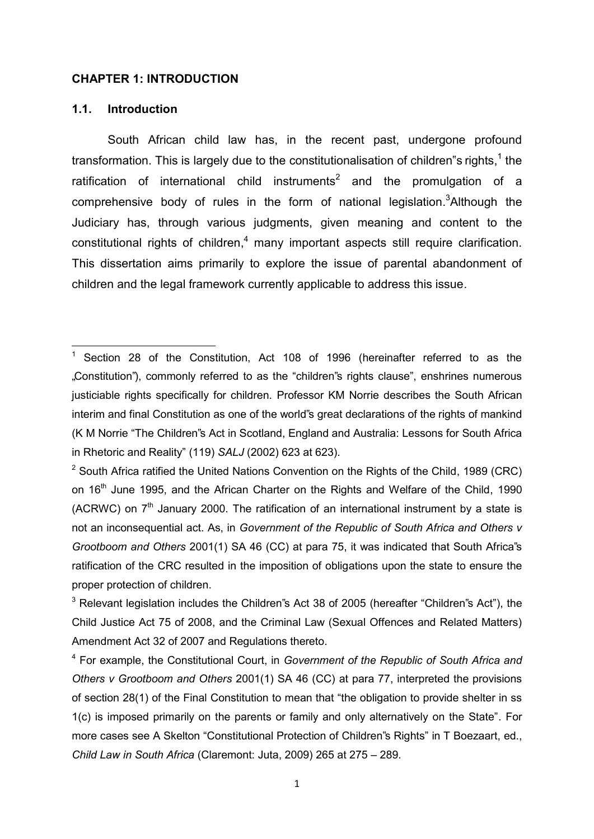#### **CHAPTER 1: INTRODUCTION**

#### **1.1. Introduction**

**.** 

South African child law has, in the recent past, undergone profound transformation. This is largely due to the constitutionalisation of children"s rights, ${}^1$  the ratification of international child instruments<sup>2</sup> and the promulgation of a comprehensive body of rules in the form of national legislation.<sup>3</sup>Although the Judiciary has, through various judgments, given meaning and content to the  $\text{const}$ itutional rights of children, $\textsuperscript{4}$  many important aspects still require clarification. This dissertation aims primarily to explore the issue of parental abandonment of children and the legal framework currently applicable to address this issue.

<sup>&</sup>lt;sup>1</sup> Section 28 of the Constitution, Act 108 of 1996 (hereinafter referred to as the "Constitution"), commonly referred to as the "children"s rights clause", enshrines numerous justiciable rights specifically for children. Professor KM Norrie describes the South African interim and final Constitution as one of the world"s great declarations of the rights of mankind (K M Norrie "The Children"s Act in Scotland, England and Australia: Lessons for South Africa in Rhetoric and Reality" (119) *SALJ* (2002) 623 at 623).

<sup>&</sup>lt;sup>2</sup> South Africa ratified the United Nations Convention on the Rights of the Child, 1989 (CRC) on 16<sup>th</sup> June 1995, and the African Charter on the Rights and Welfare of the Child, 1990 (ACRWC) on  $7<sup>th</sup>$  January 2000. The ratification of an international instrument by a state is not an inconsequential act. As, in *Government of the Republic of South Africa and Others v Grootboom and Others* 2001(1) SA 46 (CC) at para 75, it was indicated that South Africa"s ratification of the CRC resulted in the imposition of obligations upon the state to ensure the proper protection of children.

 $^3$  Relevant legislation includes the Children"s Act 38 of 2005 (hereafter "Children"s Act"), the Child Justice Act 75 of 2008, and the Criminal Law (Sexual Offences and Related Matters) Amendment Act 32 of 2007 and Regulations thereto.

<sup>4</sup> For example, the Constitutional Court, in *Government of the Republic of South Africa and Others v Grootboom and Others* 2001(1) SA 46 (CC) at para 77, interpreted the provisions of section 28(1) of the Final Constitution to mean that "the obligation to provide shelter in ss 1(c) is imposed primarily on the parents or family and only alternatively on the State". For more cases see A Skelton "Constitutional Protection of Children"s Rights" in T Boezaart, ed., *Child Law in South Africa* (Claremont: Juta, 2009) 265 at 275 – 289.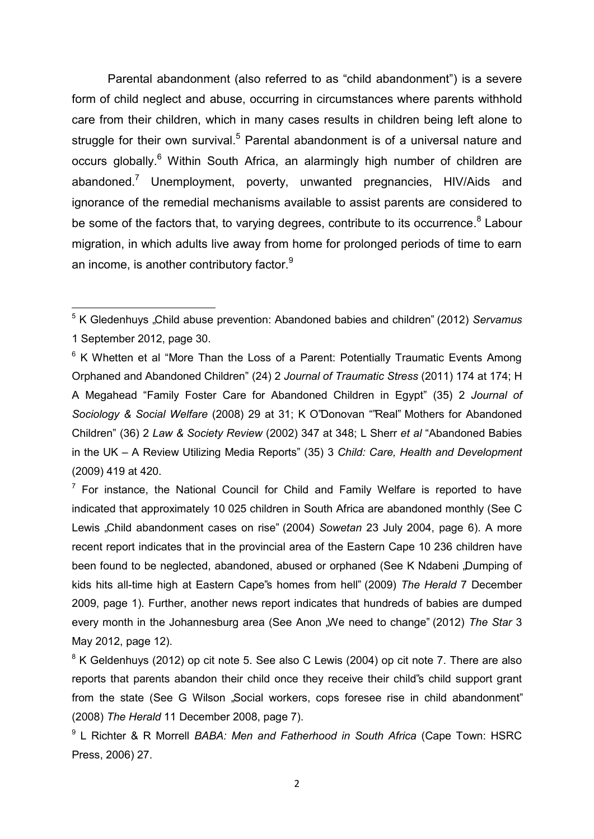Parental abandonment (also referred to as "child abandonment") is a severe form of child neglect and abuse, occurring in circumstances where parents withhold care from their children, which in many cases results in children being left alone to struggle for their own survival.<sup>5</sup> Parental abandonment is of a universal nature and occurs globally.<sup>6</sup> Within South Africa, an alarmingly high number of children are abandoned.<sup>7</sup> Unemployment, poverty, unwanted pregnancies, HIV/Aids and ignorance of the remedial mechanisms available to assist parents are considered to be some of the factors that, to varying degrees, contribute to its occurrence.<sup>8</sup> Labour migration, in which adults live away from home for prolonged periods of time to earn an income, is another contributory factor. $9$ 

 $7$  For instance, the National Council for Child and Family Welfare is reported to have indicated that approximately 10 025 children in South Africa are abandoned monthly (See C Lewis "Child abandonment cases on rise" (2004) *Sowetan* 23 July 2004, page 6). A more recent report indicates that in the provincial area of the Eastern Cape 10 236 children have been found to be neglected, abandoned, abused or orphaned (See K Ndabeni "Dumping of kids hits all-time high at Eastern Cape"s homes from hell" (2009) *The Herald* 7 December 2009, page 1). Further, another news report indicates that hundreds of babies are dumped every month in the Johannesburg area (See Anon "We need to change" (2012) *The Star* 3 May 2012, page 12).

\_\_\_\_\_\_\_\_\_\_\_\_\_\_\_\_\_\_\_\_\_\_\_\_\_\_\_\_\_\_<br><sup>5</sup> K Gledenhuys "Child abuse prevention: Abandoned babies and children" (2012) *Servamus* 1 September 2012, page 30.

 $6$  K Whetten et al "More Than the Loss of a Parent: Potentially Traumatic Events Among Orphaned and Abandoned Children" (24) 2 *Journal of Traumatic Stress* (2011) 174 at 174; H A Megahead "Family Foster Care for Abandoned Children in Egypt" (35) 2 *Journal of Sociology & Social Welfare* (2008) 29 at 31; K O"Donovan ""Real" Mothers for Abandoned Children" (36) 2 *Law & Society Review* (2002) 347 at 348; L Sherr *et al* "Abandoned Babies in the UK – A Review Utilizing Media Reports" (35) 3 *Child: Care, Health and Development* (2009) 419 at 420.

 $8$  K Geldenhuys (2012) op cit note 5. See also C Lewis (2004) op cit note 7. There are also reports that parents abandon their child once they receive their child"s child support grant from the state (See G Wilson "Social workers, cops foresee rise in child abandonment" (2008) *The Herald* 11 December 2008, page 7).

<sup>9</sup> L Richter & R Morrell *BABA: Men and Fatherhood in South Africa* (Cape Town: HSRC Press, 2006) 27.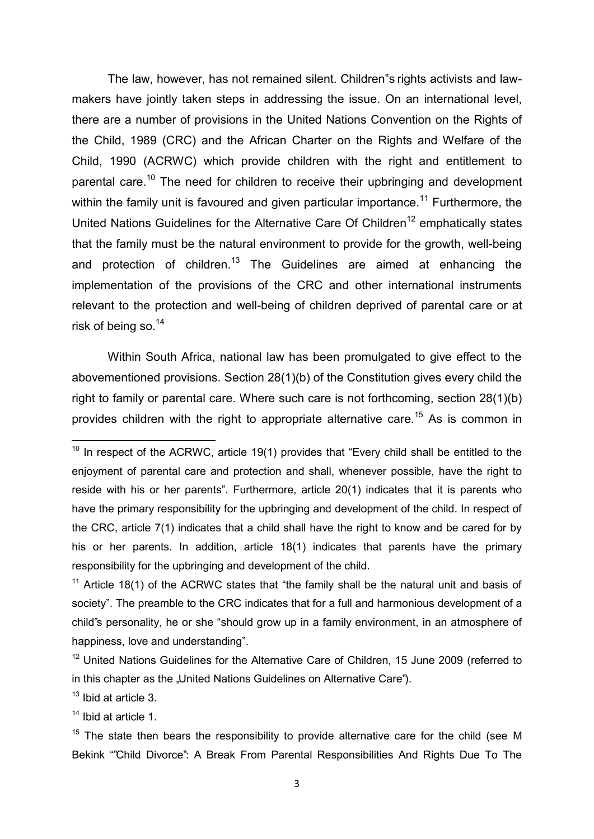The law, however, has not remained silent. Children"s rights activists and lawmakers have jointly taken steps in addressing the issue. On an international level, there are a number of provisions in the United Nations Convention on the Rights of the Child, 1989 (CRC) and the African Charter on the Rights and Welfare of the Child, 1990 (ACRWC) which provide children with the right and entitlement to parental care.<sup>10</sup> The need for children to receive their upbringing and development within the family unit is favoured and given particular importance.<sup>11</sup> Furthermore, the United Nations Guidelines for the Alternative Care Of Children<sup>12</sup> emphatically states that the family must be the natural environment to provide for the growth, well-being and protection of children.<sup>13</sup> The Guidelines are aimed at enhancing the implementation of the provisions of the CRC and other international instruments relevant to the protection and well-being of children deprived of parental care or at risk of being so. $^{14}$ 

Within South Africa, national law has been promulgated to give effect to the abovementioned provisions. Section 28(1)(b) of the Constitution gives every child the right to family or parental care. Where such care is not forthcoming, section 28(1)(b) provides children with the right to appropriate alternative care.<sup>15</sup> As is common in

<sup>11</sup> Article 18(1) of the ACRWC states that "the family shall be the natural unit and basis of society". The preamble to the CRC indicates that for a full and harmonious development of a child"s personality, he or she "should grow up in a family environment, in an atmosphere of happiness, love and understanding".

<sup>13</sup> Ibid at article 3.

**.** 

<sup>14</sup> Ibid at article 1.

 $10$  In respect of the ACRWC, article 19(1) provides that "Every child shall be entitled to the enjoyment of parental care and protection and shall, whenever possible, have the right to reside with his or her parents". Furthermore, article 20(1) indicates that it is parents who have the primary responsibility for the upbringing and development of the child. In respect of the CRC, article 7(1) indicates that a child shall have the right to know and be cared for by his or her parents. In addition, article 18(1) indicates that parents have the primary responsibility for the upbringing and development of the child.

 $12$  United Nations Guidelines for the Alternative Care of Children, 15 June 2009 (referred to in this chapter as the "United Nations Guidelines on Alternative Care").

 $15$  The state then bears the responsibility to provide alternative care for the child (see M Bekink ""Child Divorce": A Break From Parental Responsibilities And Rights Due To The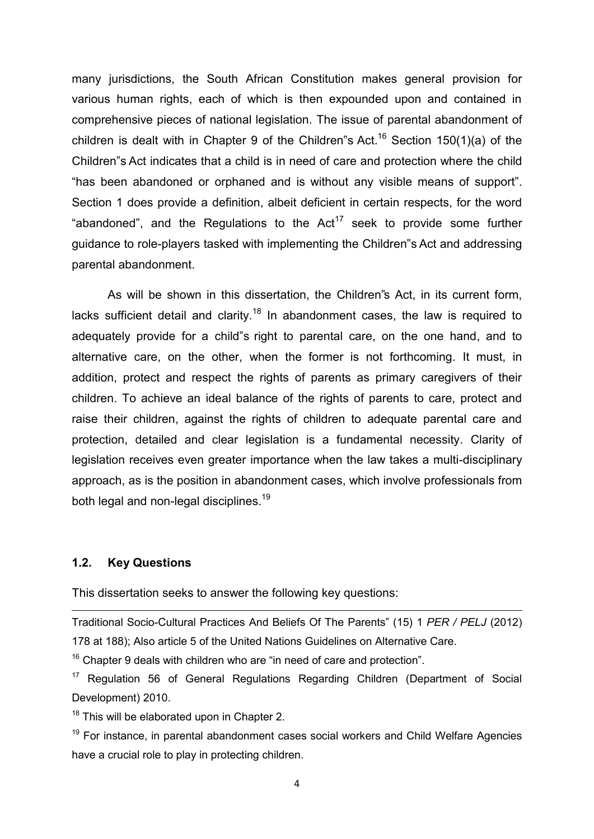many jurisdictions, the South African Constitution makes general provision for various human rights, each of which is then expounded upon and contained in comprehensive pieces of national legislation. The issue of parental abandonment of children is dealt with in Chapter 9 of the Children"s Act.<sup>16</sup> Section 150(1)(a) of the Children"s Act indicates that a child is in need of care and protection where the child "has been abandoned or orphaned and is without any visible means of support". Section 1 does provide a definition, albeit deficient in certain respects, for the word "abandoned", and the Regulations to the  $Act^{17}$  seek to provide some further guidance to role-players tasked with implementing the Children"s Act and addressing parental abandonment.

As will be shown in this dissertation, the Children"s Act, in its current form, lacks sufficient detail and clarity.<sup>18</sup> In abandonment cases, the law is required to adequately provide for a child"s right to parental care, on the one hand, and to alternative care, on the other, when the former is not forthcoming. It must, in addition, protect and respect the rights of parents as primary caregivers of their children. To achieve an ideal balance of the rights of parents to care, protect and raise their children, against the rights of children to adequate parental care and protection, detailed and clear legislation is a fundamental necessity. Clarity of legislation receives even greater importance when the law takes a multi-disciplinary approach, as is the position in abandonment cases, which involve professionals from both legal and non-legal disciplines.<sup>19</sup>

## **1.2. Key Questions**

1

This dissertation seeks to answer the following key questions:

Traditional Socio-Cultural Practices And Beliefs Of The Parents" (15) 1 *PER / PELJ* (2012) 178 at 188); Also article 5 of the United Nations Guidelines on Alternative Care.

 $16$  Chapter 9 deals with children who are "in need of care and protection".

<sup>17</sup> Regulation 56 of General Regulations Regarding Children (Department of Social Development) 2010.

 $18$  This will be elaborated upon in Chapter 2.

 $19$  For instance, in parental abandonment cases social workers and Child Welfare Agencies have a crucial role to play in protecting children.

4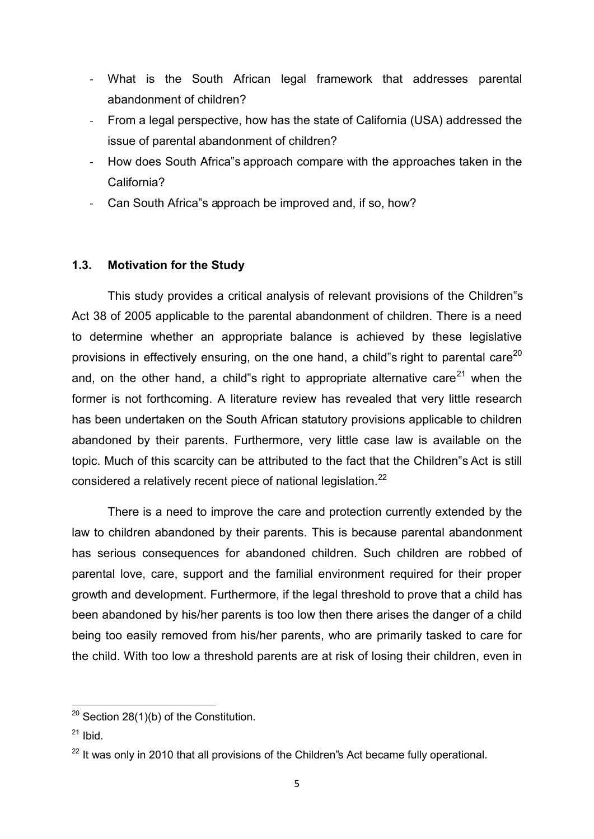- What is the South African legal framework that addresses parental abandonment of children?
- From a legal perspective, how has the state of California (USA) addressed the issue of parental abandonment of children?
- How does South Africa"s approach compare with the approaches taken in the California?
- Can South Africa"s approach be improved and, if so, how?

# **1.3. Motivation for the Study**

This study provides a critical analysis of relevant provisions of the Children"s Act 38 of 2005 applicable to the parental abandonment of children. There is a need to determine whether an appropriate balance is achieved by these legislative provisions in effectively ensuring, on the one hand, a child"s right to parental care $^{20}$ and, on the other hand, a child"s right to appropriate alternative care $^{21}$  when the former is not forthcoming. A literature review has revealed that very little research has been undertaken on the South African statutory provisions applicable to children abandoned by their parents. Furthermore, very little case law is available on the topic. Much of this scarcity can be attributed to the fact that the Children"s Act is still considered a relatively recent piece of national legislation.<sup>22</sup>

There is a need to improve the care and protection currently extended by the law to children abandoned by their parents. This is because parental abandonment has serious consequences for abandoned children. Such children are robbed of parental love, care, support and the familial environment required for their proper growth and development. Furthermore, if the legal threshold to prove that a child has been abandoned by his/her parents is too low then there arises the danger of a child being too easily removed from his/her parents, who are primarily tasked to care for the child. With too low a threshold parents are at risk of losing their children, even in

 $20$  Section 28(1)(b) of the Constitution.

 $21$  Ibid.

 $22$  It was only in 2010 that all provisions of the Children's Act became fully operational.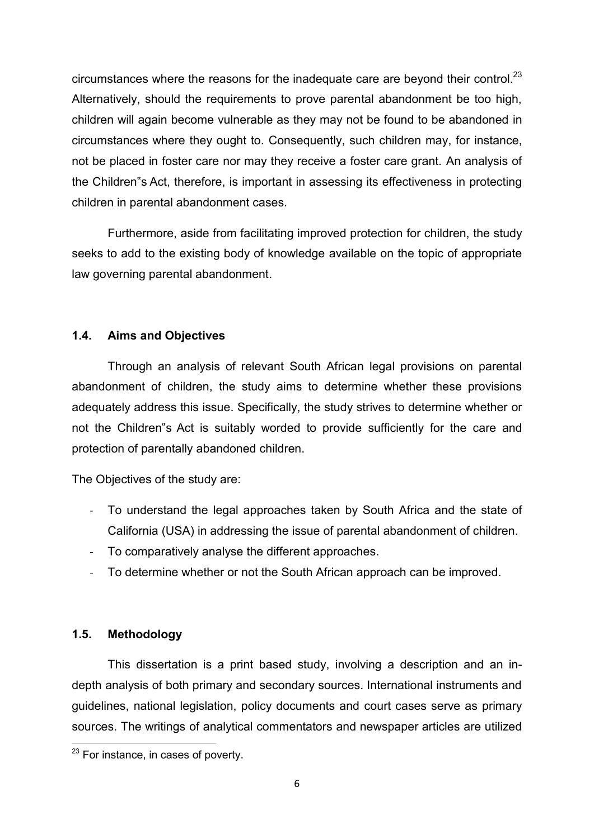circumstances where the reasons for the inadequate care are beyond their control.<sup>23</sup> Alternatively, should the requirements to prove parental abandonment be too high, children will again become vulnerable as they may not be found to be abandoned in circumstances where they ought to. Consequently, such children may, for instance, not be placed in foster care nor may they receive a foster care grant. An analysis of the Children"s Act, therefore, is important in assessing its effectiveness in protecting children in parental abandonment cases.

Furthermore, aside from facilitating improved protection for children, the study seeks to add to the existing body of knowledge available on the topic of appropriate law governing parental abandonment.

# **1.4. Aims and Objectives**

Through an analysis of relevant South African legal provisions on parental abandonment of children, the study aims to determine whether these provisions adequately address this issue. Specifically, the study strives to determine whether or not the Children"s Act is suitably worded to provide sufficiently for the care and protection of parentally abandoned children.

The Objectives of the study are:

- To understand the legal approaches taken by South Africa and the state of California (USA) in addressing the issue of parental abandonment of children.
- To comparatively analyse the different approaches.
- To determine whether or not the South African approach can be improved.

# **1.5. Methodology**

This dissertation is a print based study, involving a description and an indepth analysis of both primary and secondary sources. International instruments and guidelines, national legislation, policy documents and court cases serve as primary sources. The writings of analytical commentators and newspaper articles are utilized

**<sup>.</sup>**  $23$  For instance, in cases of poverty.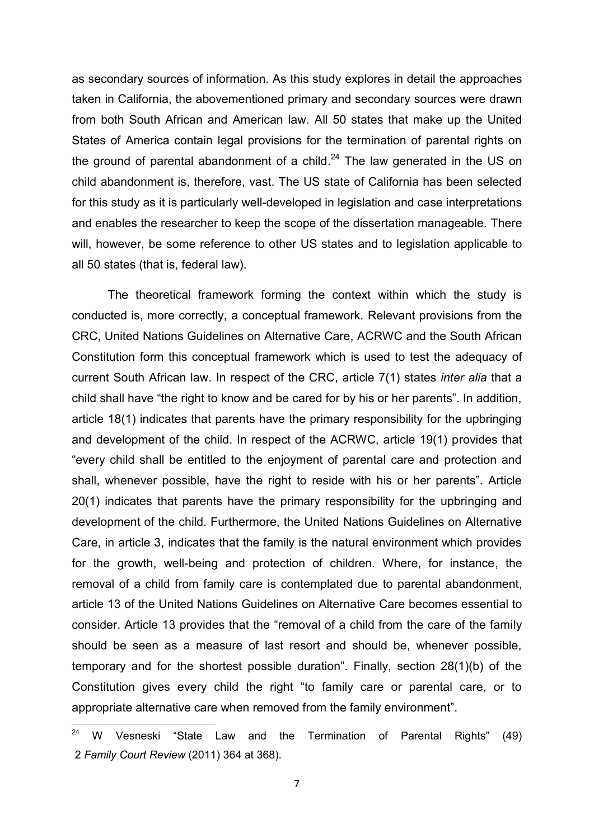as secondary sources of information. As this study explores in detail the approaches taken in California, the abovementioned primary and secondary sources were drawn from both South African and American law. All 50 states that make up the United States of America contain legal provisions for the termination of parental rights on the ground of parental abandonment of a child.<sup>24</sup> The law generated in the US on child abandonment is, therefore, vast. The US state of California has been selected for this study as it is particularly well-developed in legislation and case interpretations and enables the researcher to keep the scope of the dissertation manageable. There will, however, be some reference to other US states and to legislation applicable to all 50 states (that is, federal law).

The theoretical framework forming the context within which the study is conducted is, more correctly, a conceptual framework. Relevant provisions from the CRC, United Nations Guidelines on Alternative Care, ACRWC and the South African Constitution form this conceptual framework which is used to test the adequacy of current South African law. In respect of the CRC, article 7(1) states *inter alia* that a child shall have "the right to know and be cared for by his or her parents". In addition, article 18(1) indicates that parents have the primary responsibility for the upbringing and development of the child. In respect of the ACRWC, article 19(1) provides that "every child shall be entitled to the enjoyment of parental care and protection and shall, whenever possible, have the right to reside with his or her parents". Article 20(1) indicates that parents have the primary responsibility for the upbringing and development of the child. Furthermore, the United Nations Guidelines on Alternative Care, in article 3, indicates that the family is the natural environment which provides for the growth, well-being and protection of children. Where, for instance, the removal of a child from family care is contemplated due to parental abandonment, article 13 of the United Nations Guidelines on Alternative Care becomes essential to consider. Article 13 provides that the "removal of a child from the care of the family should be seen as a measure of last resort and should be, whenever possible, temporary and for the shortest possible duration". Finally, section 28(1)(b) of the Constitution gives every child the right "to family care or parental care, or to appropriate alternative care when removed from the family environment".

 $24$ <sup>24</sup> W Vesneski "State Law and the Termination of Parental Rights" (49) 2 *Family Court Review* (2011) 364 at 368).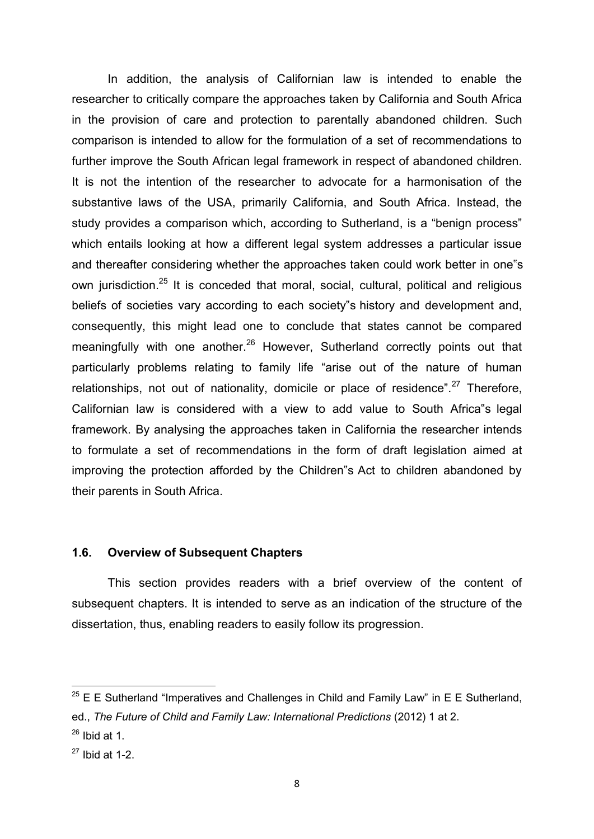In addition, the analysis of Californian law is intended to enable the researcher to critically compare the approaches taken by California and South Africa in the provision of care and protection to parentally abandoned children. Such comparison is intended to allow for the formulation of a set of recommendations to further improve the South African legal framework in respect of abandoned children. It is not the intention of the researcher to advocate for a harmonisation of the substantive laws of the USA, primarily California, and South Africa. Instead, the study provides a comparison which, according to Sutherland, is a "benign process" which entails looking at how a different legal system addresses a particular issue and thereafter considering whether the approaches taken could work better in one"s own jurisdiction.<sup>25</sup> It is conceded that moral, social, cultural, political and religious beliefs of societies vary according to each society"s history and development and, consequently, this might lead one to conclude that states cannot be compared meaningfully with one another. $^{26}$  However, Sutherland correctly points out that particularly problems relating to family life "arise out of the nature of human relationships, not out of nationality, domicile or place of residence".<sup>27</sup> Therefore, Californian law is considered with a view to add value to South Africa"s legal framework. By analysing the approaches taken in California the researcher intends to formulate a set of recommendations in the form of draft legislation aimed at improving the protection afforded by the Children"s Act to children abandoned by their parents in South Africa.

## **1.6. Overview of Subsequent Chapters**

This section provides readers with a brief overview of the content of subsequent chapters. It is intended to serve as an indication of the structure of the dissertation, thus, enabling readers to easily follow its progression.

 $25$  E E Sutherland "Imperatives and Challenges in Child and Family Law" in E E Sutherland, ed., *The Future of Child and Family Law: International Predictions* (2012) 1 at 2.  $26$  Ibid at 1.

 $27$  Ibid at 1-2.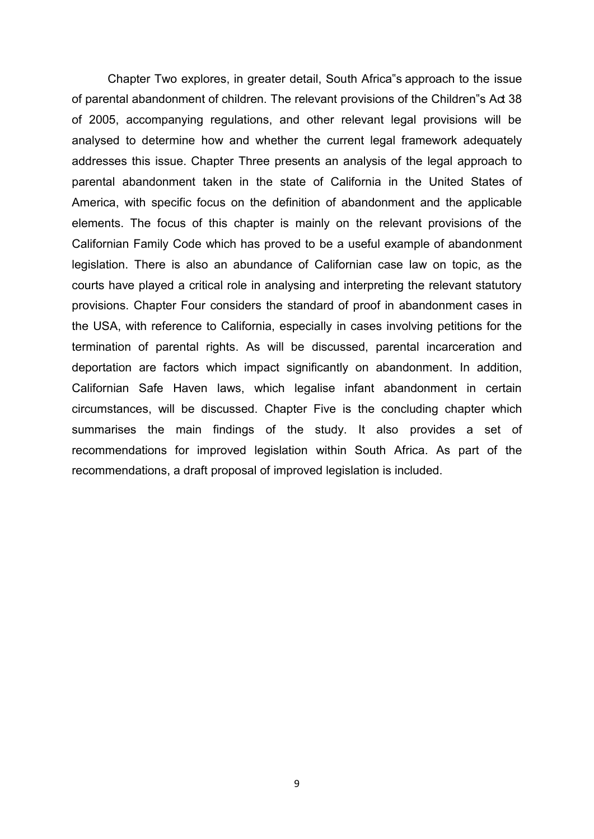Chapter Two explores, in greater detail, South Africa"s approach to the issue of parental abandonment of children. The relevant provisions of the Children"s Act 38 of 2005, accompanying regulations, and other relevant legal provisions will be analysed to determine how and whether the current legal framework adequately addresses this issue. Chapter Three presents an analysis of the legal approach to parental abandonment taken in the state of California in the United States of America, with specific focus on the definition of abandonment and the applicable elements. The focus of this chapter is mainly on the relevant provisions of the Californian Family Code which has proved to be a useful example of abandonment legislation. There is also an abundance of Californian case law on topic, as the courts have played a critical role in analysing and interpreting the relevant statutory provisions. Chapter Four considers the standard of proof in abandonment cases in the USA, with reference to California, especially in cases involving petitions for the termination of parental rights. As will be discussed, parental incarceration and deportation are factors which impact significantly on abandonment. In addition, Californian Safe Haven laws, which legalise infant abandonment in certain circumstances, will be discussed. Chapter Five is the concluding chapter which summarises the main findings of the study. It also provides a set of recommendations for improved legislation within South Africa. As part of the recommendations, a draft proposal of improved legislation is included.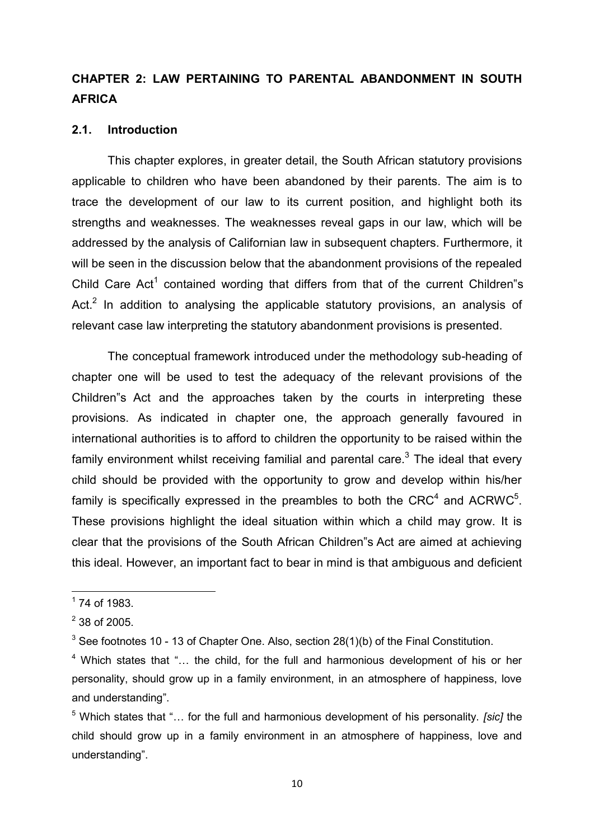# **CHAPTER 2: LAW PERTAINING TO PARENTAL ABANDONMENT IN SOUTH AFRICA**

## **2.1. Introduction**

This chapter explores, in greater detail, the South African statutory provisions applicable to children who have been abandoned by their parents. The aim is to trace the development of our law to its current position, and highlight both its strengths and weaknesses. The weaknesses reveal gaps in our law, which will be addressed by the analysis of Californian law in subsequent chapters. Furthermore, it will be seen in the discussion below that the abandonment provisions of the repealed Child Care Act<sup>1</sup> contained wording that differs from that of the current Children"s Act. $^2$  In addition to analysing the applicable statutory provisions, an analysis of relevant case law interpreting the statutory abandonment provisions is presented.

The conceptual framework introduced under the methodology sub-heading of chapter one will be used to test the adequacy of the relevant provisions of the Children"s Act and the approaches taken by the courts in interpreting these provisions. As indicated in chapter one, the approach generally favoured in international authorities is to afford to children the opportunity to be raised within the family environment whilst receiving familial and parental care. $^3$  The ideal that every child should be provided with the opportunity to grow and develop within his/her family is specifically expressed in the preambles to both the CRC<sup>4</sup> and ACRWC<sup>5</sup>. These provisions highlight the ideal situation within which a child may grow. It is clear that the provisions of the South African Children"s Act are aimed at achieving this ideal. However, an important fact to bear in mind is that ambiguous and deficient

 $1$  74 of 1983.

 $2^2$  38 of 2005.

 $^3$  See footnotes 10 - 13 of Chapter One. Also, section 28(1)(b) of the Final Constitution.

<sup>&</sup>lt;sup>4</sup> Which states that "... the child, for the full and harmonious development of his or her personality, should grow up in a family environment, in an atmosphere of happiness, love and understanding".

<sup>5</sup> Which states that "… for the full and harmonious development of his personality. *[sic]* the child should grow up in a family environment in an atmosphere of happiness, love and understanding".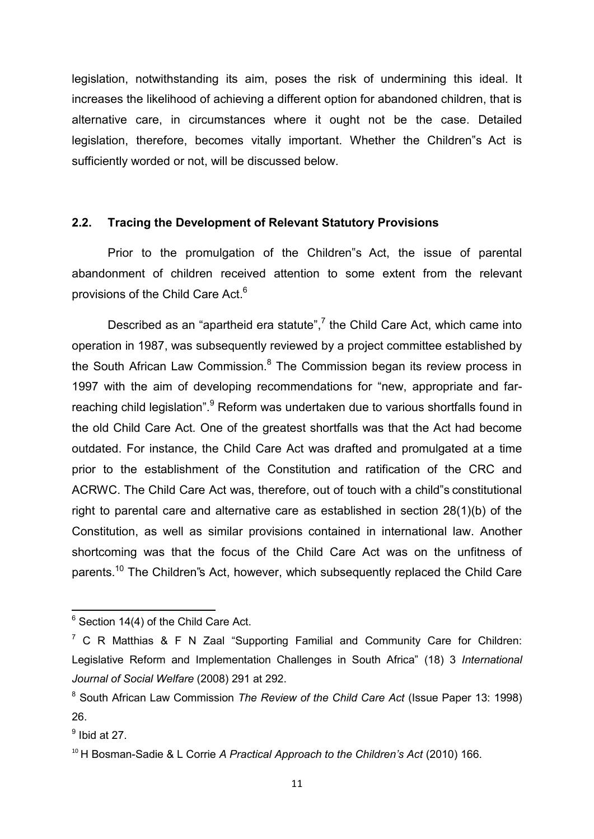legislation, notwithstanding its aim, poses the risk of undermining this ideal. It increases the likelihood of achieving a different option for abandoned children, that is alternative care, in circumstances where it ought not be the case. Detailed legislation, therefore, becomes vitally important. Whether the Children"s Act is sufficiently worded or not, will be discussed below.

#### **2.2. Tracing the Development of Relevant Statutory Provisions**

Prior to the promulgation of the Children"s Act, the issue of parental abandonment of children received attention to some extent from the relevant provisions of the Child Care Act.<sup>6</sup>

Described as an "apartheid era statute", $7$  the Child Care Act, which came into operation in 1987, was subsequently reviewed by a project committee established by the South African Law Commission.<sup>8</sup> The Commission began its review process in 1997 with the aim of developing recommendations for "new, appropriate and farreaching child legislation".<sup>9</sup> Reform was undertaken due to various shortfalls found in the old Child Care Act. One of the greatest shortfalls was that the Act had become outdated. For instance, the Child Care Act was drafted and promulgated at a time prior to the establishment of the Constitution and ratification of the CRC and ACRWC. The Child Care Act was, therefore, out of touch with a child"s constitutional right to parental care and alternative care as established in section 28(1)(b) of the Constitution, as well as similar provisions contained in international law. Another shortcoming was that the focus of the Child Care Act was on the unfitness of parents.<sup>10</sup> The Children"s Act, however, which subsequently replaced the Child Care

1

 $6$  Section 14(4) of the Child Care Act.

 $7 \text{ C R }$  Matthias & F N Zaal "Supporting Familial and Community Care for Children: Legislative Reform and Implementation Challenges in South Africa" (18) 3 *International Journal of Social Welfare* (2008) 291 at 292.

<sup>8</sup> South African Law Commission *The Review of the Child Care Act* (Issue Paper 13: 1998) 26.

 $<sup>9</sup>$  Ibid at 27.</sup>

<sup>&</sup>lt;sup>10</sup> H Bosman-Sadie & L Corrie *A Practical Approach to the Children's Act* (2010) 166.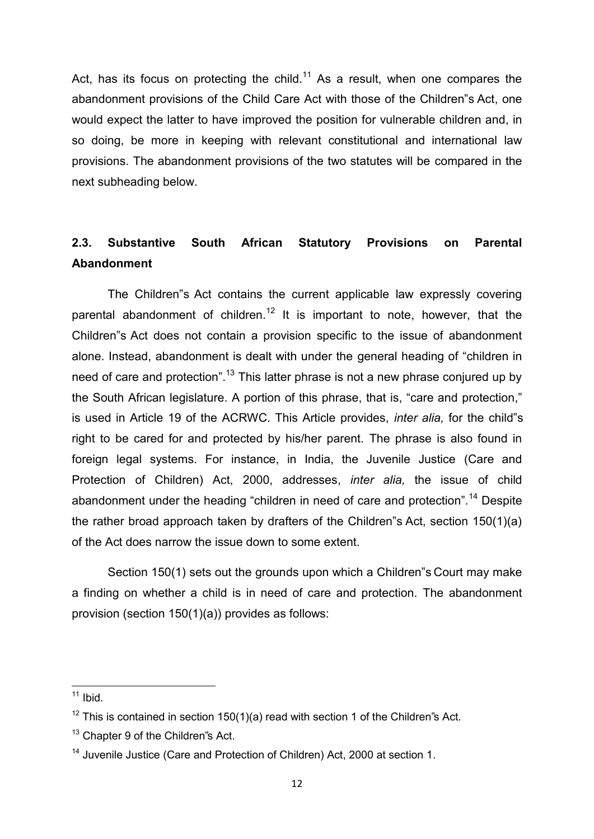Act, has its focus on protecting the child.<sup>11</sup> As a result, when one compares the abandonment provisions of the Child Care Act with those of the Children"s Act, one would expect the latter to have improved the position for vulnerable children and, in so doing, be more in keeping with relevant constitutional and international law provisions. The abandonment provisions of the two statutes will be compared in the next subheading below.

# **2.3. Substantive South African Statutory Provisions on Parental Abandonment**

The Children"s Act contains the current applicable law expressly covering parental abandonment of children.<sup>12</sup> It is important to note, however, that the Children"s Act does not contain a provision specific to the issue of abandonment alone. Instead, abandonment is dealt with under the general heading of "children in need of care and protection".<sup>13</sup> This latter phrase is not a new phrase conjured up by the South African legislature. A portion of this phrase, that is, "care and protection," is used in Article 19 of the ACRWC. This Article provides, *inter alia,* for the child"s right to be cared for and protected by his/her parent. The phrase is also found in foreign legal systems. For instance, in India, the Juvenile Justice (Care and Protection of Children) Act, 2000, addresses, *inter alia,* the issue of child abandonment under the heading "children in need of care and protection".<sup>14</sup> Despite the rather broad approach taken by drafters of the Children"s Act, section 150(1)(a) of the Act does narrow the issue down to some extent.

 Section 150(1) sets out the grounds upon which a Children"s Court may make a finding on whether a child is in need of care and protection. The abandonment provision (section 150(1)(a)) provides as follows:

 $11$  Ibid.

<sup>&</sup>lt;sup>12</sup> This is contained in section 150(1)(a) read with section 1 of the Children's Act.

<sup>&</sup>lt;sup>13</sup> Chapter 9 of the Children"s Act.

<sup>&</sup>lt;sup>14</sup> Juvenile Justice (Care and Protection of Children) Act, 2000 at section 1.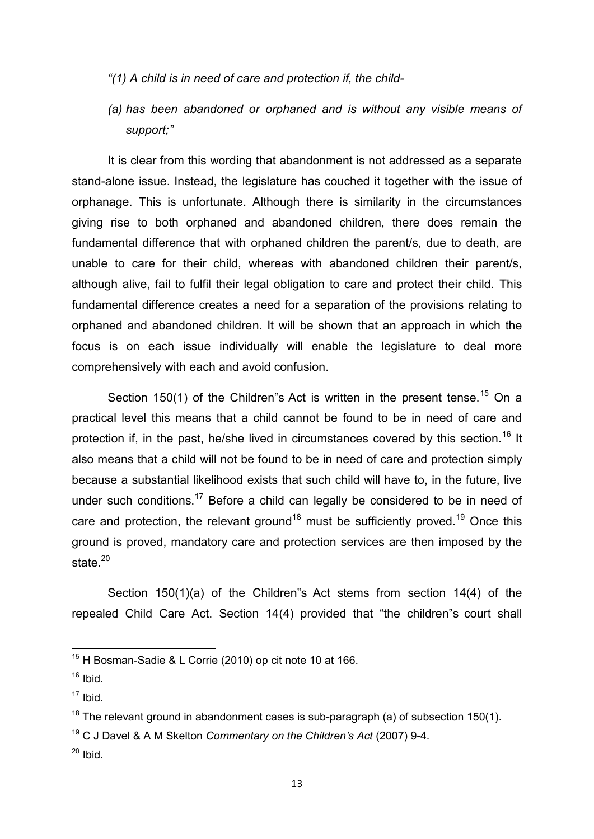- *"(1) A child is in need of care and protection if, the child-*
- *(a) has been abandoned or orphaned and is without any visible means of support;"*

It is clear from this wording that abandonment is not addressed as a separate stand-alone issue. Instead, the legislature has couched it together with the issue of orphanage. This is unfortunate. Although there is similarity in the circumstances giving rise to both orphaned and abandoned children, there does remain the fundamental difference that with orphaned children the parent/s, due to death, are unable to care for their child, whereas with abandoned children their parent/s, although alive, fail to fulfil their legal obligation to care and protect their child. This fundamental difference creates a need for a separation of the provisions relating to orphaned and abandoned children. It will be shown that an approach in which the focus is on each issue individually will enable the legislature to deal more comprehensively with each and avoid confusion.

Section 150(1) of the Children"s Act is written in the present tense.<sup>15</sup> On a practical level this means that a child cannot be found to be in need of care and protection if, in the past, he/she lived in circumstances covered by this section.<sup>16</sup> It also means that a child will not be found to be in need of care and protection simply because a substantial likelihood exists that such child will have to, in the future, live under such conditions.<sup>17</sup> Before a child can legally be considered to be in need of care and protection, the relevant ground<sup>18</sup> must be sufficiently proved.<sup>19</sup> Once this ground is proved, mandatory care and protection services are then imposed by the state. $20$ 

Section 150(1)(a) of the Children"s Act stems from section 14(4) of the repealed Child Care Act. Section 14(4) provided that "the children"s court shall

 $\overline{a}$ 

 $15$  H Bosman-Sadie & L Corrie (2010) op cit note 10 at 166.

 $16$  Ibid.

 $17$  Ibid.

 $18$  The relevant ground in abandonment cases is sub-paragraph (a) of subsection 150(1).

<sup>19</sup> C J Davel & A M Skelton *Commentary on the Children's Act* (2007) 9-4.

 $20$  Ibid.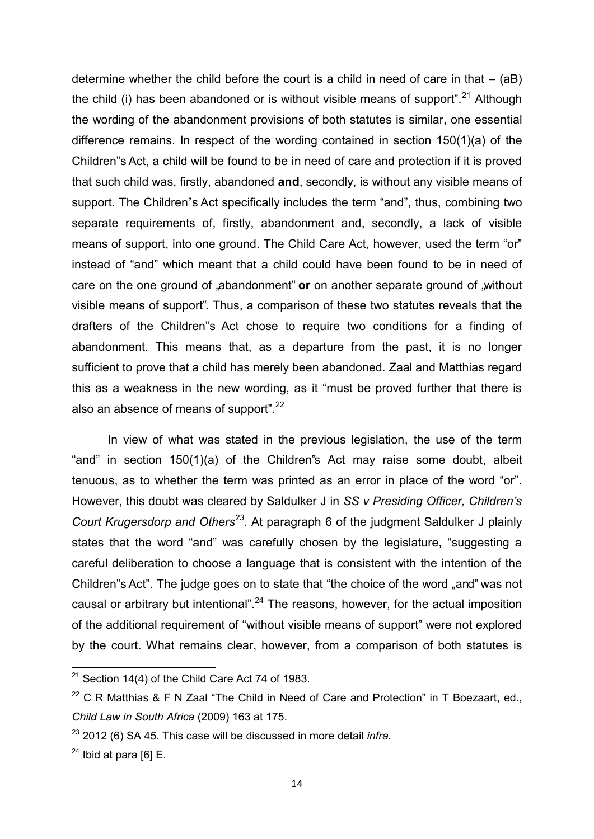determine whether the child before the court is a child in need of care in that  $-$  (aB) the child (i) has been abandoned or is without visible means of support". $^{21}$  Although the wording of the abandonment provisions of both statutes is similar, one essential difference remains. In respect of the wording contained in section 150(1)(a) of the Children"s Act, a child will be found to be in need of care and protection if it is proved that such child was, firstly, abandoned **and**, secondly, is without any visible means of support. The Children"s Act specifically includes the term "and", thus, combining two separate requirements of, firstly, abandonment and, secondly, a lack of visible means of support, into one ground. The Child Care Act, however, used the term "or" instead of "and" which meant that a child could have been found to be in need of care on the one ground of "abandonment" or on another separate ground of "without visible means of support". Thus, a comparison of these two statutes reveals that the drafters of the Children"s Act chose to require two conditions for a finding of abandonment. This means that, as a departure from the past, it is no longer sufficient to prove that a child has merely been abandoned. Zaal and Matthias regard this as a weakness in the new wording, as it "must be proved further that there is also an absence of means of support".<sup>22</sup>

In view of what was stated in the previous legislation, the use of the term "and" in section 150(1)(a) of the Children"s Act may raise some doubt, albeit tenuous, as to whether the term was printed as an error in place of the word "or". However, this doubt was cleared by Saldulker J in *SS v Presiding Officer, Children's Court Krugersdorp and Others<sup>23</sup> .* At paragraph 6 of the judgment Saldulker J plainly states that the word "and" was carefully chosen by the legislature, "suggesting a careful deliberation to choose a language that is consistent with the intention of the Children"s Act". The judge goes on to state that "the choice of the word "and" was not causal or arbitrary but intentional".<sup>24</sup> The reasons, however, for the actual imposition of the additional requirement of "without visible means of support" were not explored by the court. What remains clear, however, from a comparison of both statutes is

1

 $21$  Section 14(4) of the Child Care Act 74 of 1983.

 $22$  C R Matthias & F N Zaal "The Child in Need of Care and Protection" in T Boezaart, ed., *Child Law in South Africa* (2009) 163 at 175.

<sup>23</sup> 2012 (6) SA 45. This case will be discussed in more detail *infra*.

 $24$  Ibid at para [6] E.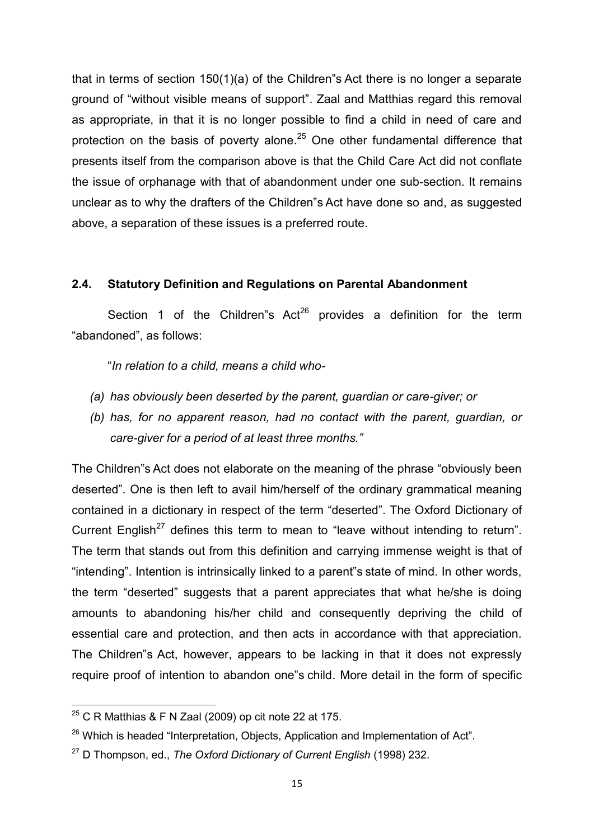that in terms of section 150(1)(a) of the Children"s Act there is no longer a separate ground of "without visible means of support". Zaal and Matthias regard this removal as appropriate, in that it is no longer possible to find a child in need of care and protection on the basis of poverty alone.<sup>25</sup> One other fundamental difference that presents itself from the comparison above is that the Child Care Act did not conflate the issue of orphanage with that of abandonment under one sub-section. It remains unclear as to why the drafters of the Children"s Act have done so and, as suggested above, a separation of these issues is a preferred route.

# **2.4. Statutory Definition and Regulations on Parental Abandonment**

Section 1 of the Children"s  $Act^{26}$  provides a definition for the term "abandoned", as follows:

"*In relation to a child, means a child who-* 

- *(a) has obviously been deserted by the parent, guardian or care-giver; or*
- *(b) has, for no apparent reason, had no contact with the parent, guardian, or care-giver for a period of at least three months."*

The Children"s Act does not elaborate on the meaning of the phrase "obviously been deserted". One is then left to avail him/herself of the ordinary grammatical meaning contained in a dictionary in respect of the term "deserted". The Oxford Dictionary of Current English<sup>27</sup> defines this term to mean to "leave without intending to return". The term that stands out from this definition and carrying immense weight is that of "intending". Intention is intrinsically linked to a parent"s state of mind. In other words, the term "deserted" suggests that a parent appreciates that what he/she is doing amounts to abandoning his/her child and consequently depriving the child of essential care and protection, and then acts in accordance with that appreciation. The Children"s Act, however, appears to be lacking in that it does not expressly require proof of intention to abandon one"s child. More detail in the form of specific

 $^{25}$  C R Matthias & F N Zaal (2009) op cit note 22 at 175.

<sup>&</sup>lt;sup>26</sup> Which is headed "Interpretation, Objects, Application and Implementation of Act".

<sup>27</sup> D Thompson, ed., *The Oxford Dictionary of Current English* (1998) 232.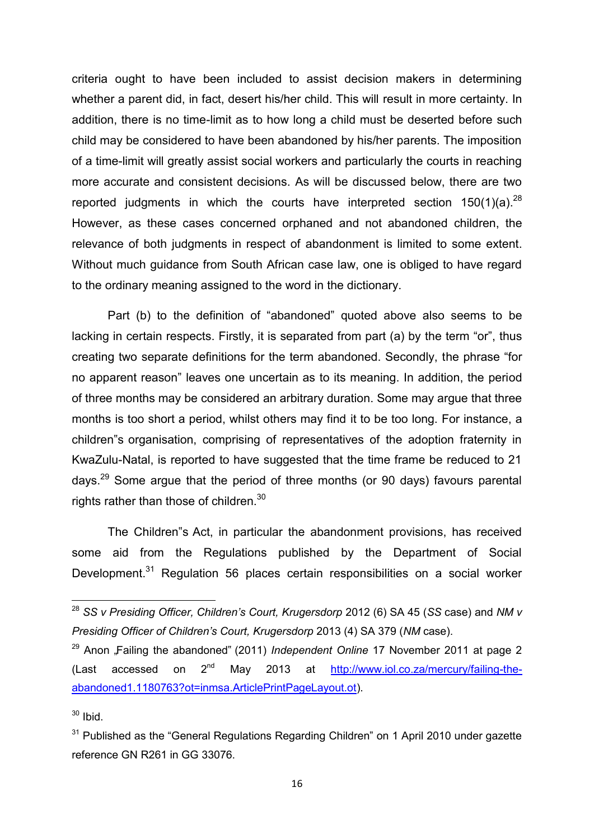criteria ought to have been included to assist decision makers in determining whether a parent did, in fact, desert his/her child. This will result in more certainty. In addition, there is no time-limit as to how long a child must be deserted before such child may be considered to have been abandoned by his/her parents. The imposition of a time-limit will greatly assist social workers and particularly the courts in reaching more accurate and consistent decisions. As will be discussed below, there are two reported judgments in which the courts have interpreted section  $150(1)(a).^{28}$ However, as these cases concerned orphaned and not abandoned children, the relevance of both judgments in respect of abandonment is limited to some extent. Without much guidance from South African case law, one is obliged to have regard to the ordinary meaning assigned to the word in the dictionary.

Part (b) to the definition of "abandoned" quoted above also seems to be lacking in certain respects. Firstly, it is separated from part (a) by the term "or", thus creating two separate definitions for the term abandoned. Secondly, the phrase "for no apparent reason" leaves one uncertain as to its meaning. In addition, the period of three months may be considered an arbitrary duration. Some may argue that three months is too short a period, whilst others may find it to be too long. For instance, a children"s organisation, comprising of representatives of the adoption fraternity in KwaZulu-Natal, is reported to have suggested that the time frame be reduced to 21 days.<sup>29</sup> Some argue that the period of three months (or 90 days) favours parental rights rather than those of children.<sup>30</sup>

The Children"s Act, in particular the abandonment provisions, has received some aid from the Regulations published by the Department of Social Development.<sup>31</sup> Regulation 56 places certain responsibilities on a social worker

<sup>28</sup> *SS v Presiding Officer, Children's Court, Krugersdorp* 2012 (6) SA 45 (*SS* case) and *NM v Presiding Officer of Children's Court, Krugersdorp* 2013 (4) SA 379 (*NM* case).

<sup>&</sup>lt;sup>29</sup> Anon "Failing the abandoned" (2011) *Independent Online* 17 November 2011 at page 2 (Last accessed on  $2^{nd}$  May 2013 at  $\frac{http://www.io.co.za/mercury/failure-the$ [abandoned1.1180763?ot=inmsa.ArticlePrintPageLayout.ot\)](http://www.iol.co.za/mercury/failing-the-abandoned1.1180763?ot=inmsa.ArticlePrintPageLayout.ot).

 $30$  Ibid.

 $31$  Published as the "General Regulations Regarding Children" on 1 April 2010 under gazette reference GN R261 in GG 33076.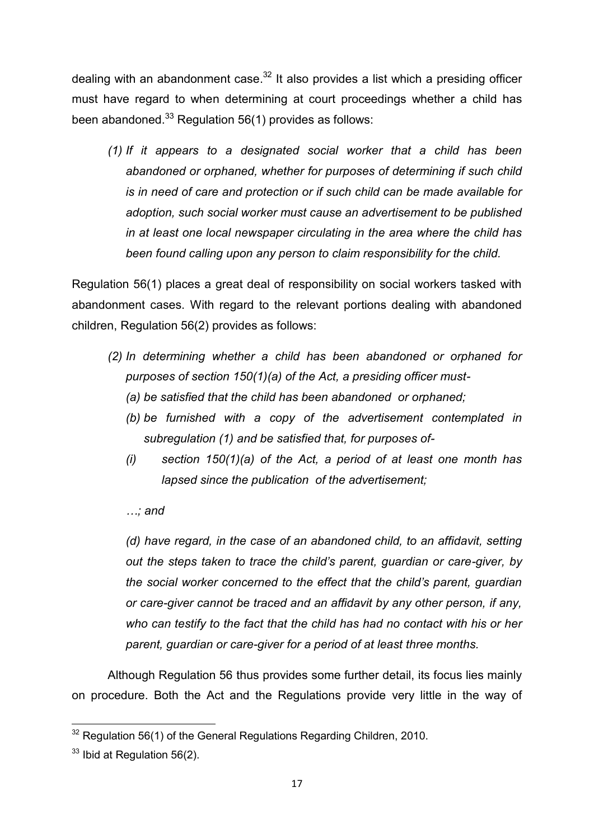dealing with an abandonment case.<sup>32</sup> It also provides a list which a presiding officer must have regard to when determining at court proceedings whether a child has been abandoned. $^{33}$  Regulation 56(1) provides as follows:

*(1) If it appears to a designated social worker that a child has been abandoned or orphaned, whether for purposes of determining if such child is in need of care and protection or if such child can be made available for adoption, such social worker must cause an advertisement to be published in at least one local newspaper circulating in the area where the child has been found calling upon any person to claim responsibility for the child.* 

Regulation 56(1) places a great deal of responsibility on social workers tasked with abandonment cases. With regard to the relevant portions dealing with abandoned children, Regulation 56(2) provides as follows:

- *(2) In determining whether a child has been abandoned or orphaned for purposes of section 150(1)(a) of the Act, a presiding officer must-* 
	- *(a) be satisfied that the child has been abandoned or orphaned;*
	- *(b) be furnished with a copy of the advertisement contemplated in subregulation (1) and be satisfied that, for purposes of-*
	- *(i) section 150(1)(a) of the Act, a period of at least one month has lapsed since the publication of the advertisement;*

# *…; and*

*(d) have regard, in the case of an abandoned child, to an affidavit, setting out the steps taken to trace the child's parent, guardian or care-giver, by the social worker concerned to the effect that the child's parent, guardian or care-giver cannot be traced and an affidavit by any other person, if any, who can testify to the fact that the child has had no contact with his or her parent, guardian or care-giver for a period of at least three months.* 

Although Regulation 56 thus provides some further detail, its focus lies mainly on procedure. Both the Act and the Regulations provide very little in the way of

<sup>1</sup>  $32$  Regulation 56(1) of the General Regulations Regarding Children, 2010.

 $33$  Ibid at Regulation 56(2).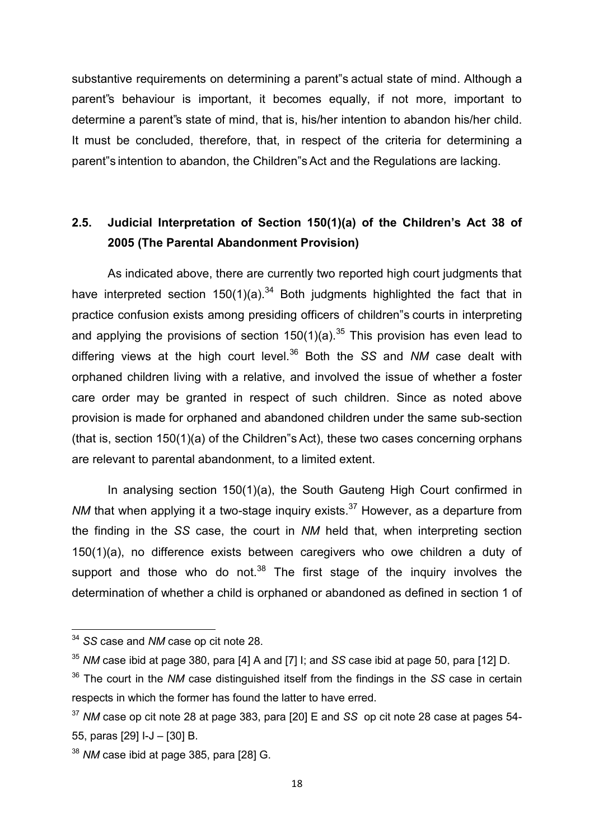substantive requirements on determining a parent"s actual state of mind. Although a parent"s behaviour is important, it becomes equally, if not more, important to determine a parent"s state of mind, that is, his/her intention to abandon his/her child. It must be concluded, therefore, that, in respect of the criteria for determining a parent"s intention to abandon, the Children"s Act and the Regulations are lacking.

# **2.5. Judicial Interpretation of Section 150(1)(a) of the Children's Act 38 of 2005 (The Parental Abandonment Provision)**

As indicated above, there are currently two reported high court judgments that have interpreted section  $150(1)(a)^{34}$  Both judgments highlighted the fact that in practice confusion exists among presiding officers of children"s courts in interpreting and applying the provisions of section  $150(1)(a)$ .<sup>35</sup> This provision has even lead to differing views at the high court level.<sup>36</sup> Both the *SS* and *NM* case dealt with orphaned children living with a relative, and involved the issue of whether a foster care order may be granted in respect of such children. Since as noted above provision is made for orphaned and abandoned children under the same sub-section (that is, section 150(1)(a) of the Children"s Act), these two cases concerning orphans are relevant to parental abandonment, to a limited extent.

In analysing section 150(1)(a), the South Gauteng High Court confirmed in *NM* that when applying it a two-stage inquiry exists.<sup>37</sup> However, as a departure from the finding in the *SS* case, the court in *NM* held that, when interpreting section 150(1)(a), no difference exists between caregivers who owe children a duty of support and those who do not. $38$  The first stage of the inquiry involves the determination of whether a child is orphaned or abandoned as defined in section 1 of

<sup>34</sup> *SS* case and *NM* case op cit note 28.

<sup>35</sup> *NM* case ibid at page 380, para [4] A and [7] I; and *SS* case ibid at page 50, para [12] D.

<sup>36</sup> The court in the *NM* case distinguished itself from the findings in the *SS* case in certain respects in which the former has found the latter to have erred.

<sup>37</sup> *NM* case op cit note 28 at page 383, para [20] E and *SS* op cit note 28 case at pages 54- 55, paras [29] I-J – [30] B.

<sup>38</sup> *NM* case ibid at page 385, para [28] G.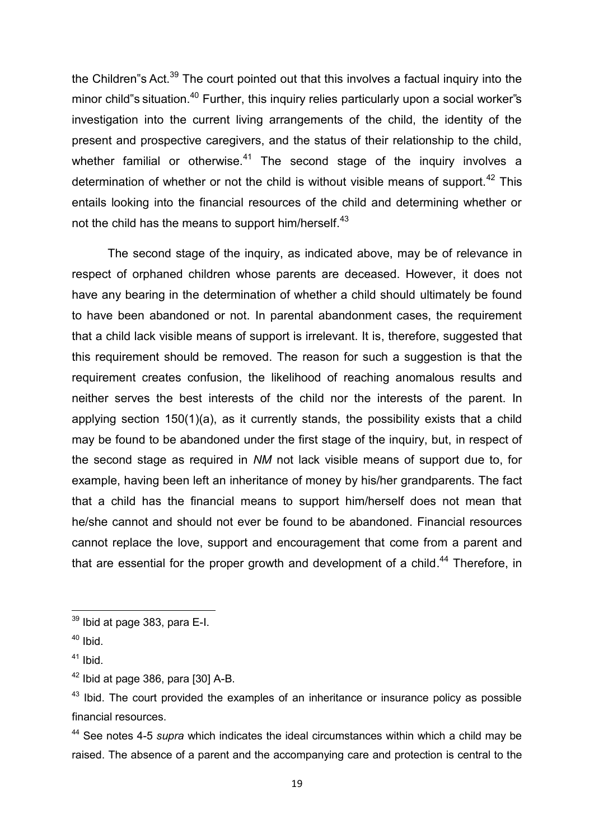the Children"s Act.<sup>39</sup> The court pointed out that this involves a factual inquiry into the minor child"s situation.<sup>40</sup> Further, this inquiry relies particularly upon a social worker"s investigation into the current living arrangements of the child, the identity of the present and prospective caregivers, and the status of their relationship to the child, whether familial or otherwise. $41$  The second stage of the inquiry involves a determination of whether or not the child is without visible means of support.<sup>42</sup> This entails looking into the financial resources of the child and determining whether or not the child has the means to support him/herself.<sup>43</sup>

 The second stage of the inquiry, as indicated above, may be of relevance in respect of orphaned children whose parents are deceased. However, it does not have any bearing in the determination of whether a child should ultimately be found to have been abandoned or not. In parental abandonment cases, the requirement that a child lack visible means of support is irrelevant. It is, therefore, suggested that this requirement should be removed. The reason for such a suggestion is that the requirement creates confusion, the likelihood of reaching anomalous results and neither serves the best interests of the child nor the interests of the parent. In applying section 150(1)(a), as it currently stands, the possibility exists that a child may be found to be abandoned under the first stage of the inquiry, but, in respect of the second stage as required in *NM* not lack visible means of support due to, for example, having been left an inheritance of money by his/her grandparents. The fact that a child has the financial means to support him/herself does not mean that he/she cannot and should not ever be found to be abandoned. Financial resources cannot replace the love, support and encouragement that come from a parent and that are essential for the proper growth and development of a child.<sup>44</sup> Therefore, in

1

 $39$  Ibid at page 383, para E-I.

 $40$  Ibid.

 $41$  Ibid.

 $42$  Ibid at page 386, para [30] A-B.

 $43$  Ibid. The court provided the examples of an inheritance or insurance policy as possible financial resources.

<sup>44</sup> See notes 4-5 *supra* which indicates the ideal circumstances within which a child may be raised. The absence of a parent and the accompanying care and protection is central to the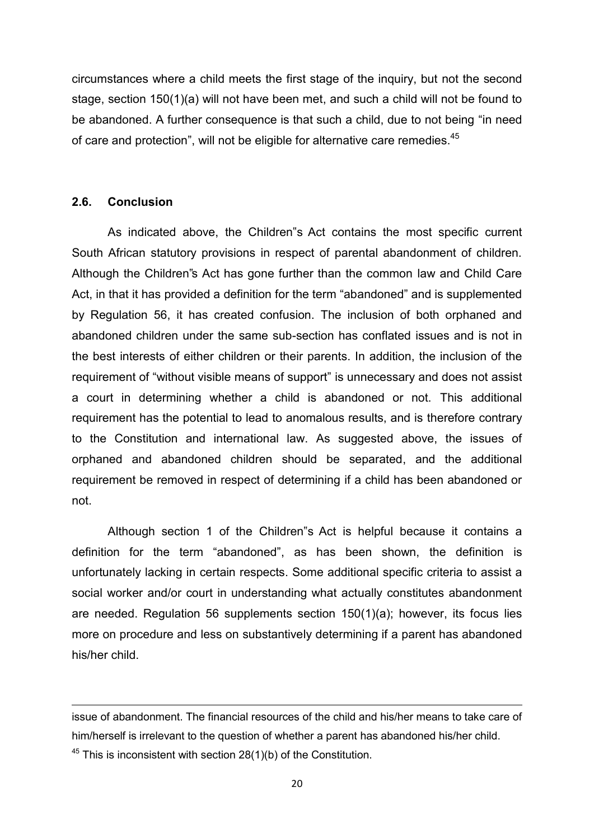circumstances where a child meets the first stage of the inquiry, but not the second stage, section 150(1)(a) will not have been met, and such a child will not be found to be abandoned. A further consequence is that such a child, due to not being "in need of care and protection", will not be eligible for alternative care remedies.<sup>45</sup>

## **2.6. Conclusion**

**.** 

As indicated above, the Children"s Act contains the most specific current South African statutory provisions in respect of parental abandonment of children. Although the Children"s Act has gone further than the common law and Child Care Act, in that it has provided a definition for the term "abandoned" and is supplemented by Regulation 56, it has created confusion. The inclusion of both orphaned and abandoned children under the same sub-section has conflated issues and is not in the best interests of either children or their parents. In addition, the inclusion of the requirement of "without visible means of support" is unnecessary and does not assist a court in determining whether a child is abandoned or not. This additional requirement has the potential to lead to anomalous results, and is therefore contrary to the Constitution and international law. As suggested above, the issues of orphaned and abandoned children should be separated, and the additional requirement be removed in respect of determining if a child has been abandoned or not.

 Although section 1 of the Children"s Act is helpful because it contains a definition for the term "abandoned", as has been shown, the definition is unfortunately lacking in certain respects. Some additional specific criteria to assist a social worker and/or court in understanding what actually constitutes abandonment are needed. Regulation 56 supplements section 150(1)(a); however, its focus lies more on procedure and less on substantively determining if a parent has abandoned his/her child.

issue of abandonment. The financial resources of the child and his/her means to take care of him/herself is irrelevant to the question of whether a parent has abandoned his/her child.  $45$  This is inconsistent with section 28(1)(b) of the Constitution.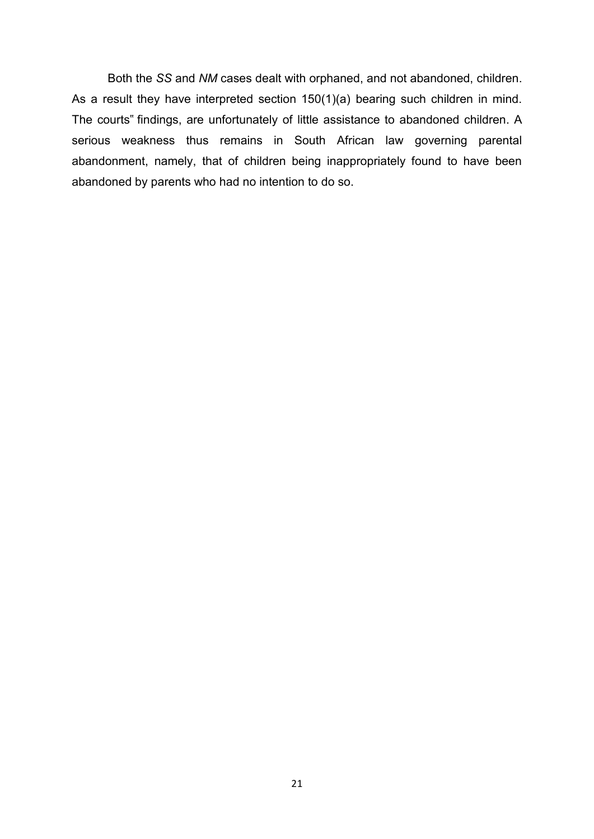Both the *SS* and *NM* cases dealt with orphaned, and not abandoned, children. As a result they have interpreted section 150(1)(a) bearing such children in mind. The courts" findings, are unfortunately of little assistance to abandoned children. A serious weakness thus remains in South African law governing parental abandonment, namely, that of children being inappropriately found to have been abandoned by parents who had no intention to do so.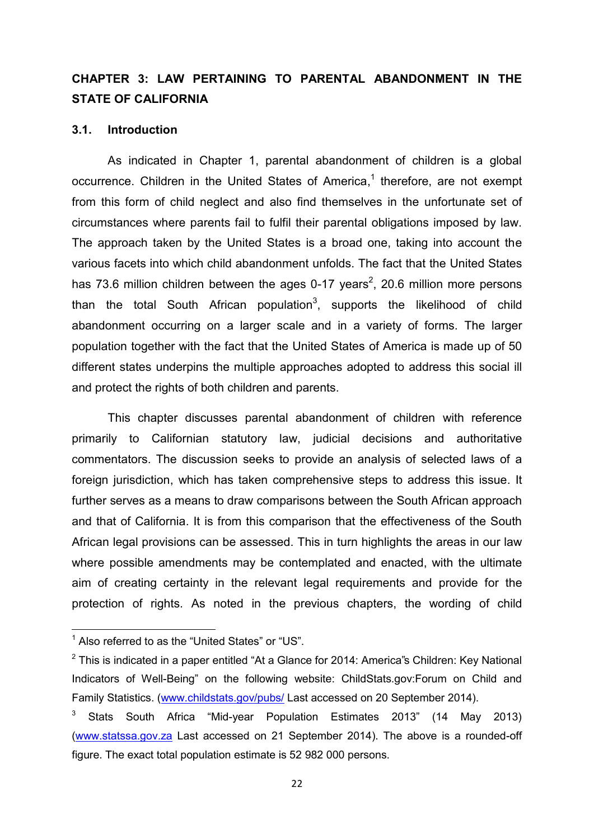# **CHAPTER 3: LAW PERTAINING TO PARENTAL ABANDONMENT IN THE STATE OF CALIFORNIA**

#### **3.1.** Introduction

 As indicated in Chapter 1, parental abandonment of children is a global occurrence. Children in the United States of America,<sup>1</sup> therefore, are not exempt from this form of child neglect and also find themselves in the unfortunate set of circumstances where parents fail to fulfil their parental obligations imposed by law. The approach taken by the United States is a broad one, taking into account the various facets into which child abandonment unfolds. The fact that the United States has 73.6 million children between the ages 0-17 years<sup>2</sup>, 20.6 million more persons than the total South African population $^3$ , supports the likelihood of child abandonment occurring on a larger scale and in a variety of forms. The larger population together with the fact that the United States of America is made up of 50 different states underpins the multiple approaches adopted to address this social ill and protect the rights of both children and parents.

This chapter discusses parental abandonment of children with reference primarily to Californian statutory law, judicial decisions and authoritative commentators. The discussion seeks to provide an analysis of selected laws of a foreign jurisdiction, which has taken comprehensive steps to address this issue. It further serves as a means to draw comparisons between the South African approach and that of California. It is from this comparison that the effectiveness of the South African legal provisions can be assessed. This in turn highlights the areas in our law where possible amendments may be contemplated and enacted, with the ultimate aim of creating certainty in the relevant legal requirements and provide for the protection of rights. As noted in the previous chapters, the wording of child

 $1$  Also referred to as the "United States" or "US".

 $2$  This is indicated in a paper entitled "At a Glance for 2014: America"s Children: Key National Indicators of Well-Being" on the following website: ChildStats.gov:Forum on Child and Family Statistics. [\(www.childstats.gov/pubs/](http://www.childstats.gov/pubs/) Last accessed on 20 September 2014).

<sup>3</sup> Stats South Africa "Mid-year Population Estimates 2013" (14 May 2013) [\(www.statssa.gov.za](http://www.statssa.gov.za/) Last accessed on 21 September 2014). The above is a rounded-off figure. The exact total population estimate is 52 982 000 persons.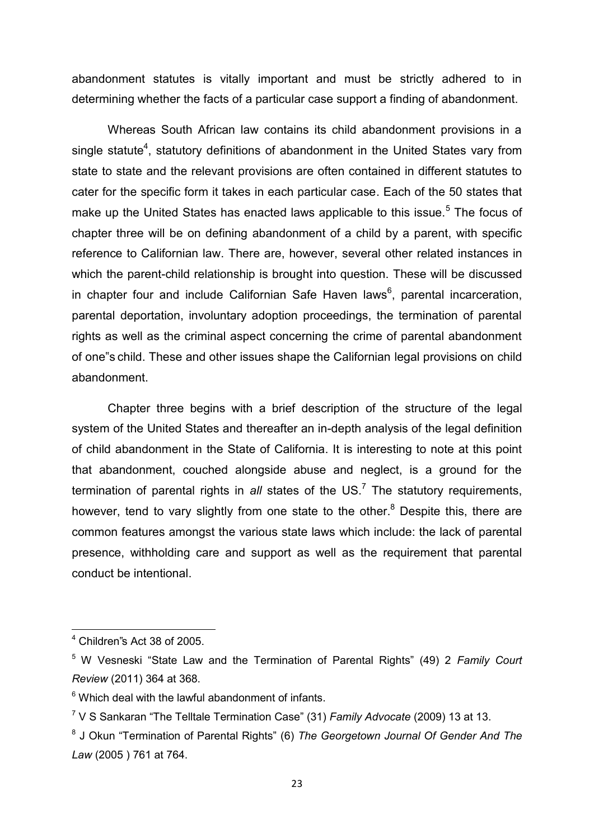abandonment statutes is vitally important and must be strictly adhered to in determining whether the facts of a particular case support a finding of abandonment.

Whereas South African law contains its child abandonment provisions in a single statute<sup>4</sup>, statutory definitions of abandonment in the United States vary from state to state and the relevant provisions are often contained in different statutes to cater for the specific form it takes in each particular case. Each of the 50 states that make up the United States has enacted laws applicable to this issue.<sup>5</sup> The focus of chapter three will be on defining abandonment of a child by a parent, with specific reference to Californian law. There are, however, several other related instances in which the parent-child relationship is brought into question. These will be discussed in chapter four and include Californian Safe Haven laws<sup>6</sup>, parental incarceration, parental deportation, involuntary adoption proceedings, the termination of parental rights as well as the criminal aspect concerning the crime of parental abandonment of one"s child. These and other issues shape the Californian legal provisions on child abandonment.

Chapter three begins with a brief description of the structure of the legal system of the United States and thereafter an in-depth analysis of the legal definition of child abandonment in the State of California. It is interesting to note at this point that abandonment, couched alongside abuse and neglect, is a ground for the termination of parental rights in all states of the US.<sup>7</sup> The statutory requirements, however, tend to vary slightly from one state to the other.<sup>8</sup> Despite this, there are common features amongst the various state laws which include: the lack of parental presence, withholding care and support as well as the requirement that parental conduct be intentional.

 $4$  Children"s Act 38 of 2005.

<sup>5</sup> W Vesneski "State Law and the Termination of Parental Rights" (49) 2 *Family Court Review* (2011) 364 at 368.

 $6$  Which deal with the lawful abandonment of infants.

<sup>7</sup> V S Sankaran "The Telltale Termination Case" (31) *Family Advocate* (2009) 13 at 13.

<sup>8</sup> J Okun "Termination of Parental Rights" (6) *The Georgetown Journal Of Gender And The Law* (2005 ) 761 at 764.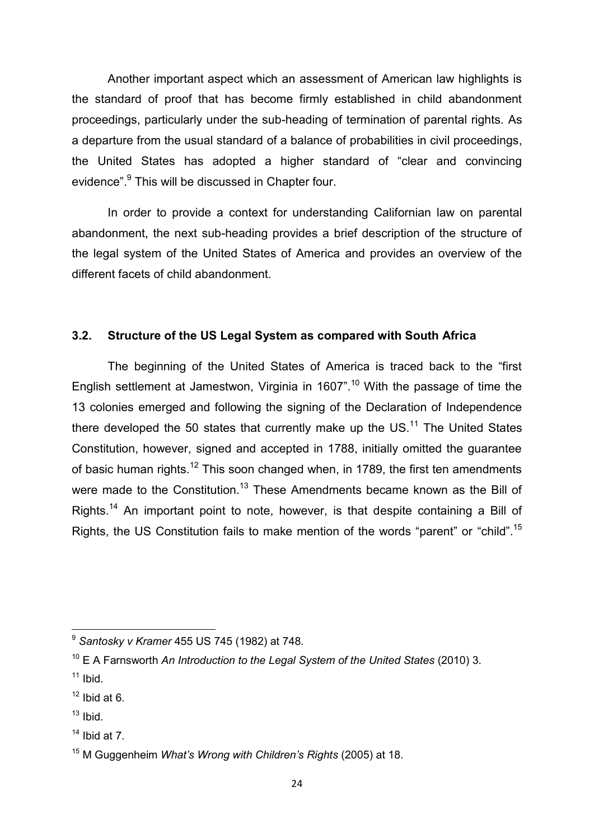Another important aspect which an assessment of American law highlights is the standard of proof that has become firmly established in child abandonment proceedings, particularly under the sub-heading of termination of parental rights. As a departure from the usual standard of a balance of probabilities in civil proceedings, the United States has adopted a higher standard of "clear and convincing evidence".<sup>9</sup> This will be discussed in Chapter four.

In order to provide a context for understanding Californian law on parental abandonment, the next sub-heading provides a brief description of the structure of the legal system of the United States of America and provides an overview of the different facets of child abandonment.

### **3.2. Structure of the US Legal System as compared with South Africa**

The beginning of the United States of America is traced back to the "first English settlement at Jamestwon, Virginia in 1607".<sup>10</sup> With the passage of time the 13 colonies emerged and following the signing of the Declaration of Independence there developed the 50 states that currently make up the US.<sup>11</sup> The United States Constitution, however, signed and accepted in 1788, initially omitted the guarantee of basic human rights.<sup>12</sup> This soon changed when, in 1789, the first ten amendments were made to the Constitution.<sup>13</sup> These Amendments became known as the Bill of Rights.<sup>14</sup> An important point to note, however, is that despite containing a Bill of Rights, the US Constitution fails to make mention of the words "parent" or "child".<sup>15</sup>

<sup>9</sup> *Santosky v Kramer* 455 US 745 (1982) at 748.

<sup>10</sup> E A Farnsworth *An Introduction to the Legal System of the United States* (2010) 3.

 $11$  Ibid.

 $12$  Ibid at 6.

 $13$  Ibid.

 $14$  Ibid at 7.

<sup>15</sup> M Guggenheim *What's Wrong with Children's Rights* (2005) at 18.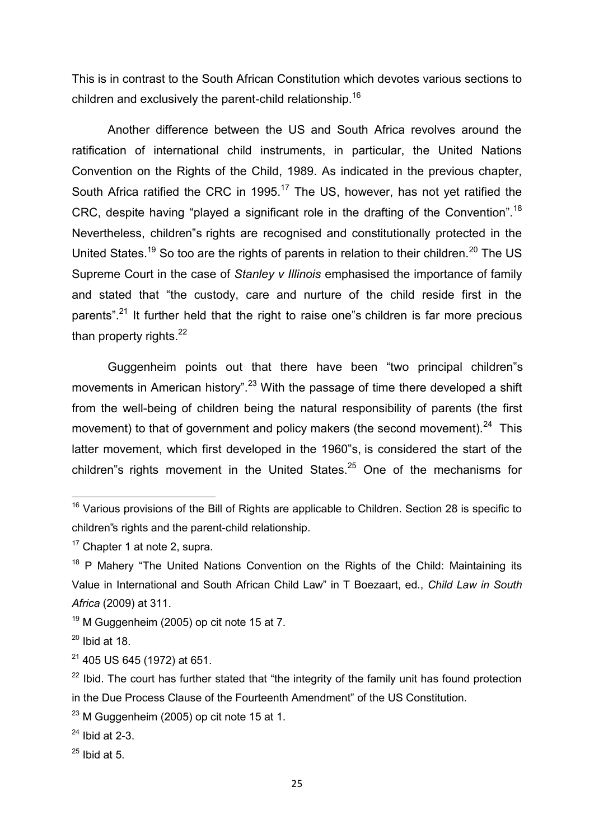This is in contrast to the South African Constitution which devotes various sections to children and exclusively the parent-child relationship. $^{16}$ 

Another difference between the US and South Africa revolves around the ratification of international child instruments, in particular, the United Nations Convention on the Rights of the Child, 1989. As indicated in the previous chapter, South Africa ratified the CRC in 1995.<sup>17</sup> The US, however, has not yet ratified the CRC, despite having "played a significant role in the drafting of the Convention".<sup>18</sup> Nevertheless, children"s rights are recognised and constitutionally protected in the United States.<sup>19</sup> So too are the rights of parents in relation to their children.<sup>20</sup> The US Supreme Court in the case of *Stanley v Illinois* emphasised the importance of family and stated that "the custody, care and nurture of the child reside first in the parents".<sup>21</sup> It further held that the right to raise one s children is far more precious than property rights.<sup>22</sup>

Guggenheim points out that there have been "two principal children"s movements in American history".<sup>23</sup> With the passage of time there developed a shift from the well-being of children being the natural responsibility of parents (the first movement) to that of government and policy makers (the second movement).<sup>24</sup> This latter movement, which first developed in the 1960"s, is considered the start of the children"s rights movement in the United States. $25$  One of the mechanisms for

 $16$  Various provisions of the Bill of Rights are applicable to Children. Section 28 is specific to children"s rights and the parent-child relationship.

 $17$  Chapter 1 at note 2, supra.

 $18$  P Mahery "The United Nations Convention on the Rights of the Child: Maintaining its Value in International and South African Child Law" in T Boezaart, ed., *Child Law in South Africa* (2009) at 311.

 $19$  M Guggenheim (2005) op cit note 15 at 7.

 $20$  Ibid at 18.

 $21$  405 US 645 (1972) at 651.

 $22$  Ibid. The court has further stated that "the integrity of the family unit has found protection in the Due Process Clause of the Fourteenth Amendment" of the US Constitution.

 $23$  M Guggenheim (2005) op cit note 15 at 1.

 $24$  Ibid at 2-3.

 $25$  Ibid at 5.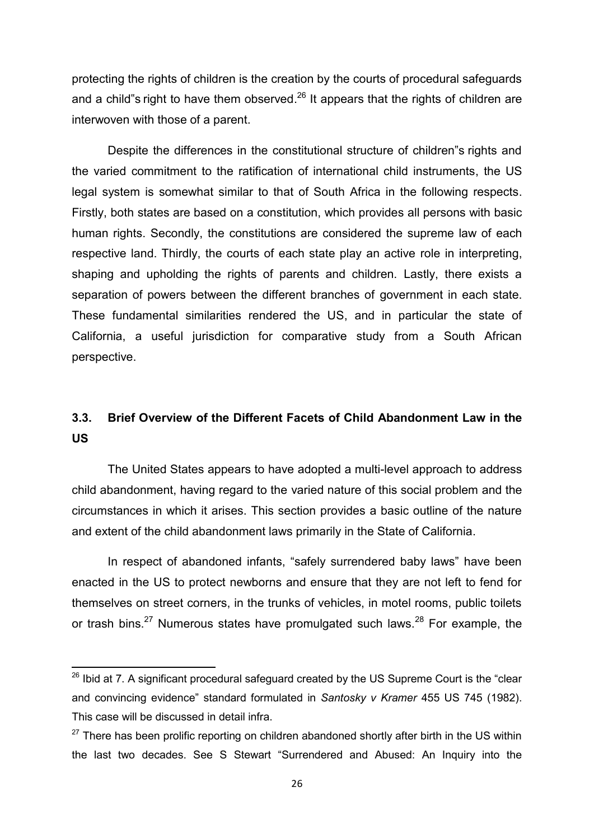protecting the rights of children is the creation by the courts of procedural safeguards and a child"s right to have them observed.<sup>26</sup> It appears that the rights of children are interwoven with those of a parent.

Despite the differences in the constitutional structure of children"s rights and the varied commitment to the ratification of international child instruments, the US legal system is somewhat similar to that of South Africa in the following respects. Firstly, both states are based on a constitution, which provides all persons with basic human rights. Secondly, the constitutions are considered the supreme law of each respective land. Thirdly, the courts of each state play an active role in interpreting, shaping and upholding the rights of parents and children. Lastly, there exists a separation of powers between the different branches of government in each state. These fundamental similarities rendered the US, and in particular the state of California, a useful jurisdiction for comparative study from a South African perspective.

# **3.3. Brief Overview of the Different Facets of Child Abandonment Law in the US**

 The United States appears to have adopted a multi-level approach to address child abandonment, having regard to the varied nature of this social problem and the circumstances in which it arises. This section provides a basic outline of the nature and extent of the child abandonment laws primarily in the State of California.

In respect of abandoned infants, "safely surrendered baby laws" have been enacted in the US to protect newborns and ensure that they are not left to fend for themselves on street corners, in the trunks of vehicles, in motel rooms, public toilets or trash bins.<sup>27</sup> Numerous states have promulgated such laws.<sup>28</sup> For example, the

1

 $^{26}$  Ibid at 7. A significant procedural safeguard created by the US Supreme Court is the "clear and convincing evidence" standard formulated in *Santosky v Kramer* 455 US 745 (1982). This case will be discussed in detail infra.

 $27$  There has been prolific reporting on children abandoned shortly after birth in the US within the last two decades. See S Stewart "Surrendered and Abused: An Inquiry into the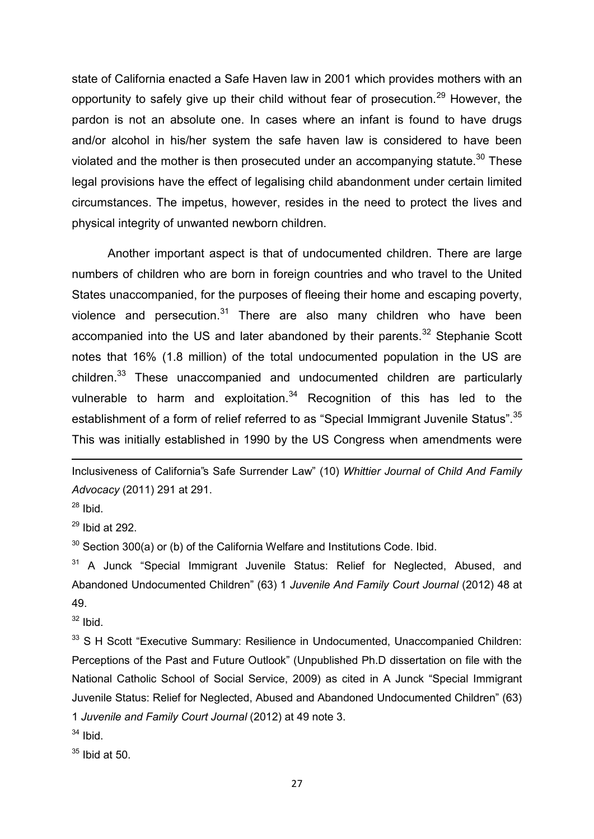state of California enacted a Safe Haven law in 2001 which provides mothers with an opportunity to safely give up their child without fear of prosecution.<sup>29</sup> However, the pardon is not an absolute one. In cases where an infant is found to have drugs and/or alcohol in his/her system the safe haven law is considered to have been violated and the mother is then prosecuted under an accompanying statute.<sup>30</sup> These legal provisions have the effect of legalising child abandonment under certain limited circumstances. The impetus, however, resides in the need to protect the lives and physical integrity of unwanted newborn children.

Another important aspect is that of undocumented children. There are large numbers of children who are born in foreign countries and who travel to the United States unaccompanied, for the purposes of fleeing their home and escaping poverty, violence and persecution. $31$  There are also many children who have been accompanied into the US and later abandoned by their parents.<sup>32</sup> Stephanie Scott notes that 16% (1.8 million) of the total undocumented population in the US are children.<sup>33</sup> These unaccompanied and undocumented children are particularly vulnerable to harm and exploitation.<sup>34</sup> Recognition of this has led to the establishment of a form of relief referred to as "Special Immigrant Juvenile Status".<sup>35</sup> This was initially established in 1990 by the US Congress when amendments were

Inclusiveness of California"s Safe Surrender Law" (10) *Whittier Journal of Child And Family Advocacy* (2011) 291 at 291.

 $28$  Ibid.

1

 $29$  Ibid at 292.

 $30$  Section 300(a) or (b) of the California Welfare and Institutions Code. Ibid.

 $31$  A Junck "Special Immigrant Juvenile Status: Relief for Neglected, Abused, and Abandoned Undocumented Children" (63) 1 *Juvenile And Family Court Journal* (2012) 48 at 49.

 $32$  Ibid.

<sup>33</sup> S H Scott "Executive Summary: Resilience in Undocumented, Unaccompanied Children: Perceptions of the Past and Future Outlook" (Unpublished Ph.D dissertation on file with the National Catholic School of Social Service, 2009) as cited in A Junck "Special Immigrant Juvenile Status: Relief for Neglected, Abused and Abandoned Undocumented Children" (63) 1 *Juvenile and Family Court Journal* (2012) at 49 note 3.

 $34$  Ibid.

 $35$  Ibid at 50.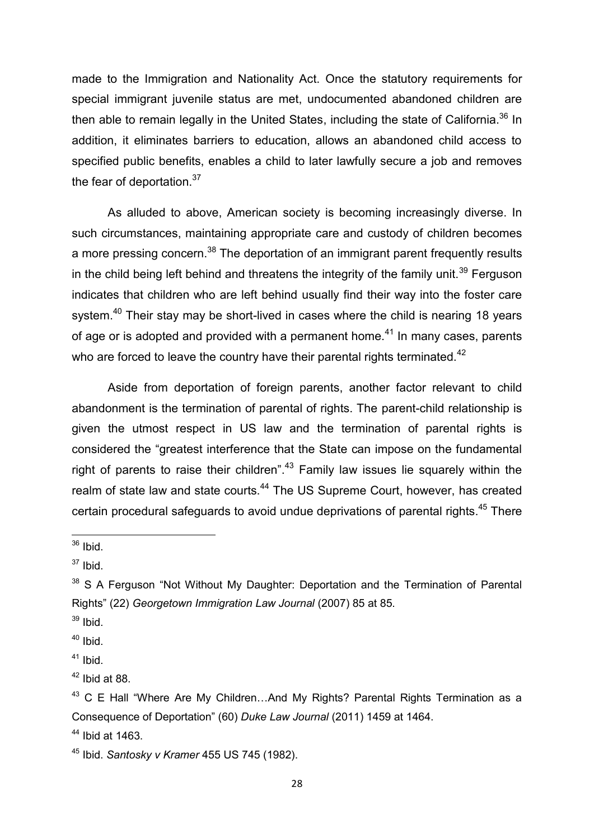made to the Immigration and Nationality Act. Once the statutory requirements for special immigrant juvenile status are met, undocumented abandoned children are then able to remain legally in the United States, including the state of California.<sup>36</sup> In addition, it eliminates barriers to education, allows an abandoned child access to specified public benefits, enables a child to later lawfully secure a job and removes the fear of deportation. $37$ 

As alluded to above, American society is becoming increasingly diverse. In such circumstances, maintaining appropriate care and custody of children becomes a more pressing concern.<sup>38</sup> The deportation of an immigrant parent frequently results in the child being left behind and threatens the integrity of the family unit.<sup>39</sup> Ferguson indicates that children who are left behind usually find their way into the foster care system.<sup>40</sup> Their stay may be short-lived in cases where the child is nearing 18 years of age or is adopted and provided with a permanent home.<sup>41</sup> In many cases, parents who are forced to leave the country have their parental rights terminated.<sup>42</sup>

Aside from deportation of foreign parents, another factor relevant to child abandonment is the termination of parental of rights. The parent-child relationship is given the utmost respect in US law and the termination of parental rights is considered the "greatest interference that the State can impose on the fundamental right of parents to raise their children".<sup>43</sup> Family law issues lie squarely within the realm of state law and state courts.<sup>44</sup> The US Supreme Court, however, has created certain procedural safeguards to avoid undue deprivations of parental rights.<sup>45</sup> There

**.** 

- $39$  Ibid.
- $40$  Ibid.
- $41$  Ibid.

 $36$  Ibid.

 $37$  Ibid.

<sup>&</sup>lt;sup>38</sup> S A Ferguson "Not Without My Daughter: Deportation and the Termination of Parental Rights" (22) *Georgetown Immigration Law Journal* (2007) 85 at 85.

 $42$  Ibid at 88.

 $43$  C E Hall "Where Are My Children...And My Rights? Parental Rights Termination as a Consequence of Deportation" (60) *Duke Law Journal* (2011) 1459 at 1464.

 $44$  Ibid at 1463.

<sup>45</sup> Ibid. *Santosky v Kramer* 455 US 745 (1982).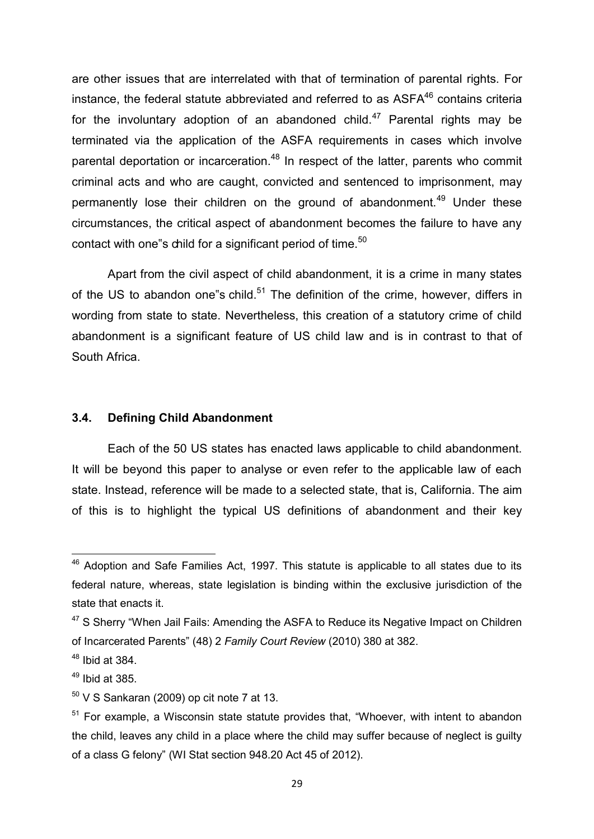are other issues that are interrelated with that of termination of parental rights. For instance, the federal statute abbreviated and referred to as  $ASFA^{46}$  contains criteria for the involuntary adoption of an abandoned child.<sup>47</sup> Parental rights may be terminated via the application of the ASFA requirements in cases which involve parental deportation or incarceration.<sup>48</sup> In respect of the latter, parents who commit criminal acts and who are caught, convicted and sentenced to imprisonment, may permanently lose their children on the ground of abandonment.<sup>49</sup> Under these circumstances, the critical aspect of abandonment becomes the failure to have any contact with one"s child for a significant period of time.<sup>50</sup>

Apart from the civil aspect of child abandonment, it is a crime in many states of the US to abandon one"s child. $51$  The definition of the crime, however, differs in wording from state to state. Nevertheless, this creation of a statutory crime of child abandonment is a significant feature of US child law and is in contrast to that of South Africa.

#### **3.4. Defining Child Abandonment**

 Each of the 50 US states has enacted laws applicable to child abandonment. It will be beyond this paper to analyse or even refer to the applicable law of each state. Instead, reference will be made to a selected state, that is, California. The aim of this is to highlight the typical US definitions of abandonment and their key

**.** 

 $46$  Adoption and Safe Families Act, 1997. This statute is applicable to all states due to its federal nature, whereas, state legislation is binding within the exclusive jurisdiction of the state that enacts it.

<sup>&</sup>lt;sup>47</sup> S Sherry "When Jail Fails: Amending the ASFA to Reduce its Negative Impact on Children of Incarcerated Parents" (48) 2 *Family Court Review* (2010) 380 at 382.

 $48$  Ibid at 384.

 $49$  Ibid at 385.

 $50$  V S Sankaran (2009) op cit note 7 at 13.

<sup>&</sup>lt;sup>51</sup> For example, a Wisconsin state statute provides that, "Whoever, with intent to abandon the child, leaves any child in a place where the child may suffer because of neglect is guilty of a class G felony" (WI Stat section 948.20 Act 45 of 2012).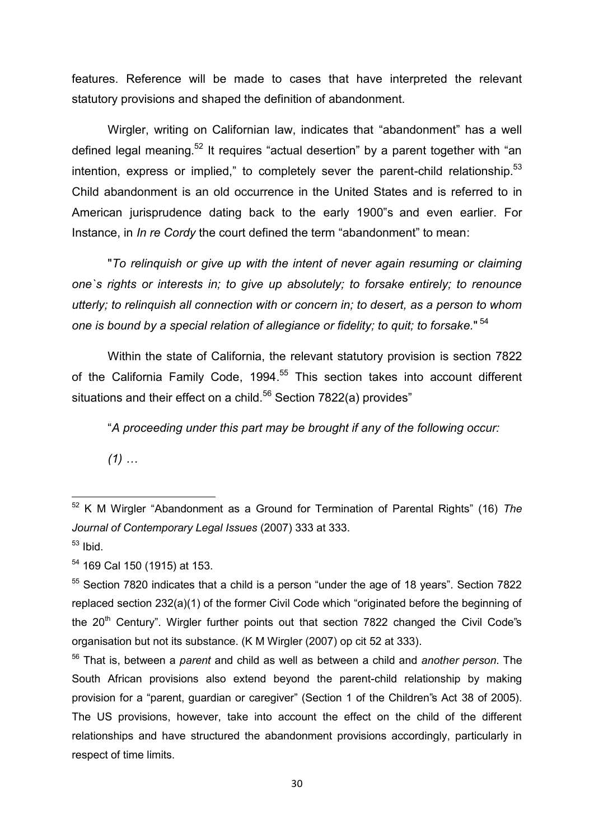features. Reference will be made to cases that have interpreted the relevant statutory provisions and shaped the definition of abandonment.

Wirgler, writing on Californian law, indicates that "abandonment" has a well defined legal meaning.<sup>52</sup> It requires "actual desertion" by a parent together with "an intention, express or implied," to completely sever the parent-child relationship.<sup>53</sup> Child abandonment is an old occurrence in the United States and is referred to in American jurisprudence dating back to the early 1900"s and even earlier. For Instance, in *In re Cordy* the court defined the term "abandonment" to mean:

"*To relinquish or give up with the intent of never again resuming or claiming one`s rights or interests in; to give up absolutely; to forsake entirely; to renounce utterly; to relinquish all connection with or concern in; to desert, as a person to whom one is bound by a special relation of allegiance or fidelity; to quit; to forsake.*" 54

Within the state of California, the relevant statutory provision is section 7822 of the California Family Code, 1994.<sup>55</sup> This section takes into account different situations and their effect on a child.<sup>56</sup> Section 7822(a) provides"

"*A proceeding under this part may be brought if any of the following occur:* 

*(1) …*

**<sup>.</sup>** <sup>52</sup> K M Wirgler "Abandonment as a Ground for Termination of Parental Rights" (16) *The Journal of Contemporary Legal Issues* (2007) 333 at 333.  $53$  Ibid.

<sup>54</sup> 169 Cal 150 (1915) at 153.

<sup>&</sup>lt;sup>55</sup> Section 7820 indicates that a child is a person "under the age of 18 years". Section 7822 replaced section 232(a)(1) of the former Civil Code which "originated before the beginning of the  $20<sup>th</sup>$  Century". Wirgler further points out that section 7822 changed the Civil Code's organisation but not its substance. (K M Wirgler (2007) op cit 52 at 333).

<sup>56</sup> That is, between a *parent* and child as well as between a child and *another person*. The South African provisions also extend beyond the parent-child relationship by making provision for a "parent, guardian or caregiver" (Section 1 of the Children"s Act 38 of 2005). The US provisions, however, take into account the effect on the child of the different relationships and have structured the abandonment provisions accordingly, particularly in respect of time limits.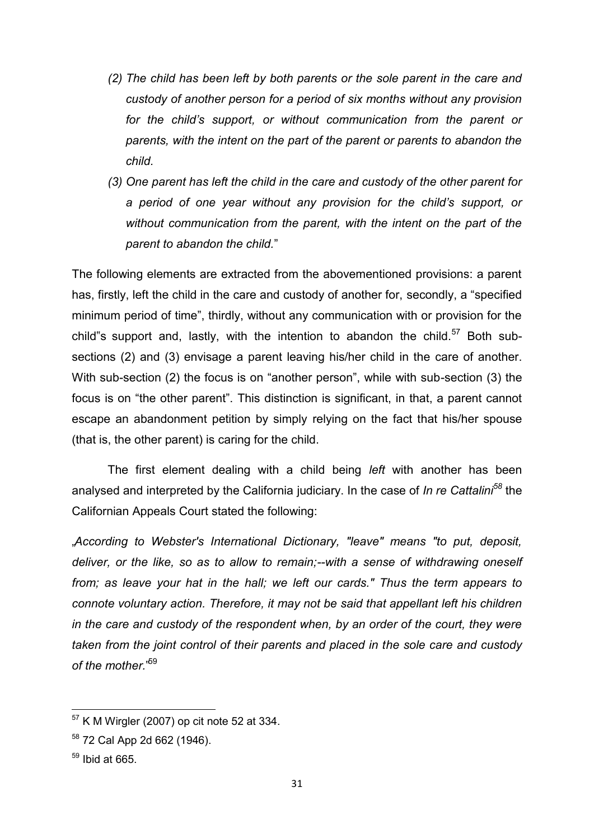- *(2) The child has been left by both parents or the sole parent in the care and custody of another person for a period of six months without any provision for the child's support, or without communication from the parent or parents, with the intent on the part of the parent or parents to abandon the child.*
- *(3) One parent has left the child in the care and custody of the other parent for a period of one year without any provision for the child's support, or without communication from the parent, with the intent on the part of the parent to abandon the child.*"

The following elements are extracted from the abovementioned provisions: a parent has, firstly, left the child in the care and custody of another for, secondly, a "specified minimum period of time", thirdly, without any communication with or provision for the child"s support and, lastly, with the intention to abandon the child.<sup>57</sup> Both subsections (2) and (3) envisage a parent leaving his/her child in the care of another. With sub-section (2) the focus is on "another person", while with sub-section (3) the focus is on "the other parent". This distinction is significant, in that, a parent cannot escape an abandonment petition by simply relying on the fact that his/her spouse (that is, the other parent) is caring for the child.

 The first element dealing with a child being *left* with another has been analysed and interpreted by the California judiciary. In the case of *In re Cattalini<sup>58</sup>* the Californian Appeals Court stated the following:

"*According to Webster's International Dictionary, "leave" means "to put, deposit, deliver, or the like, so as to allow to remain;--with a sense of withdrawing oneself from; as leave your hat in the hall; we left our cards." Thus the term appears to connote voluntary action. Therefore, it may not be said that appellant left his children in the care and custody of the respondent when, by an order of the court, they were taken from the joint control of their parents and placed in the sole care and custody of the mother.*" 59

 $57$  K M Wirgler (2007) op cit note 52 at 334.

<sup>58</sup> 72 Cal App 2d 662 (1946).

 $59$  Ibid at 665.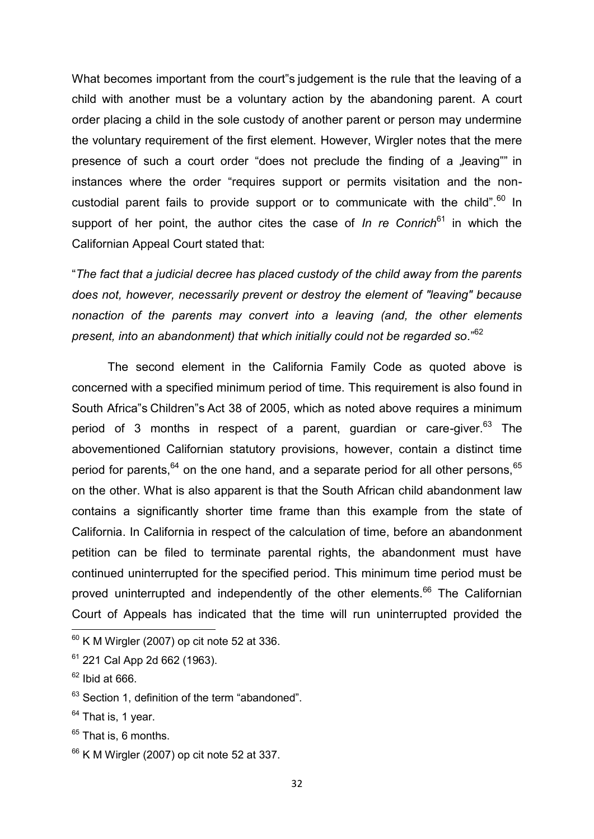What becomes important from the court"s judgement is the rule that the leaving of a child with another must be a voluntary action by the abandoning parent. A court order placing a child in the sole custody of another parent or person may undermine the voluntary requirement of the first element. However, Wirgler notes that the mere presence of such a court order "does not preclude the finding of a "leaving"" in instances where the order "requires support or permits visitation and the noncustodial parent fails to provide support or to communicate with the child". $60$  In support of her point, the author cites the case of *In re Conrich*<sup>61</sup> in which the Californian Appeal Court stated that:

"*The fact that a judicial decree has placed custody of the child away from the parents does not, however, necessarily prevent or destroy the element of "leaving" because nonaction of the parents may convert into a leaving (and, the other elements present, into an abandonment) that which initially could not be regarded so.*" 62

The second element in the California Family Code as quoted above is concerned with a specified minimum period of time. This requirement is also found in South Africa"s Children"s Act 38 of 2005, which as noted above requires a minimum period of 3 months in respect of a parent, guardian or care-giver.  $63$  The abovementioned Californian statutory provisions, however, contain a distinct time period for parents,  $64$  on the one hand, and a separate period for all other persons,  $65$ on the other. What is also apparent is that the South African child abandonment law contains a significantly shorter time frame than this example from the state of California. In California in respect of the calculation of time, before an abandonment petition can be filed to terminate parental rights, the abandonment must have continued uninterrupted for the specified period. This minimum time period must be proved uninterrupted and independently of the other elements.<sup>66</sup> The Californian Court of Appeals has indicated that the time will run uninterrupted provided the

**.** 

 $60$  K M Wirgler (2007) op cit note 52 at 336.

 $61$  221 Cal App 2d 662 (1963).

 $62$  Ibid at 666.

 $63$  Section 1, definition of the term "abandoned".

<sup>&</sup>lt;sup>64</sup> That is, 1 year.

 $65$  That is, 6 months.

 $66$  K M Wirgler (2007) op cit note 52 at 337.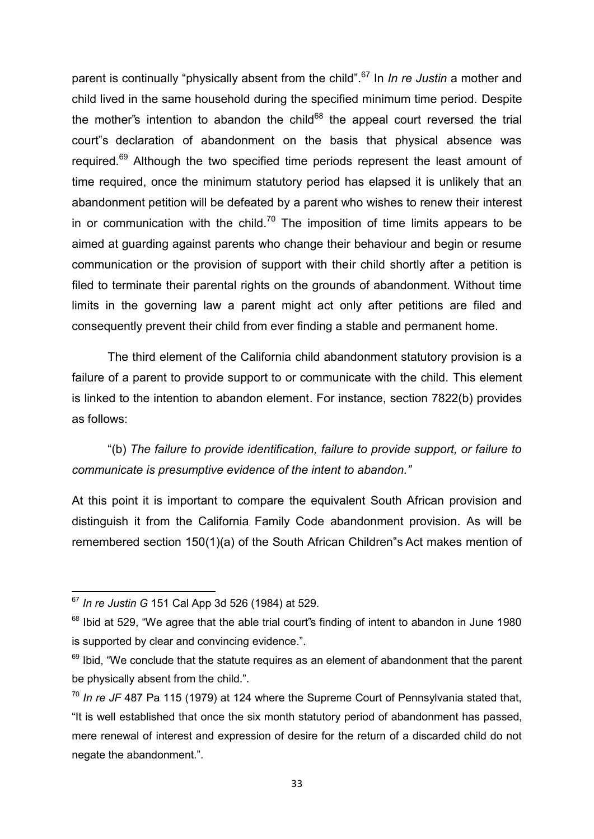parent is continually "physically absent from the child".<sup>67</sup> In *In re Justin* a mother and child lived in the same household during the specified minimum time period. Despite the mother"s intention to abandon the child $68$  the appeal court reversed the trial court"s declaration of abandonment on the basis that physical absence was required.<sup>69</sup> Although the two specified time periods represent the least amount of time required, once the minimum statutory period has elapsed it is unlikely that an abandonment petition will be defeated by a parent who wishes to renew their interest in or communication with the child.<sup>70</sup> The imposition of time limits appears to be aimed at guarding against parents who change their behaviour and begin or resume communication or the provision of support with their child shortly after a petition is filed to terminate their parental rights on the grounds of abandonment. Without time limits in the governing law a parent might act only after petitions are filed and consequently prevent their child from ever finding a stable and permanent home.

The third element of the California child abandonment statutory provision is a failure of a parent to provide support to or communicate with the child. This element is linked to the intention to abandon element. For instance, section 7822(b) provides as follows:

"(b) *The failure to provide identification, failure to provide support, or failure to communicate is presumptive evidence of the intent to abandon."*

At this point it is important to compare the equivalent South African provision and distinguish it from the California Family Code abandonment provision. As will be remembered section 150(1)(a) of the South African Children"s Act makes mention of

**<sup>.</sup>** <sup>67</sup> *In re Justin G* 151 Cal App 3d 526 (1984) at 529.

<sup>&</sup>lt;sup>68</sup> Ibid at 529, "We agree that the able trial court"s finding of intent to abandon in June 1980 is supported by clear and convincing evidence.".

 $69$  Ibid. "We conclude that the statute requires as an element of abandonment that the parent be physically absent from the child.".

<sup>70</sup> *In re JF* 487 Pa 115 (1979) at 124 where the Supreme Court of Pennsylvania stated that, "It is well established that once the six month statutory period of abandonment has passed, mere renewal of interest and expression of desire for the return of a discarded child do not negate the abandonment.".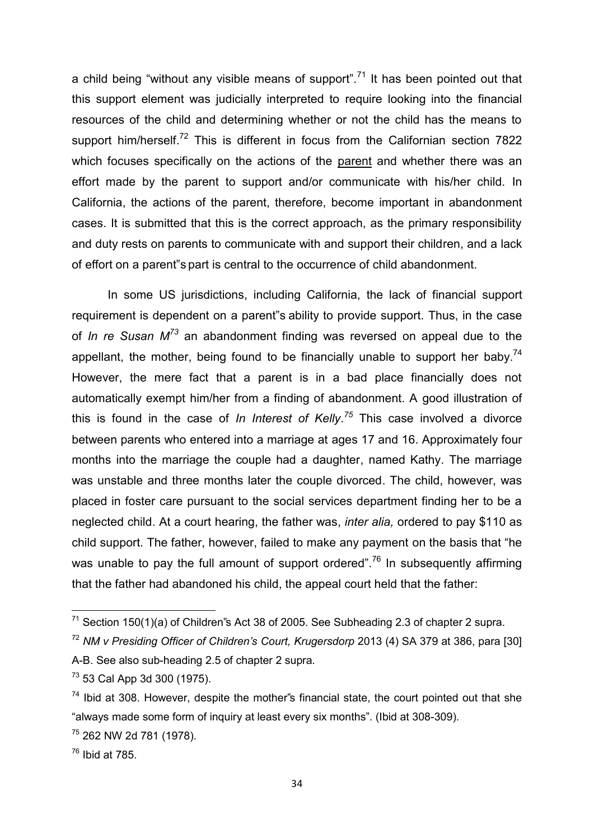a child being "without any visible means of support".<sup>71</sup> It has been pointed out that this support element was judicially interpreted to require looking into the financial resources of the child and determining whether or not the child has the means to support him/herself.<sup>72</sup> This is different in focus from the Californian section 7822 which focuses specifically on the actions of the parent and whether there was an effort made by the parent to support and/or communicate with his/her child. In California, the actions of the parent, therefore, become important in abandonment cases. It is submitted that this is the correct approach, as the primary responsibility and duty rests on parents to communicate with and support their children, and a lack of effort on a parent"s part is central to the occurrence of child abandonment.

 In some US jurisdictions, including California, the lack of financial support requirement is dependent on a parent"s ability to provide support. Thus, in the case of *In re Susan M<sup>73</sup>* an abandonment finding was reversed on appeal due to the appellant, the mother, being found to be financially unable to support her baby.<sup>74</sup> However, the mere fact that a parent is in a bad place financially does not automatically exempt him/her from a finding of abandonment. A good illustration of this is found in the case of *In Interest of Kelly*. *<sup>75</sup>* This case involved a divorce between parents who entered into a marriage at ages 17 and 16. Approximately four months into the marriage the couple had a daughter, named Kathy. The marriage was unstable and three months later the couple divorced. The child, however, was placed in foster care pursuant to the social services department finding her to be a neglected child. At a court hearing, the father was, *inter alia,* ordered to pay \$110 as child support. The father, however, failed to make any payment on the basis that "he was unable to pay the full amount of support ordered".<sup>76</sup> In subsequently affirming that the father had abandoned his child, the appeal court held that the father:

 $71$  Section 150(1)(a) of Children"s Act 38 of 2005. See Subheading 2.3 of chapter 2 supra.

<sup>72</sup> *NM v Presiding Officer of Children's Court, Krugersdorp* 2013 (4) SA 379 at 386, para [30]

A-B. See also sub-heading 2.5 of chapter 2 supra.

<sup>73</sup> 53 Cal App 3d 300 (1975).

 $74$  Ibid at 308. However, despite the mother's financial state, the court pointed out that she "always made some form of inquiry at least every six months". (Ibid at 308-309).

<sup>75</sup> 262 NW 2d 781 (1978).

 $76$  Ibid at 785.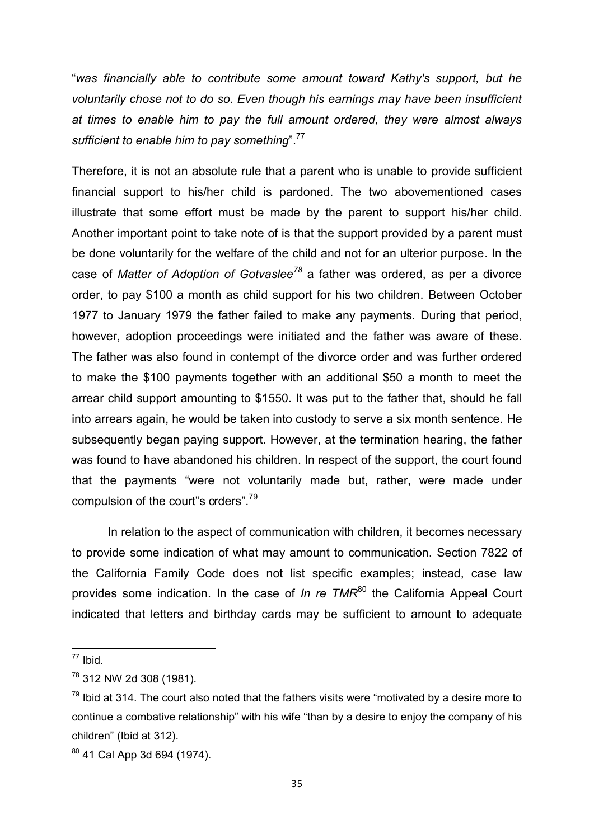"*was financially able to contribute some amount toward Kathy's support, but he voluntarily chose not to do so. Even though his earnings may have been insufficient at times to enable him to pay the full amount ordered, they were almost always sufficient to enable him to pay something*".<sup>77</sup>

Therefore, it is not an absolute rule that a parent who is unable to provide sufficient financial support to his/her child is pardoned. The two abovementioned cases illustrate that some effort must be made by the parent to support his/her child. Another important point to take note of is that the support provided by a parent must be done voluntarily for the welfare of the child and not for an ulterior purpose. In the case of *Matter of Adoption of Gotvaslee<sup>78</sup>* a father was ordered, as per a divorce order, to pay \$100 a month as child support for his two children. Between October 1977 to January 1979 the father failed to make any payments. During that period, however, adoption proceedings were initiated and the father was aware of these. The father was also found in contempt of the divorce order and was further ordered to make the \$100 payments together with an additional \$50 a month to meet the arrear child support amounting to \$1550. It was put to the father that, should he fall into arrears again, he would be taken into custody to serve a six month sentence. He subsequently began paying support. However, at the termination hearing, the father was found to have abandoned his children. In respect of the support, the court found that the payments "were not voluntarily made but, rather, were made under compulsion of the court"s orders".<sup>79</sup>

In relation to the aspect of communication with children, it becomes necessary to provide some indication of what may amount to communication. Section 7822 of the California Family Code does not list specific examples; instead, case law provides some indication. In the case of *In re TMR*<sup>80</sup> the California Appeal Court indicated that letters and birthday cards may be sufficient to amount to adequate

 $\overline{\phantom{a}}$ 

 $77$  Ibid.

<sup>78</sup> 312 NW 2d 308 (1981).

 $79$  Ibid at 314. The court also noted that the fathers visits were "motivated by a desire more to continue a combative relationship" with his wife "than by a desire to enjoy the company of his children" (Ibid at 312).

 $80$  41 Cal App 3d 694 (1974).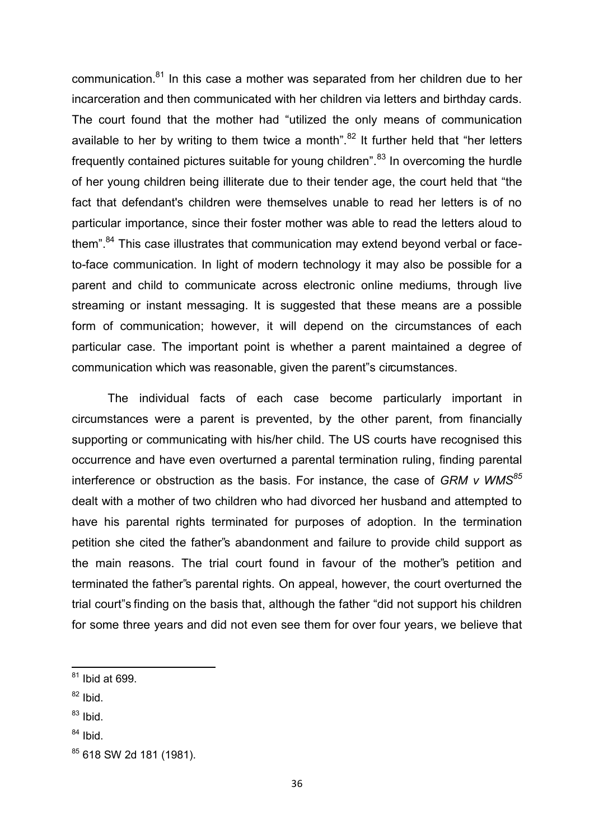communication.<sup>81</sup> In this case a mother was separated from her children due to her incarceration and then communicated with her children via letters and birthday cards. The court found that the mother had "utilized the only means of communication available to her by writing to them twice a month". $82$  It further held that "her letters frequently contained pictures suitable for young children". $83$  In overcoming the hurdle of her young children being illiterate due to their tender age, the court held that "the fact that defendant's children were themselves unable to read her letters is of no particular importance, since their foster mother was able to read the letters aloud to them".<sup>84</sup> This case illustrates that communication may extend beyond verbal or faceto-face communication. In light of modern technology it may also be possible for a parent and child to communicate across electronic online mediums, through live streaming or instant messaging. It is suggested that these means are a possible form of communication; however, it will depend on the circumstances of each particular case. The important point is whether a parent maintained a degree of communication which was reasonable, given the parent"s circumstances.

The individual facts of each case become particularly important in circumstances were a parent is prevented, by the other parent, from financially supporting or communicating with his/her child. The US courts have recognised this occurrence and have even overturned a parental termination ruling, finding parental interference or obstruction as the basis. For instance, the case of *GRM v WMS<sup>85</sup>* dealt with a mother of two children who had divorced her husband and attempted to have his parental rights terminated for purposes of adoption. In the termination petition she cited the father"s abandonment and failure to provide child support as the main reasons. The trial court found in favour of the mother"s petition and terminated the father"s parental rights. On appeal, however, the court overturned the trial court"s finding on the basis that, although the father "did not support his children for some three years and did not even see them for over four years, we believe that

 $^{82}$  Ibid.

- $83$  Ibid.
- $84$  Ibid.

 $81$  Ibid at 699.

<sup>85 618</sup> SW 2d 181 (1981).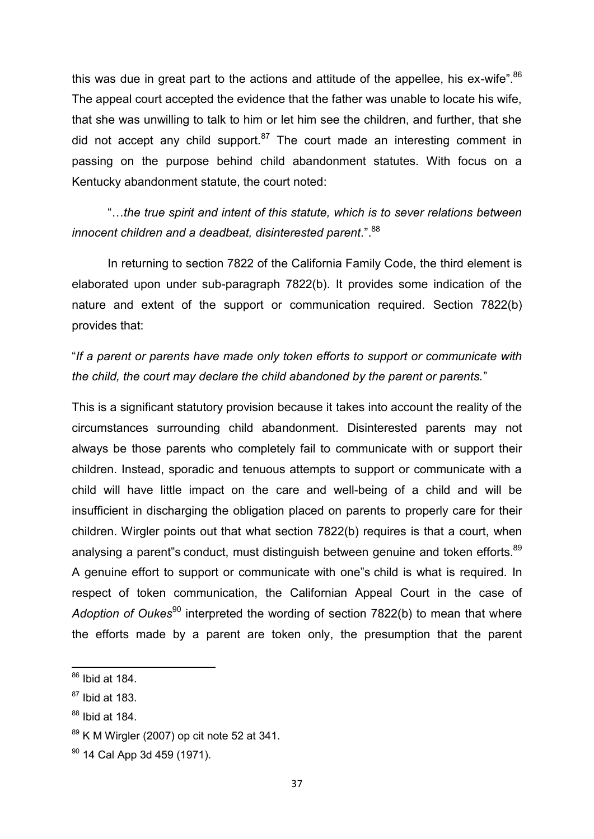this was due in great part to the actions and attitude of the appellee, his ex-wife". $86$ The appeal court accepted the evidence that the father was unable to locate his wife, that she was unwilling to talk to him or let him see the children, and further, that she did not accept any child support. $87$  The court made an interesting comment in passing on the purpose behind child abandonment statutes. With focus on a Kentucky abandonment statute, the court noted:

"…*the true spirit and intent of this statute, which is to sever relations between innocent children and a deadbeat, disinterested parent.*",  $88$ 

 In returning to section 7822 of the California Family Code, the third element is elaborated upon under sub-paragraph 7822(b). It provides some indication of the nature and extent of the support or communication required. Section 7822(b) provides that:

"*If a parent or parents have made only token efforts to support or communicate with the child, the court may declare the child abandoned by the parent or parents.*"

This is a significant statutory provision because it takes into account the reality of the circumstances surrounding child abandonment. Disinterested parents may not always be those parents who completely fail to communicate with or support their children. Instead, sporadic and tenuous attempts to support or communicate with a child will have little impact on the care and well-being of a child and will be insufficient in discharging the obligation placed on parents to properly care for their children. Wirgler points out that what section 7822(b) requires is that a court, when analysing a parent"s conduct, must distinguish between genuine and token efforts.<sup>89</sup> A genuine effort to support or communicate with one"s child is what is required. In respect of token communication, the Californian Appeal Court in the case of Adoption of Oukes<sup>90</sup> interpreted the wording of section 7822(b) to mean that where the efforts made by a parent are token only, the presumption that the parent

 $86$  Ibid at 184.

 $87$  Ibid at 183.

 $88$  Ibid at 184.

 $89$  K M Wirgler (2007) op cit note 52 at 341.

 $90$  14 Cal App 3d 459 (1971).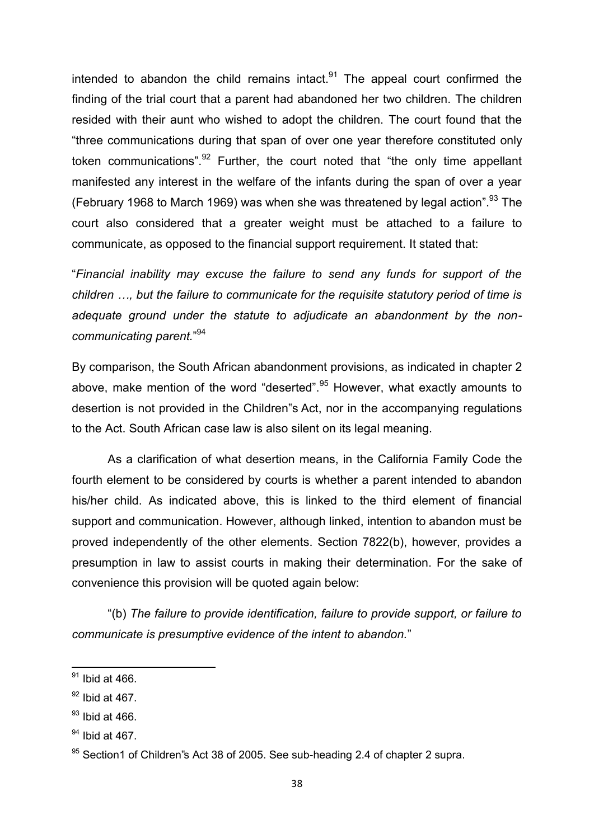intended to abandon the child remains intact. $91$  The appeal court confirmed the finding of the trial court that a parent had abandoned her two children. The children resided with their aunt who wished to adopt the children. The court found that the "three communications during that span of over one year therefore constituted only token communications".  $92$  Further, the court noted that "the only time appellant manifested any interest in the welfare of the infants during the span of over a year (February 1968 to March 1969) was when she was threatened by legal action". $^{93}$  The court also considered that a greater weight must be attached to a failure to communicate, as opposed to the financial support requirement. It stated that:

"*Financial inability may excuse the failure to send any funds for support of the children …, but the failure to communicate for the requisite statutory period of time is adequate ground under the statute to adjudicate an abandonment by the noncommunicating parent.*" 94

By comparison, the South African abandonment provisions, as indicated in chapter 2 above, make mention of the word "deserted".<sup>95</sup> However, what exactly amounts to desertion is not provided in the Children"s Act, nor in the accompanying regulations to the Act. South African case law is also silent on its legal meaning.

 As a clarification of what desertion means, in the California Family Code the fourth element to be considered by courts is whether a parent intended to abandon his/her child. As indicated above, this is linked to the third element of financial support and communication. However, although linked, intention to abandon must be proved independently of the other elements. Section 7822(b), however, provides a presumption in law to assist courts in making their determination. For the sake of convenience this provision will be quoted again below:

"(b) *The failure to provide identification, failure to provide support, or failure to communicate is presumptive evidence of the intent to abandon.*"

 $91$  Ibid at 466.

 $92$  Ibid at 467.

 $93$  Ibid at 466.

 $94$  Ibid at 467.

 $95$  Section1 of Children s Act 38 of 2005. See sub-heading 2.4 of chapter 2 supra.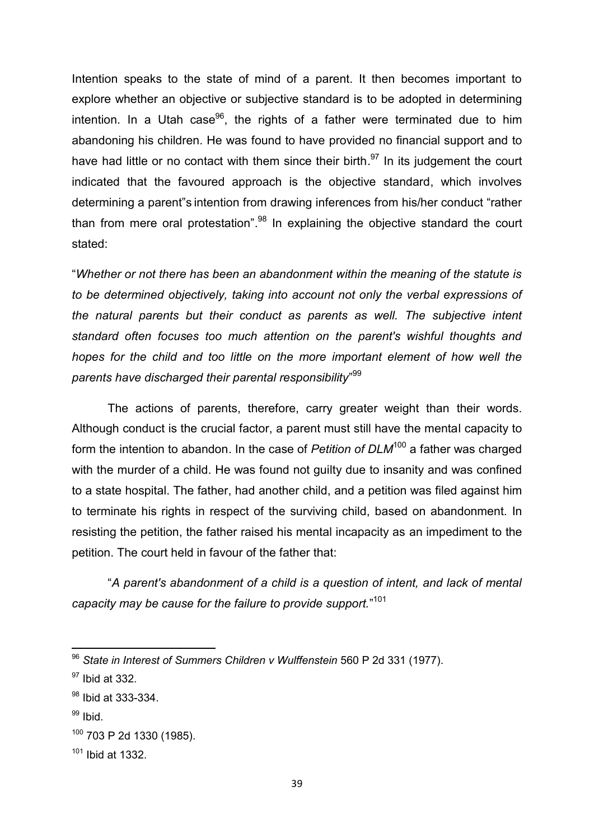Intention speaks to the state of mind of a parent. It then becomes important to explore whether an objective or subjective standard is to be adopted in determining intention. In a Utah case<sup>96</sup>, the rights of a father were terminated due to him abandoning his children. He was found to have provided no financial support and to have had little or no contact with them since their birth.<sup>97</sup> In its judgement the court indicated that the favoured approach is the objective standard, which involves determining a parent"s intention from drawing inferences from his/her conduct "rather than from mere oral protestation".<sup>98</sup> In explaining the objective standard the court stated:

"*Whether or not there has been an abandonment within the meaning of the statute is to be determined objectively, taking into account not only the verbal expressions of the natural parents but their conduct as parents as well. The subjective intent standard often focuses too much attention on the parent's wishful thoughts and hopes for the child and too little on the more important element of how well the parents have discharged their parental responsibility*" 99

The actions of parents, therefore, carry greater weight than their words. Although conduct is the crucial factor, a parent must still have the mental capacity to form the intention to abandon. In the case of *Petition of DLM*<sup>100</sup> a father was charged with the murder of a child. He was found not guilty due to insanity and was confined to a state hospital. The father, had another child, and a petition was filed against him to terminate his rights in respect of the surviving child, based on abandonment. In resisting the petition, the father raised his mental incapacity as an impediment to the petition. The court held in favour of the father that:

"*A parent's abandonment of a child is a question of intent, and lack of mental capacity may be cause for the failure to provide support.*" 101

 $99$  Ibid.

 $\overline{\phantom{a}}$ 

<sup>96</sup> *State in Interest of Summers Children v Wulffenstein* 560 P 2d 331 (1977).

<sup>97</sup> Ibid at 332.

<sup>98</sup> Ibid at 333-334.

<sup>100</sup> 703 P 2d 1330 (1985).

 $101$  Ibid at 1332.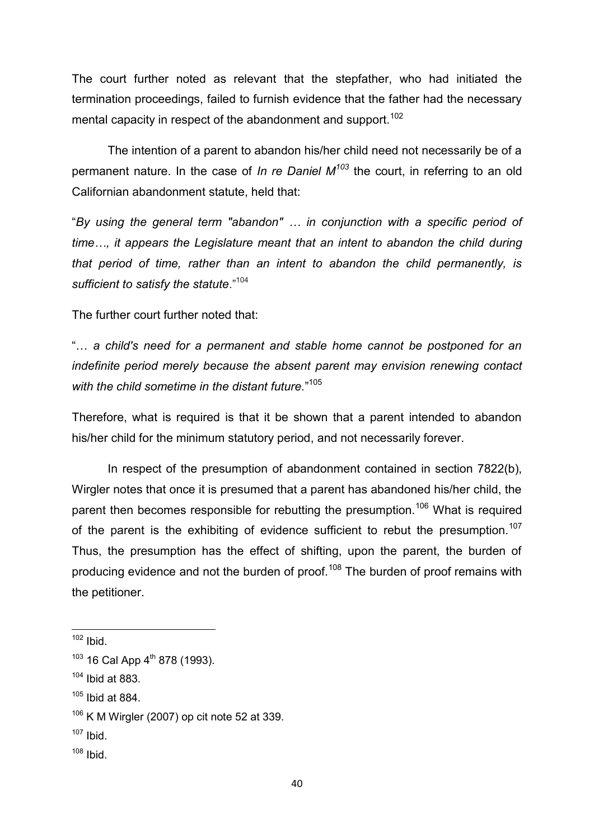The court further noted as relevant that the stepfather, who had initiated the termination proceedings, failed to furnish evidence that the father had the necessary mental capacity in respect of the abandonment and support.<sup>102</sup>

 The intention of a parent to abandon his/her child need not necessarily be of a permanent nature. In the case of *In re Daniel M<sup>103</sup>* the court, in referring to an old Californian abandonment statute, held that:

"*By using the general term "abandon" … in conjunction with a specific period of time…, it appears the Legislature meant that an intent to abandon the child during that period of time, rather than an intent to abandon the child permanently, is sufficient to satisfy the statute*."<sup>104</sup>

The further court further noted that:

"… *a child's need for a permanent and stable home cannot be postponed for an indefinite period merely because the absent parent may envision renewing contact with the child sometime in the distant future.*" 105

Therefore, what is required is that it be shown that a parent intended to abandon his/her child for the minimum statutory period, and not necessarily forever.

In respect of the presumption of abandonment contained in section 7822(b), Wirgler notes that once it is presumed that a parent has abandoned his/her child, the parent then becomes responsible for rebutting the presumption.<sup>106</sup> What is required of the parent is the exhibiting of evidence sufficient to rebut the presumption.<sup>107</sup> Thus, the presumption has the effect of shifting, upon the parent, the burden of producing evidence and not the burden of proof.<sup>108</sup> The burden of proof remains with the petitioner.

**.** 

 $108$  Ibid.

 $102$  Ibid.

 $103$  16 Cal App  $4^{\text{th}}$  878 (1993).

 $104$  Ibid at 883.

 $105$  Ibid at 884.

 $106$  K M Wirgler (2007) op cit note 52 at 339.

 $107$  Ibid.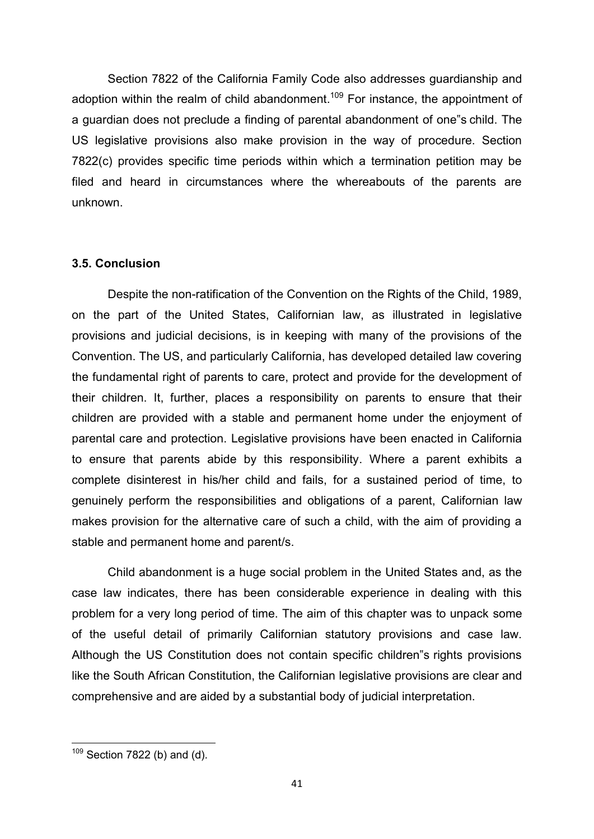Section 7822 of the California Family Code also addresses guardianship and adoption within the realm of child abandonment.<sup>109</sup> For instance, the appointment of a guardian does not preclude a finding of parental abandonment of one"s child. The US legislative provisions also make provision in the way of procedure. Section 7822(c) provides specific time periods within which a termination petition may be filed and heard in circumstances where the whereabouts of the parents are unknown.

## **3.5. Conclusion**

Despite the non-ratification of the Convention on the Rights of the Child, 1989, on the part of the United States, Californian law, as illustrated in legislative provisions and judicial decisions, is in keeping with many of the provisions of the Convention. The US, and particularly California, has developed detailed law covering the fundamental right of parents to care, protect and provide for the development of their children. It, further, places a responsibility on parents to ensure that their children are provided with a stable and permanent home under the enjoyment of parental care and protection. Legislative provisions have been enacted in California to ensure that parents abide by this responsibility. Where a parent exhibits a complete disinterest in his/her child and fails, for a sustained period of time, to genuinely perform the responsibilities and obligations of a parent, Californian law makes provision for the alternative care of such a child, with the aim of providing a stable and permanent home and parent/s.

Child abandonment is a huge social problem in the United States and, as the case law indicates, there has been considerable experience in dealing with this problem for a very long period of time. The aim of this chapter was to unpack some of the useful detail of primarily Californian statutory provisions and case law. Although the US Constitution does not contain specific children"s rights provisions like the South African Constitution, the Californian legislative provisions are clear and comprehensive and are aided by a substantial body of judicial interpretation.

**.** 

 $109$  Section 7822 (b) and (d).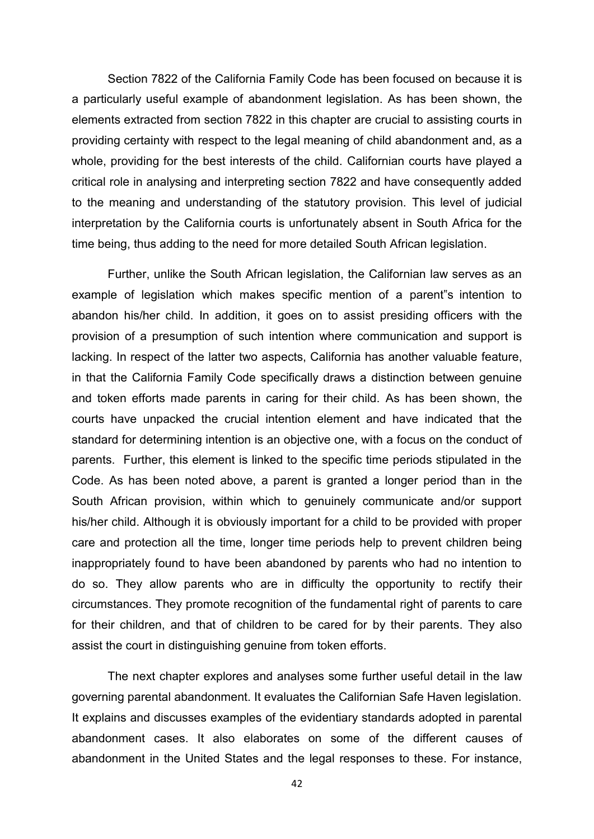Section 7822 of the California Family Code has been focused on because it is a particularly useful example of abandonment legislation. As has been shown, the elements extracted from section 7822 in this chapter are crucial to assisting courts in providing certainty with respect to the legal meaning of child abandonment and, as a whole, providing for the best interests of the child. Californian courts have played a critical role in analysing and interpreting section 7822 and have consequently added to the meaning and understanding of the statutory provision. This level of judicial interpretation by the California courts is unfortunately absent in South Africa for the time being, thus adding to the need for more detailed South African legislation.

Further, unlike the South African legislation, the Californian law serves as an example of legislation which makes specific mention of a parent"s intention to abandon his/her child. In addition, it goes on to assist presiding officers with the provision of a presumption of such intention where communication and support is lacking. In respect of the latter two aspects, California has another valuable feature, in that the California Family Code specifically draws a distinction between genuine and token efforts made parents in caring for their child. As has been shown, the courts have unpacked the crucial intention element and have indicated that the standard for determining intention is an objective one, with a focus on the conduct of parents. Further, this element is linked to the specific time periods stipulated in the Code. As has been noted above, a parent is granted a longer period than in the South African provision, within which to genuinely communicate and/or support his/her child. Although it is obviously important for a child to be provided with proper care and protection all the time, longer time periods help to prevent children being inappropriately found to have been abandoned by parents who had no intention to do so. They allow parents who are in difficulty the opportunity to rectify their circumstances. They promote recognition of the fundamental right of parents to care for their children, and that of children to be cared for by their parents. They also assist the court in distinguishing genuine from token efforts.

 The next chapter explores and analyses some further useful detail in the law governing parental abandonment. It evaluates the Californian Safe Haven legislation. It explains and discusses examples of the evidentiary standards adopted in parental abandonment cases. It also elaborates on some of the different causes of abandonment in the United States and the legal responses to these. For instance,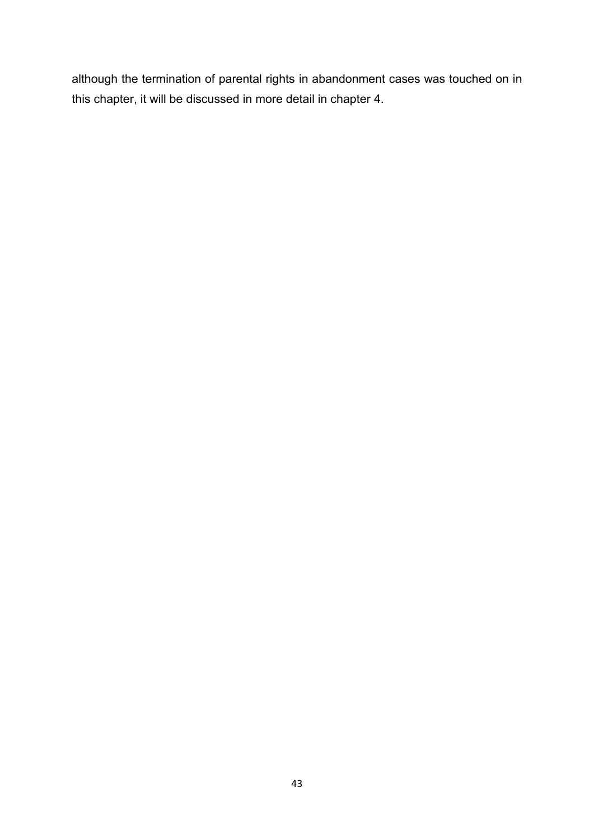although the termination of parental rights in abandonment cases was touched on in this chapter, it will be discussed in more detail in chapter 4.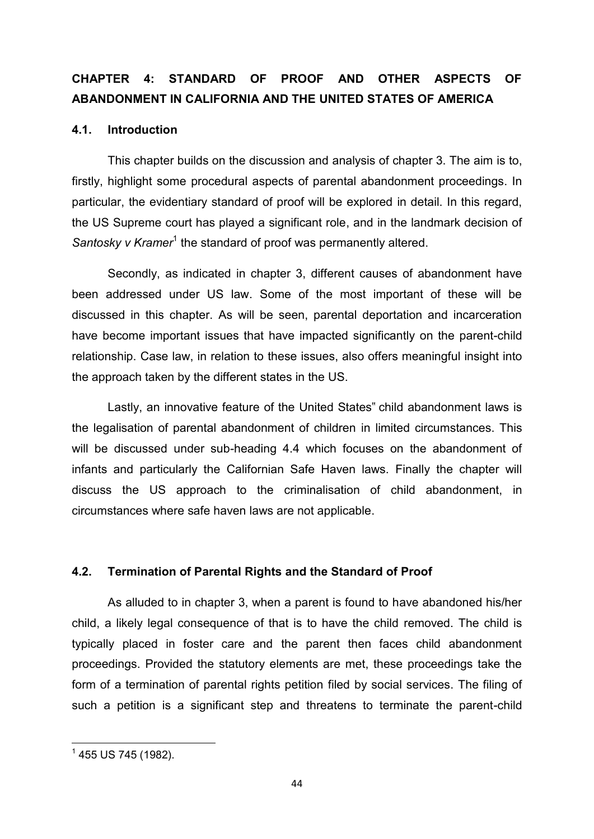# **CHAPTER 4: STANDARD OF PROOF AND OTHER ASPECTS OF ABANDONMENT IN CALIFORNIA AND THE UNITED STATES OF AMERICA**

# **4.1. Introduction**

 This chapter builds on the discussion and analysis of chapter 3. The aim is to, firstly, highlight some procedural aspects of parental abandonment proceedings. In particular, the evidentiary standard of proof will be explored in detail. In this regard, the US Supreme court has played a significant role, and in the landmark decision of Santosky v Kramer<sup>1</sup> the standard of proof was permanently altered.

Secondly, as indicated in chapter 3, different causes of abandonment have been addressed under US law. Some of the most important of these will be discussed in this chapter. As will be seen, parental deportation and incarceration have become important issues that have impacted significantly on the parent-child relationship. Case law, in relation to these issues, also offers meaningful insight into the approach taken by the different states in the US.

 Lastly, an innovative feature of the United States" child abandonment laws is the legalisation of parental abandonment of children in limited circumstances. This will be discussed under sub-heading 4.4 which focuses on the abandonment of infants and particularly the Californian Safe Haven laws. Finally the chapter will discuss the US approach to the criminalisation of child abandonment, in circumstances where safe haven laws are not applicable.

# **4.2. Termination of Parental Rights and the Standard of Proof**

 As alluded to in chapter 3, when a parent is found to have abandoned his/her child, a likely legal consequence of that is to have the child removed. The child is typically placed in foster care and the parent then faces child abandonment proceedings. Provided the statutory elements are met, these proceedings take the form of a termination of parental rights petition filed by social services. The filing of such a petition is a significant step and threatens to terminate the parent-child

**<sup>.</sup>**  $^{\rm 1}$  455 US 745 (1982).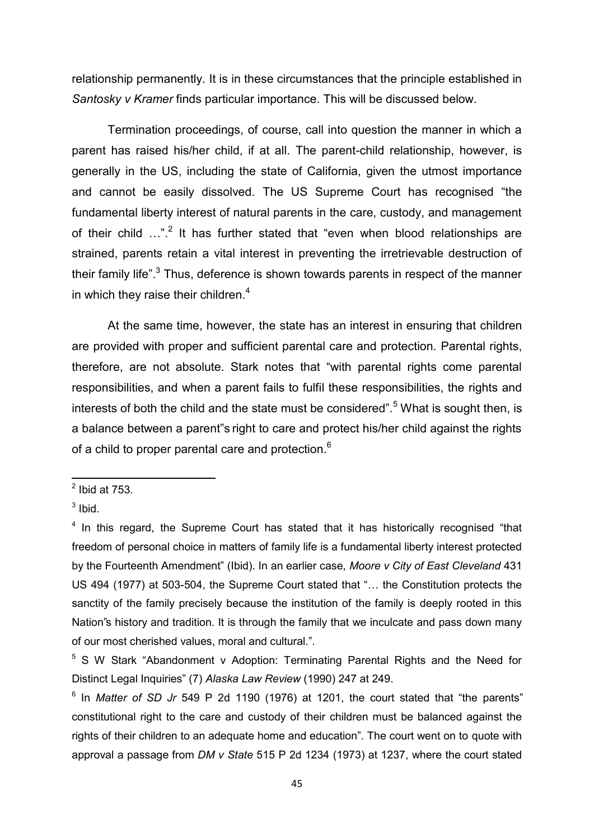relationship permanently. It is in these circumstances that the principle established in *Santosky v Kramer* finds particular importance. This will be discussed below.

 Termination proceedings, of course, call into question the manner in which a parent has raised his/her child, if at all. The parent-child relationship, however, is generally in the US, including the state of California, given the utmost importance and cannot be easily dissolved. The US Supreme Court has recognised "the fundamental liberty interest of natural parents in the care, custody, and management of their child  $...$ ".<sup>2</sup> It has further stated that "even when blood relationships are strained, parents retain a vital interest in preventing the irretrievable destruction of their family life".<sup>3</sup> Thus, deference is shown towards parents in respect of the manner in which they raise their children. $4$ 

At the same time, however, the state has an interest in ensuring that children are provided with proper and sufficient parental care and protection. Parental rights, therefore, are not absolute. Stark notes that "with parental rights come parental responsibilities, and when a parent fails to fulfil these responsibilities, the rights and interests of both the child and the state must be considered".<sup>5</sup> What is sought then, is a balance between a parent"s right to care and protect his/her child against the rights of a child to proper parental care and protection. $^6$ 

 $\frac{1}{2}$  Ibid at 753.

 $3$  lbid.

<sup>&</sup>lt;sup>4</sup> In this regard, the Supreme Court has stated that it has historically recognised "that freedom of personal choice in matters of family life is a fundamental liberty interest protected by the Fourteenth Amendment" (Ibid). In an earlier case, *Moore v City of East Cleveland* 431 US 494 (1977) at 503-504, the Supreme Court stated that "… the Constitution protects the sanctity of the family precisely because the institution of the family is deeply rooted in this Nation"s history and tradition. It is through the family that we inculcate and pass down many of our most cherished values, moral and cultural.".

<sup>&</sup>lt;sup>5</sup> S W Stark "Abandonment v Adoption: Terminating Parental Rights and the Need for Distinct Legal Inquiries" (7) *Alaska Law Review* (1990) 247 at 249.

<sup>&</sup>lt;sup>6</sup> In *Matter of SD Jr* 549 P 2d 1190 (1976) at 1201, the court stated that "the parents" constitutional right to the care and custody of their children must be balanced against the rights of their children to an adequate home and education". The court went on to quote with approval a passage from *DM v State* 515 P 2d 1234 (1973) at 1237, where the court stated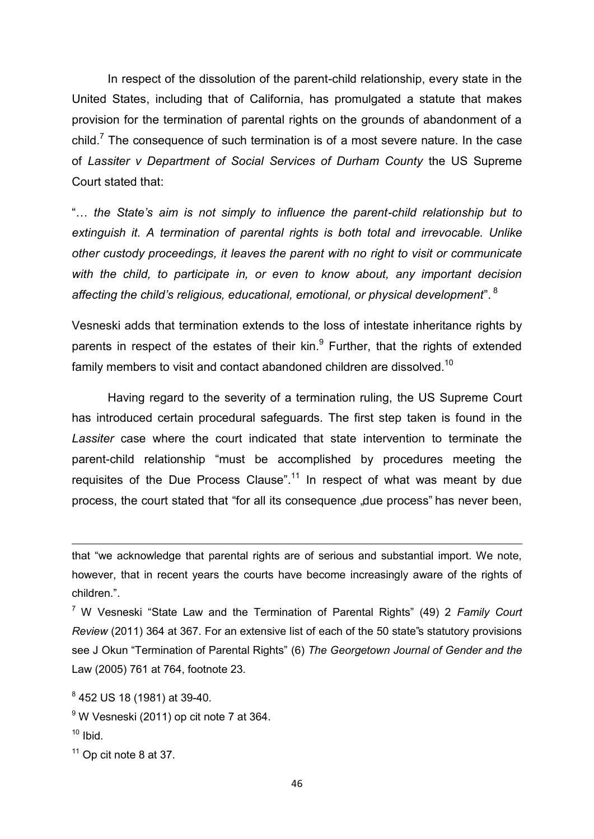In respect of the dissolution of the parent-child relationship, every state in the United States, including that of California, has promulgated a statute that makes provision for the termination of parental rights on the grounds of abandonment of a child.<sup>7</sup> The consequence of such termination is of a most severe nature. In the case of *Lassiter v Department of Social Services of Durham County* the US Supreme Court stated that:

"… *the State's aim is not simply to influence the parent-child relationship but to extinguish it. A termination of parental rights is both total and irrevocable. Unlike other custody proceedings, it leaves the parent with no right to visit or communicate with the child, to participate in, or even to know about, any important decision affecting the child's religious, educational, emotional, or physical development*". <sup>8</sup>

Vesneski adds that termination extends to the loss of intestate inheritance rights by parents in respect of the estates of their kin.<sup>9</sup> Further, that the rights of extended family members to visit and contact abandoned children are dissolved.<sup>10</sup>

 Having regard to the severity of a termination ruling, the US Supreme Court has introduced certain procedural safeguards. The first step taken is found in the *Lassiter* case where the court indicated that state intervention to terminate the parent-child relationship "must be accomplished by procedures meeting the requisites of the Due Process Clause".<sup>11</sup> In respect of what was meant by due process, the court stated that "for all its consequence "due process" has never been,

- 9 W Vesneski (2011) op cit note 7 at 364.
- $10$  Ibid.

**.** 

 $11$  Op cit note 8 at 37.

that "we acknowledge that parental rights are of serious and substantial import. We note, however, that in recent years the courts have become increasingly aware of the rights of children.".

<sup>7</sup> W Vesneski "State Law and the Termination of Parental Rights" (49) 2 *Family Court Review* (2011) 364 at 367. For an extensive list of each of the 50 state"s statutory provisions see J Okun "Termination of Parental Rights" (6) *The Georgetown Journal of Gender and the*  Law (2005) 761 at 764, footnote 23.

<sup>8</sup> 452 US 18 (1981) at 39-40.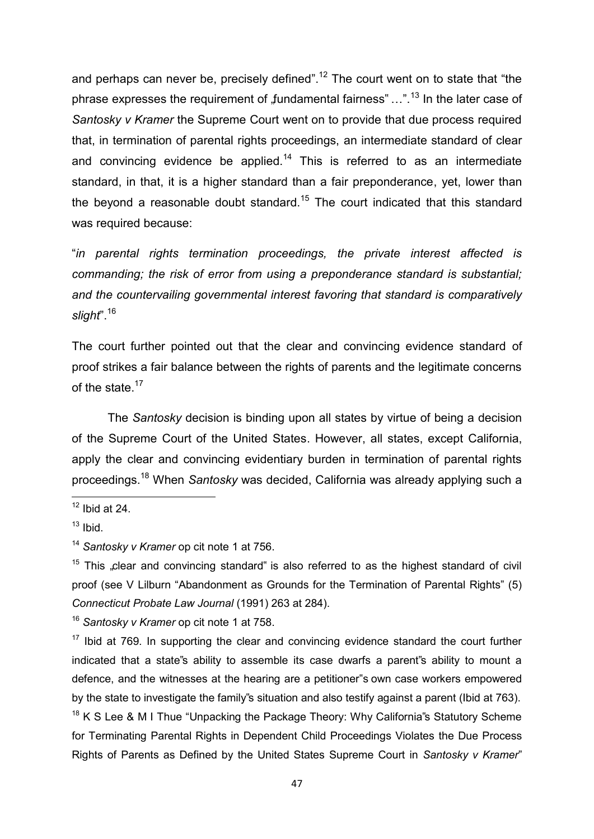and perhaps can never be, precisely defined".<sup>12</sup> The court went on to state that "the phrase expresses the requirement of  $f$ undamental fairness"  $\ldots$ ".<sup>13</sup> In the later case of *Santosky v Kramer* the Supreme Court went on to provide that due process required that, in termination of parental rights proceedings, an intermediate standard of clear and convincing evidence be applied. $14$  This is referred to as an intermediate standard, in that, it is a higher standard than a fair preponderance, yet, lower than the beyond a reasonable doubt standard.<sup>15</sup> The court indicated that this standard was required because:

"*in parental rights termination proceedings, the private interest affected is commanding; the risk of error from using a preponderance standard is substantial; and the countervailing governmental interest favoring that standard is comparatively slight*".<sup>16</sup>

The court further pointed out that the clear and convincing evidence standard of proof strikes a fair balance between the rights of parents and the legitimate concerns of the state.<sup>17</sup>

 The *Santosky* decision is binding upon all states by virtue of being a decision of the Supreme Court of the United States. However, all states, except California, apply the clear and convincing evidentiary burden in termination of parental rights proceedings.<sup>18</sup> When *Santosky* was decided, California was already applying such a

**.** 

<sup>16</sup> *Santosky v Kramer* op cit note 1 at 758.

 $17$  Ibid at 769. In supporting the clear and convincing evidence standard the court further indicated that a state"s ability to assemble its case dwarfs a parent"s ability to mount a defence, and the witnesses at the hearing are a petitioner"s own case workers empowered by the state to investigate the family"s situation and also testify against a parent (Ibid at 763).

 $18$  K S Lee & M I Thue "Unpacking the Package Theory: Why California''s Statutory Scheme for Terminating Parental Rights in Dependent Child Proceedings Violates the Due Process Rights of Parents as Defined by the United States Supreme Court in *Santosky v Kramer*"

 $12$  Ibid at 24.

 $13$  Ibid.

<sup>14</sup> *Santosky v Kramer* op cit note 1 at 756.

 $15$  This "clear and convincing standard" is also referred to as the highest standard of civil proof (see V Lilburn "Abandonment as Grounds for the Termination of Parental Rights" (5) *Connecticut Probate Law Journal* (1991) 263 at 284).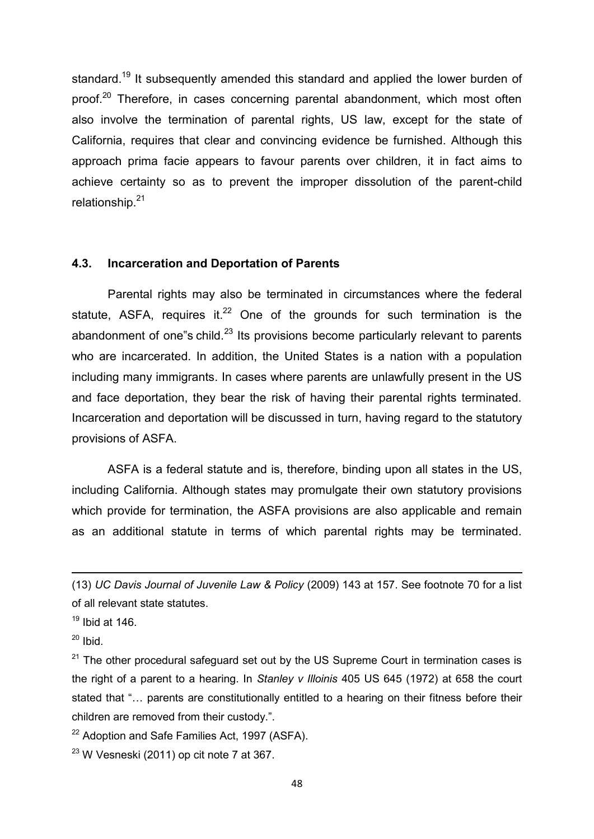standard.<sup>19</sup> It subsequently amended this standard and applied the lower burden of proof.<sup>20</sup> Therefore, in cases concerning parental abandonment, which most often also involve the termination of parental rights, US law, except for the state of California, requires that clear and convincing evidence be furnished. Although this approach prima facie appears to favour parents over children, it in fact aims to achieve certainty so as to prevent the improper dissolution of the parent-child relationship.<sup>21</sup>

#### **4.3. Incarceration and Deportation of Parents**

Parental rights may also be terminated in circumstances where the federal statute, ASFA, requires it. $22$  One of the grounds for such termination is the abandonment of one"s child. $^{23}$  Its provisions become particularly relevant to parents who are incarcerated. In addition, the United States is a nation with a population including many immigrants. In cases where parents are unlawfully present in the US and face deportation, they bear the risk of having their parental rights terminated. Incarceration and deportation will be discussed in turn, having regard to the statutory provisions of ASFA.

ASFA is a federal statute and is, therefore, binding upon all states in the US, including California. Although states may promulgate their own statutory provisions which provide for termination, the ASFA provisions are also applicable and remain as an additional statute in terms of which parental rights may be terminated.

- $22$  Adoption and Safe Families Act, 1997 (ASFA).
- $23$  W Vesneski (2011) op cit note 7 at 367.

<sup>(13)</sup> *UC Davis Journal of Juvenile Law & Policy* (2009) 143 at 157. See footnote 70 for a list of all relevant state statutes.

 $19$  Ibid at 146.

 $20$  Ibid.

 $21$  The other procedural safeguard set out by the US Supreme Court in termination cases is the right of a parent to a hearing. In *Stanley v Illoinis* 405 US 645 (1972) at 658 the court stated that "… parents are constitutionally entitled to a hearing on their fitness before their children are removed from their custody.".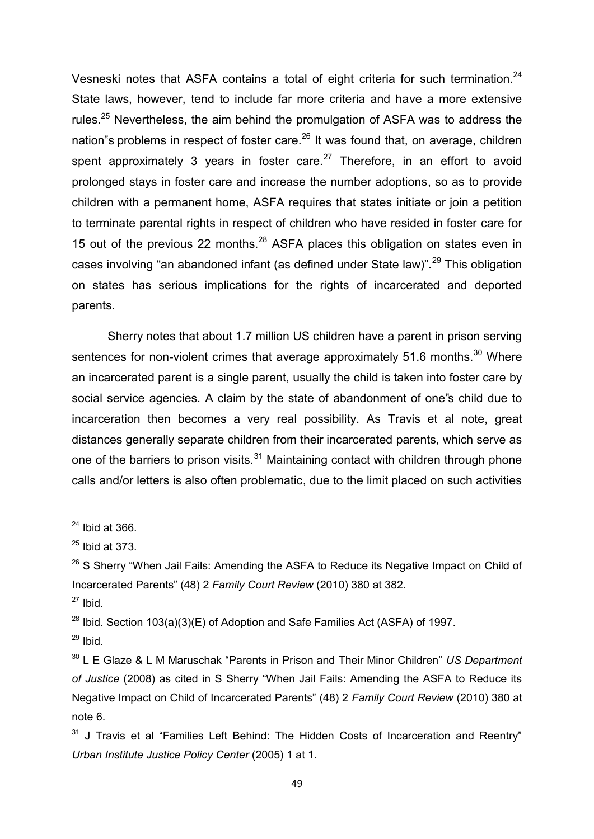Vesneski notes that ASFA contains a total of eight criteria for such termination.<sup>24</sup> State laws, however, tend to include far more criteria and have a more extensive rules.<sup>25</sup> Nevertheless, the aim behind the promulgation of ASFA was to address the nation"s problems in respect of foster care.<sup>26</sup> It was found that, on average, children spent approximately 3 years in foster care.<sup>27</sup> Therefore, in an effort to avoid prolonged stays in foster care and increase the number adoptions, so as to provide children with a permanent home, ASFA requires that states initiate or join a petition to terminate parental rights in respect of children who have resided in foster care for 15 out of the previous 22 months.<sup>28</sup> ASFA places this obligation on states even in cases involving "an abandoned infant (as defined under State law)".<sup>29</sup> This obligation on states has serious implications for the rights of incarcerated and deported parents.

Sherry notes that about 1.7 million US children have a parent in prison serving sentences for non-violent crimes that average approximately  $51.6$  months.<sup>30</sup> Where an incarcerated parent is a single parent, usually the child is taken into foster care by social service agencies. A claim by the state of abandonment of one"s child due to incarceration then becomes a very real possibility. As Travis et al note, great distances generally separate children from their incarcerated parents, which serve as one of the barriers to prison visits.<sup>31</sup> Maintaining contact with children through phone calls and/or letters is also often problematic, due to the limit placed on such activities

1

<sup>28</sup> Ibid. Section 103(a)(3)(E) of Adoption and Safe Families Act (ASFA) of 1997.

 $24$  Ibid at 366.

 $25$  Ibid at 373.

 $26$  S Sherry "When Jail Fails: Amending the ASFA to Reduce its Negative Impact on Child of Incarcerated Parents" (48) 2 *Family Court Review* (2010) 380 at 382.

 $27$  Ibid.

 $29$  Ibid.

<sup>30</sup> L E Glaze & L M Maruschak "Parents in Prison and Their Minor Children" *US Department of Justice* (2008) as cited in S Sherry "When Jail Fails: Amending the ASFA to Reduce its Negative Impact on Child of Incarcerated Parents" (48) 2 *Family Court Review* (2010) 380 at note 6.

 $31$  J Travis et al "Families Left Behind: The Hidden Costs of Incarceration and Reentry" *Urban Institute Justice Policy Center* (2005) 1 at 1.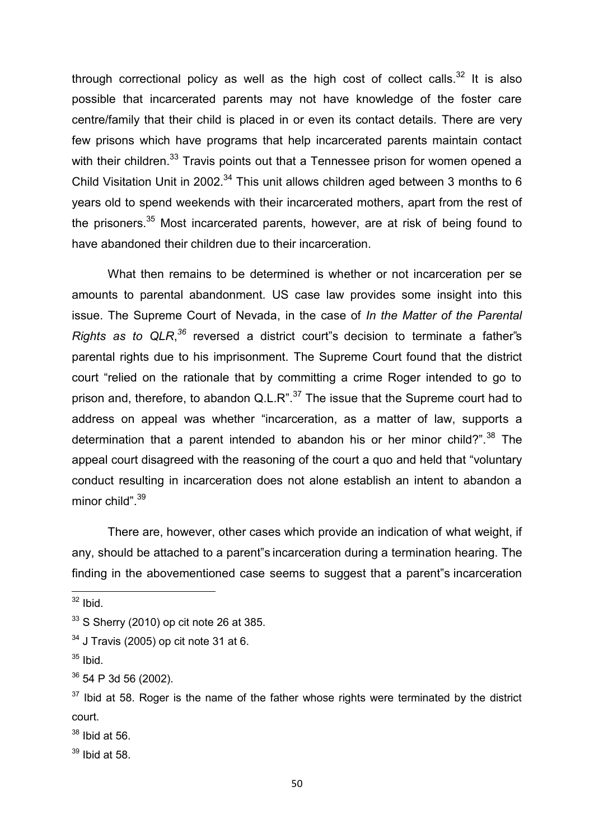through correctional policy as well as the high cost of collect calls.<sup>32</sup> It is also possible that incarcerated parents may not have knowledge of the foster care centre/family that their child is placed in or even its contact details. There are very few prisons which have programs that help incarcerated parents maintain contact with their children.<sup>33</sup> Travis points out that a Tennessee prison for women opened a Child Visitation Unit in 2002.<sup>34</sup> This unit allows children aged between 3 months to 6 years old to spend weekends with their incarcerated mothers, apart from the rest of the prisoners.<sup>35</sup> Most incarcerated parents, however, are at risk of being found to have abandoned their children due to their incarceration.

What then remains to be determined is whether or not incarceration per se amounts to parental abandonment. US case law provides some insight into this issue. The Supreme Court of Nevada, in the case of *In the Matter of the Parental Rights as to QLR*, *<sup>36</sup>* reversed a district court"s decision to terminate a father"s parental rights due to his imprisonment. The Supreme Court found that the district court "relied on the rationale that by committing a crime Roger intended to go to prison and, therefore, to abandon  $Q.L.R." <sup>37</sup>$  The issue that the Supreme court had to address on appeal was whether "incarceration, as a matter of law, supports a determination that a parent intended to abandon his or her minor child?".<sup>38</sup> The appeal court disagreed with the reasoning of the court a quo and held that "voluntary conduct resulting in incarceration does not alone establish an intent to abandon a minor child". 39

There are, however, other cases which provide an indication of what weight, if any, should be attached to a parent"s incarceration during a termination hearing. The finding in the abovementioned case seems to suggest that a parent"s incarceration

**.** 

 $32$  Ibid.

 $33$  S Sherry (2010) op cit note 26 at 385.

 $34$  J Travis (2005) op cit note 31 at 6.

 $35$  Ibid.

 $36$  54 P 3d 56 (2002).

 $37$  Ibid at 58. Roger is the name of the father whose rights were terminated by the district court.

 $38$  Ibid at 56.

 $39$  Ibid at 58.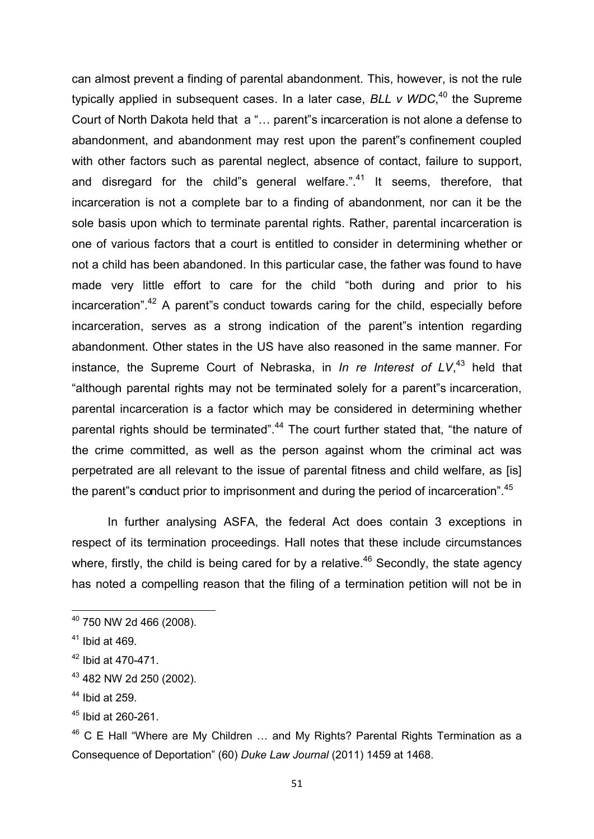can almost prevent a finding of parental abandonment. This, however, is not the rule typically applied in subsequent cases. In a later case, *BLL v WDC*, <sup>40</sup> the Supreme Court of North Dakota held that a "… parent"s incarceration is not alone a defense to abandonment, and abandonment may rest upon the parent"s confinement coupled with other factors such as parental neglect, absence of contact, failure to support, and disregard for the child"s general welfare.". $41$  It seems, therefore, that incarceration is not a complete bar to a finding of abandonment, nor can it be the sole basis upon which to terminate parental rights. Rather, parental incarceration is one of various factors that a court is entitled to consider in determining whether or not a child has been abandoned. In this particular case, the father was found to have made very little effort to care for the child "both during and prior to his incarceration".<sup>42</sup> A parent s conduct towards caring for the child, especially before incarceration, serves as a strong indication of the parent"s intention regarding abandonment. Other states in the US have also reasoned in the same manner. For instance, the Supreme Court of Nebraska, in *In re Interest of LV*, <sup>43</sup> held that "although parental rights may not be terminated solely for a parent"s incarceration, parental incarceration is a factor which may be considered in determining whether parental rights should be terminated".<sup>44</sup> The court further stated that, "the nature of the crime committed, as well as the person against whom the criminal act was perpetrated are all relevant to the issue of parental fitness and child welfare, as [is] the parent"s conduct prior to imprisonment and during the period of incarceration".<sup>45</sup>

In further analysing ASFA, the federal Act does contain 3 exceptions in respect of its termination proceedings. Hall notes that these include circumstances where, firstly, the child is being cared for by a relative.<sup>46</sup> Secondly, the state agency has noted a compelling reason that the filing of a termination petition will not be in

 $^{40}$  750 NW 2d 466 (2008).

 $41$  Ibid at 469.

<sup>42</sup> Ibid at 470-471.

<sup>43</sup> 482 NW 2d 250 (2002).

 $44$  Ibid at 259.

<sup>45</sup> Ibid at 260-261.

 $46$  C E Hall "Where are My Children  $\ldots$  and My Rights? Parental Rights Termination as a Consequence of Deportation" (60) *Duke Law Journal* (2011) 1459 at 1468.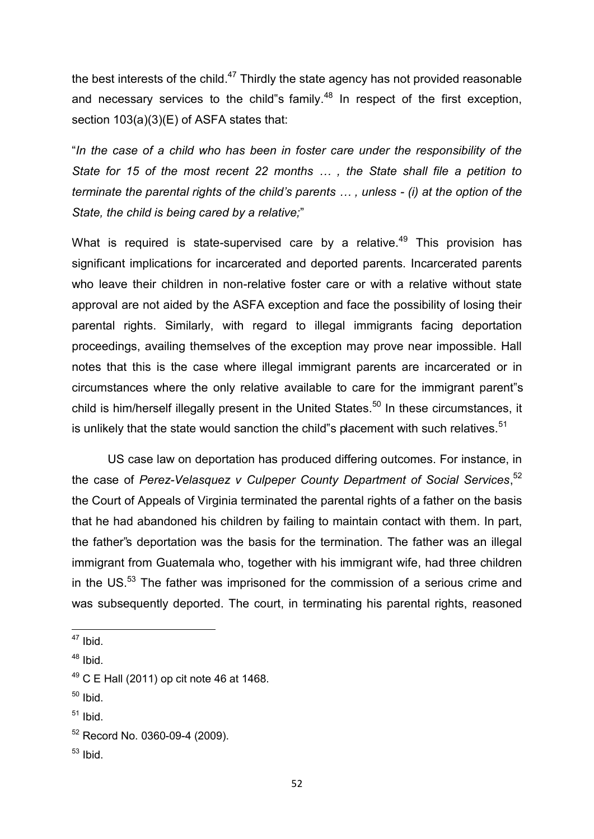the best interests of the child. $47$  Thirdly the state agency has not provided reasonable and necessary services to the child"s family.<sup>48</sup> In respect of the first exception, section 103(a)(3)(E) of ASFA states that:

"*In the case of a child who has been in foster care under the responsibility of the State for 15 of the most recent 22 months … , the State shall file a petition to terminate the parental rights of the child's parents … , unless - (i) at the option of the State, the child is being cared by a relative;*"

What is required is state-supervised care by a relative.<sup>49</sup> This provision has significant implications for incarcerated and deported parents. Incarcerated parents who leave their children in non-relative foster care or with a relative without state approval are not aided by the ASFA exception and face the possibility of losing their parental rights. Similarly, with regard to illegal immigrants facing deportation proceedings, availing themselves of the exception may prove near impossible. Hall notes that this is the case where illegal immigrant parents are incarcerated or in circumstances where the only relative available to care for the immigrant parent"s child is him/herself illegally present in the United States.<sup>50</sup> In these circumstances, it is unlikely that the state would sanction the child"s placement with such relatives. $51$ 

 US case law on deportation has produced differing outcomes. For instance, in the case of *Perez-Velasquez v Culpeper County Department of Social Services*, 52 the Court of Appeals of Virginia terminated the parental rights of a father on the basis that he had abandoned his children by failing to maintain contact with them. In part, the father"s deportation was the basis for the termination. The father was an illegal immigrant from Guatemala who, together with his immigrant wife, had three children in the US. $53$  The father was imprisoned for the commission of a serious crime and was subsequently deported. The court, in terminating his parental rights, reasoned

**.** 

- $50$  Ibid.
- $51$  Ibid.

 $53$  Ibid.

 $47$  Ibid.

 $48$  Ibid.

 $49$  C E Hall (2011) op cit note 46 at 1468.

<sup>52</sup> Record No. 0360-09-4 (2009).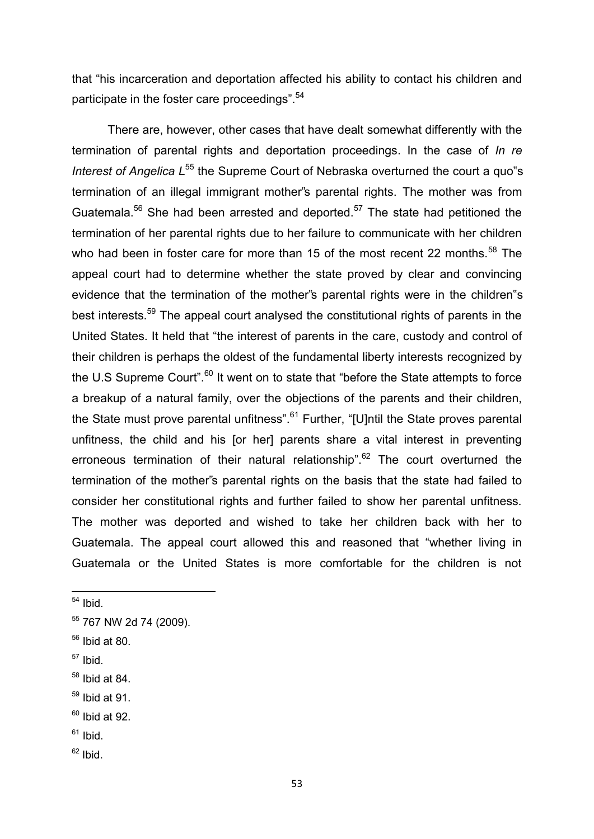that "his incarceration and deportation affected his ability to contact his children and participate in the foster care proceedings".<sup>54</sup>

There are, however, other cases that have dealt somewhat differently with the termination of parental rights and deportation proceedings. In the case of *In re Interest of Angelica L*<sup>55</sup> the Supreme Court of Nebraska overturned the court a quo"s termination of an illegal immigrant mother"s parental rights. The mother was from Guatemala.<sup>56</sup> She had been arrested and deported.<sup>57</sup> The state had petitioned the termination of her parental rights due to her failure to communicate with her children who had been in foster care for more than 15 of the most recent 22 months.<sup>58</sup> The appeal court had to determine whether the state proved by clear and convincing evidence that the termination of the mother"s parental rights were in the children"s best interests.<sup>59</sup> The appeal court analysed the constitutional rights of parents in the United States. It held that "the interest of parents in the care, custody and control of their children is perhaps the oldest of the fundamental liberty interests recognized by the U.S Supreme Court".<sup>60</sup> It went on to state that "before the State attempts to force a breakup of a natural family, over the objections of the parents and their children, the State must prove parental unfitness".<sup>61</sup> Further, "[U]ntil the State proves parental unfitness, the child and his [or her] parents share a vital interest in preventing erroneous termination of their natural relationship".<sup>62</sup> The court overturned the termination of the mother"s parental rights on the basis that the state had failed to consider her constitutional rights and further failed to show her parental unfitness. The mother was deported and wished to take her children back with her to Guatemala. The appeal court allowed this and reasoned that "whether living in Guatemala or the United States is more comfortable for the children is not

**.** 

 $57$  Ibid.

 $59$  Ibid at 91.

- $61$  Ibid.
- $62$  Ibid.

 $54$  Ibid.

<sup>55</sup> 767 NW 2d 74 (2009).

 $56$  Ibid at 80.

 $58$  Ibid at 84.

 $60$  Ibid at 92.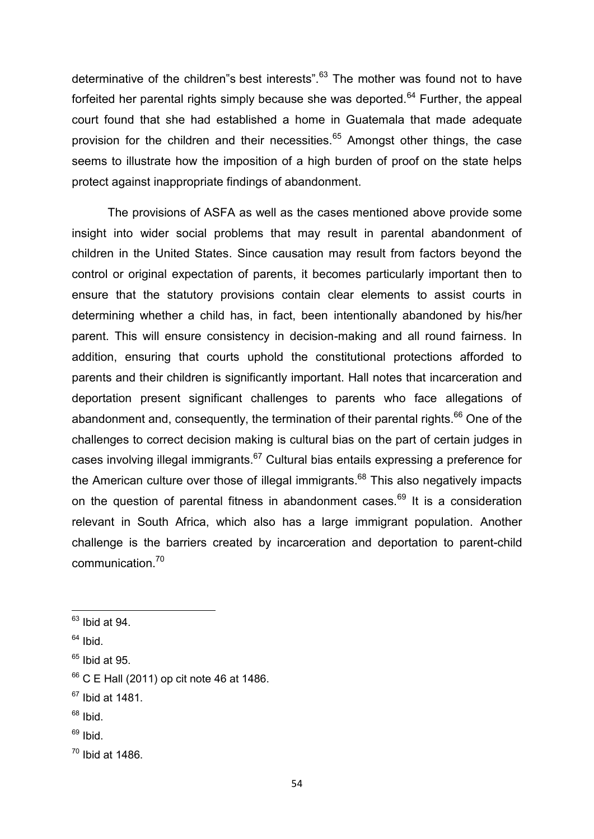determinative of the children"s best interests".<sup>63</sup> The mother was found not to have forfeited her parental rights simply because she was deported.<sup>64</sup> Further, the appeal court found that she had established a home in Guatemala that made adequate provision for the children and their necessities.<sup>65</sup> Amongst other things, the case seems to illustrate how the imposition of a high burden of proof on the state helps protect against inappropriate findings of abandonment.

The provisions of ASFA as well as the cases mentioned above provide some insight into wider social problems that may result in parental abandonment of children in the United States. Since causation may result from factors beyond the control or original expectation of parents, it becomes particularly important then to ensure that the statutory provisions contain clear elements to assist courts in determining whether a child has, in fact, been intentionally abandoned by his/her parent. This will ensure consistency in decision-making and all round fairness. In addition, ensuring that courts uphold the constitutional protections afforded to parents and their children is significantly important. Hall notes that incarceration and deportation present significant challenges to parents who face allegations of abandonment and, consequently, the termination of their parental rights.<sup>66</sup> One of the challenges to correct decision making is cultural bias on the part of certain judges in cases involving illegal immigrants. $67$  Cultural bias entails expressing a preference for the American culture over those of illegal immigrants.<sup>68</sup> This also negatively impacts on the question of parental fitness in abandonment cases.<sup>69</sup> It is a consideration relevant in South Africa, which also has a large immigrant population. Another challenge is the barriers created by incarceration and deportation to parent-child communication.<sup>70</sup>

 $64$  Ibid.

- $68$  Ibid.
- $69$  Ibid.

 $63$  Ibid at 94.

 $65$  Ibid at 95.

 $66$  C E Hall (2011) op cit note 46 at 1486.

 $67$  Ibid at 1481.

 $70$  Ibid at 1486.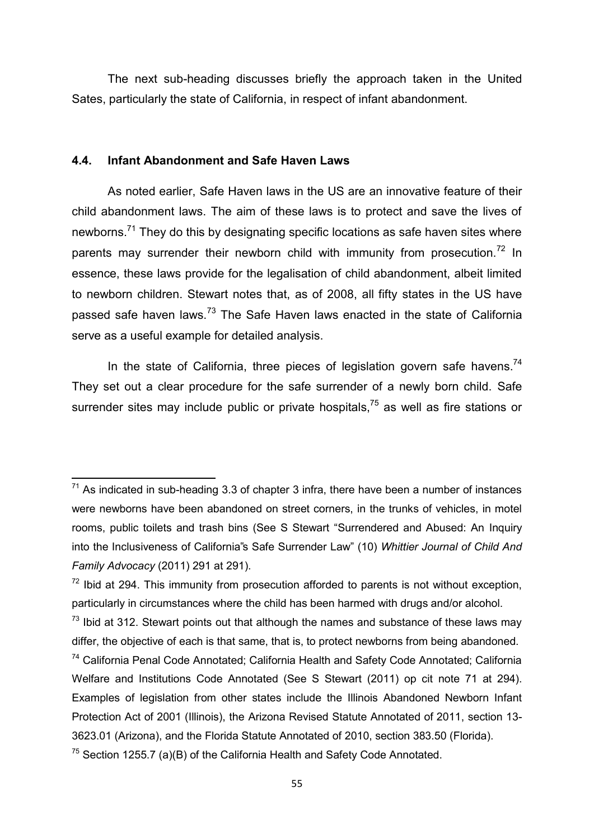The next sub-heading discusses briefly the approach taken in the United Sates, particularly the state of California, in respect of infant abandonment.

#### **4.4. Infant Abandonment and Safe Haven Laws**

**.** 

 As noted earlier, Safe Haven laws in the US are an innovative feature of their child abandonment laws. The aim of these laws is to protect and save the lives of newborns.<sup>71</sup> They do this by designating specific locations as safe haven sites where parents may surrender their newborn child with immunity from prosecution.<sup>72</sup> In essence, these laws provide for the legalisation of child abandonment, albeit limited to newborn children. Stewart notes that, as of 2008, all fifty states in the US have passed safe haven laws.<sup>73</sup> The Safe Haven laws enacted in the state of California serve as a useful example for detailed analysis.

In the state of California, three pieces of legislation govern safe havens.<sup>74</sup> They set out a clear procedure for the safe surrender of a newly born child. Safe surrender sites may include public or private hospitals,<sup>75</sup> as well as fire stations or

 $71$  As indicated in sub-heading 3.3 of chapter 3 infra, there have been a number of instances were newborns have been abandoned on street corners, in the trunks of vehicles, in motel rooms, public toilets and trash bins (See S Stewart "Surrendered and Abused: An Inquiry into the Inclusiveness of California"s Safe Surrender Law" (10) *Whittier Journal of Child And Family Advocacy* (2011) 291 at 291).

 $72$  Ibid at 294. This immunity from prosecution afforded to parents is not without exception, particularly in circumstances where the child has been harmed with drugs and/or alcohol.

 $73$  Ibid at 312. Stewart points out that although the names and substance of these laws may differ, the objective of each is that same, that is, to protect newborns from being abandoned.

<sup>74</sup> California Penal Code Annotated; California Health and Safety Code Annotated; California Welfare and Institutions Code Annotated (See S Stewart (2011) op cit note 71 at 294). Examples of legislation from other states include the Illinois Abandoned Newborn Infant Protection Act of 2001 (Illinois), the Arizona Revised Statute Annotated of 2011, section 13- 3623.01 (Arizona), and the Florida Statute Annotated of 2010, section 383.50 (Florida).

 $75$  Section 1255.7 (a)(B) of the California Health and Safety Code Annotated.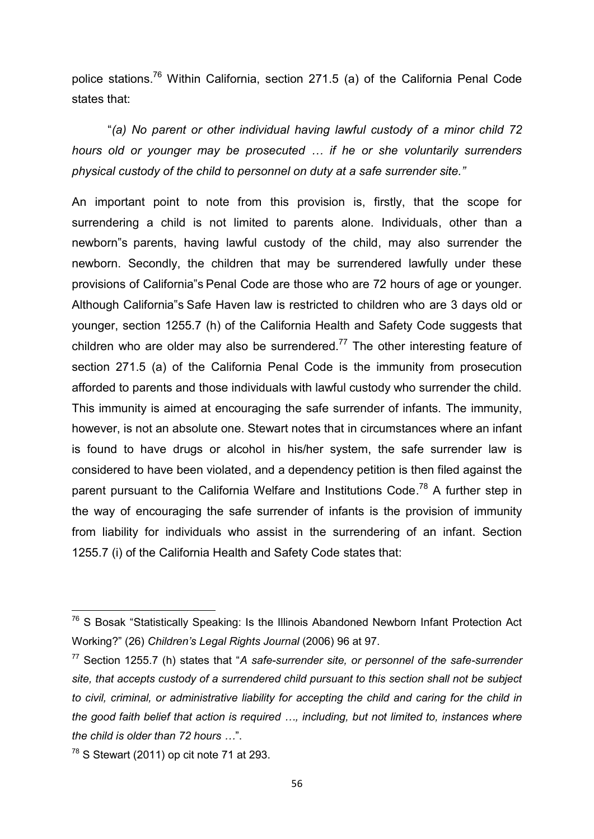police stations.<sup>76</sup> Within California, section 271.5 (a) of the California Penal Code states that:

 "*(a) No parent or other individual having lawful custody of a minor child 72 hours old or younger may be prosecuted … if he or she voluntarily surrenders physical custody of the child to personnel on duty at a safe surrender site."*

An important point to note from this provision is, firstly, that the scope for surrendering a child is not limited to parents alone. Individuals, other than a newborn"s parents, having lawful custody of the child, may also surrender the newborn. Secondly, the children that may be surrendered lawfully under these provisions of California"s Penal Code are those who are 72 hours of age or younger. Although California"s Safe Haven law is restricted to children who are 3 days old or younger, section 1255.7 (h) of the California Health and Safety Code suggests that children who are older may also be surrendered.<sup>77</sup> The other interesting feature of section 271.5 (a) of the California Penal Code is the immunity from prosecution afforded to parents and those individuals with lawful custody who surrender the child. This immunity is aimed at encouraging the safe surrender of infants. The immunity, however, is not an absolute one. Stewart notes that in circumstances where an infant is found to have drugs or alcohol in his/her system, the safe surrender law is considered to have been violated, and a dependency petition is then filed against the parent pursuant to the California Welfare and Institutions Code.<sup>78</sup> A further step in the way of encouraging the safe surrender of infants is the provision of immunity from liability for individuals who assist in the surrendering of an infant. Section 1255.7 (i) of the California Health and Safety Code states that:

<sup>&</sup>lt;sup>76</sup> S Bosak "Statistically Speaking: Is the Illinois Abandoned Newborn Infant Protection Act Working?" (26) *Children's Legal Rights Journal* (2006) 96 at 97.

<sup>77</sup> Section 1255.7 (h) states that "*A safe-surrender site, or personnel of the safe-surrender site, that accepts custody of a surrendered child pursuant to this section shall not be subject to civil, criminal, or administrative liability for accepting the child and caring for the child in the good faith belief that action is required …, including, but not limited to, instances where the child is older than 72 hours …*".

 $78$  S Stewart (2011) op cit note 71 at 293.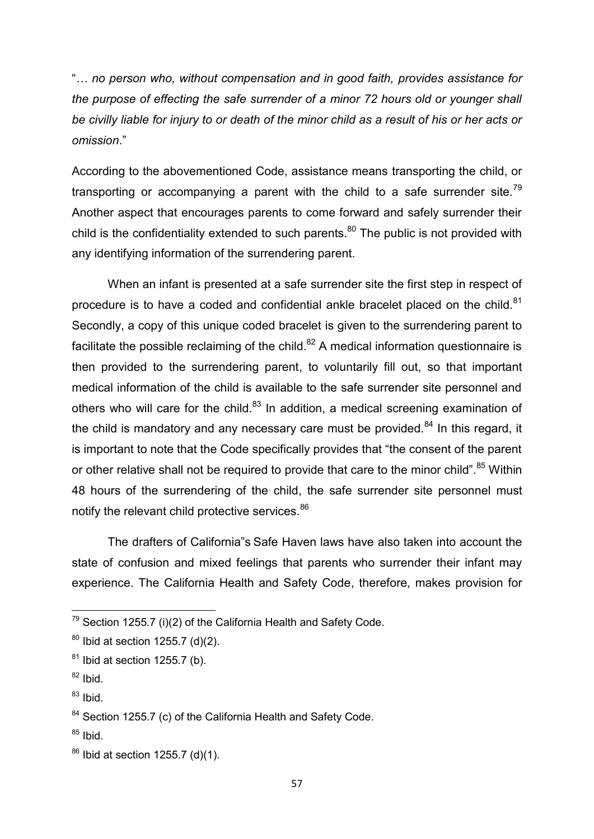"*… no person who, without compensation and in good faith, provides assistance for the purpose of effecting the safe surrender of a minor 72 hours old or younger shall be civilly liable for injury to or death of the minor child as a result of his or her acts or omission*."

According to the abovementioned Code, assistance means transporting the child, or transporting or accompanying a parent with the child to a safe surrender site.<sup>79</sup> Another aspect that encourages parents to come forward and safely surrender their child is the confidentiality extended to such parents. $80$  The public is not provided with any identifying information of the surrendering parent.

 When an infant is presented at a safe surrender site the first step in respect of procedure is to have a coded and confidential ankle bracelet placed on the child. $81$ Secondly, a copy of this unique coded bracelet is given to the surrendering parent to facilitate the possible reclaiming of the child. $82$  A medical information questionnaire is then provided to the surrendering parent, to voluntarily fill out, so that important medical information of the child is available to the safe surrender site personnel and others who will care for the child. $83$  In addition, a medical screening examination of the child is mandatory and any necessary care must be provided. $84$  In this regard, it is important to note that the Code specifically provides that "the consent of the parent or other relative shall not be required to provide that care to the minor child".<sup>85</sup> Within 48 hours of the surrendering of the child, the safe surrender site personnel must notify the relevant child protective services.<sup>86</sup>

 The drafters of California"s Safe Haven laws have also taken into account the state of confusion and mixed feelings that parents who surrender their infant may experience. The California Health and Safety Code, therefore, makes provision for

 $^{79}$  Section 1255.7 (i)(2) of the California Health and Safety Code.

 $80$  Ibid at section 1255.7 (d)(2).

 $81$  Ibid at section 1255.7 (b).

 $82$  Ibid.

 $^{83}$  Ibid.

<sup>&</sup>lt;sup>84</sup> Section 1255.7 (c) of the California Health and Safety Code.

 $85$  Ibid.

 $86$  Ibid at section 1255.7 (d)(1).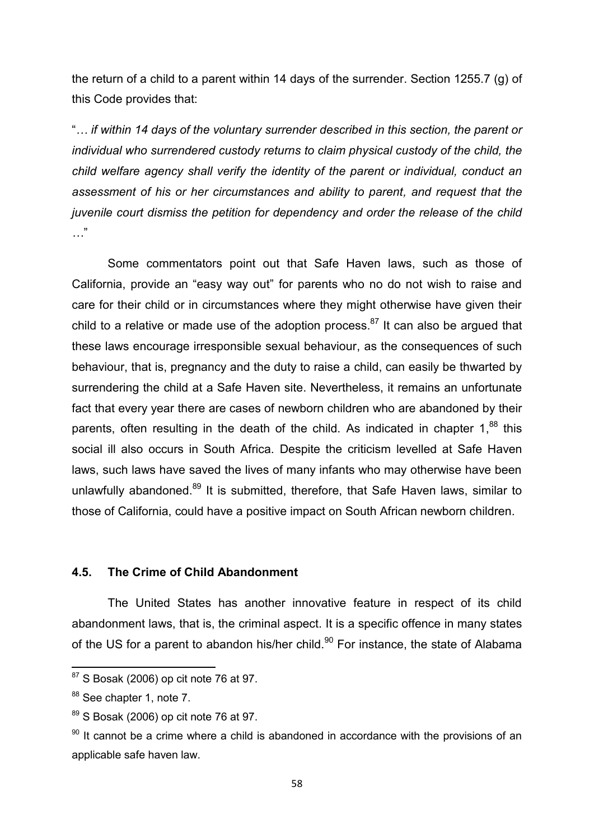the return of a child to a parent within 14 days of the surrender. Section 1255.7 (g) of this Code provides that:

"*… if within 14 days of the voluntary surrender described in this section, the parent or individual who surrendered custody returns to claim physical custody of the child, the child welfare agency shall verify the identity of the parent or individual, conduct an assessment of his or her circumstances and ability to parent, and request that the juvenile court dismiss the petition for dependency and order the release of the child …*"

Some commentators point out that Safe Haven laws, such as those of California, provide an "easy way out" for parents who no do not wish to raise and care for their child or in circumstances where they might otherwise have given their child to a relative or made use of the adoption process.<sup>87</sup> It can also be argued that these laws encourage irresponsible sexual behaviour, as the consequences of such behaviour, that is, pregnancy and the duty to raise a child, can easily be thwarted by surrendering the child at a Safe Haven site. Nevertheless, it remains an unfortunate fact that every year there are cases of newborn children who are abandoned by their parents, often resulting in the death of the child. As indicated in chapter  $1<sup>88</sup>$  this social ill also occurs in South Africa. Despite the criticism levelled at Safe Haven laws, such laws have saved the lives of many infants who may otherwise have been unlawfully abandoned.<sup>89</sup> It is submitted, therefore, that Safe Haven laws, similar to those of California, could have a positive impact on South African newborn children.

# **4.5. The Crime of Child Abandonment**

The United States has another innovative feature in respect of its child abandonment laws, that is, the criminal aspect. It is a specific offence in many states of the US for a parent to abandon his/her child.<sup>90</sup> For instance, the state of Alabama

 $87$  S Bosak (2006) op cit note 76 at 97.

<sup>88</sup> See chapter 1, note 7.

 $89$  S Bosak (2006) op cit note 76 at 97.

 $90$  It cannot be a crime where a child is abandoned in accordance with the provisions of an applicable safe haven law.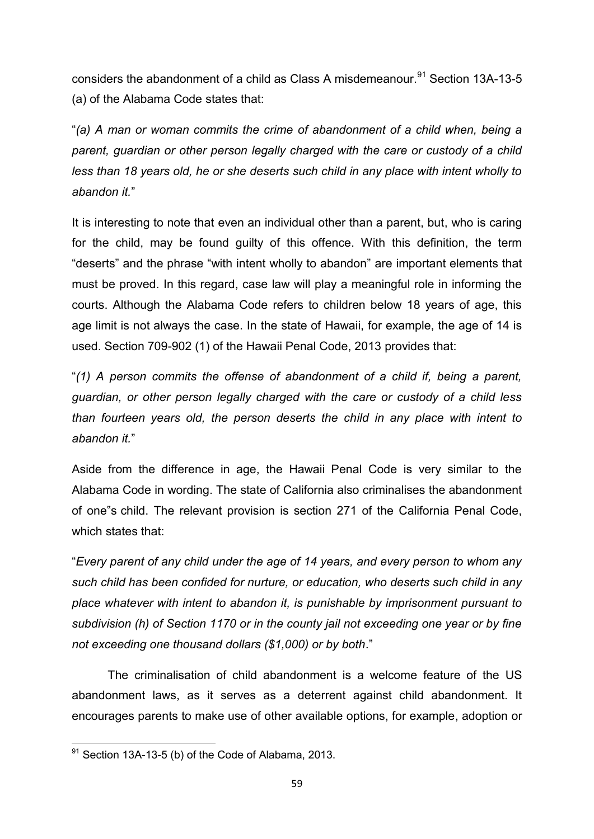considers the abandonment of a child as Class A misdemeanour.<sup>91</sup> Section 13A-13-5 (a) of the Alabama Code states that:

"*(a) A man or woman commits the crime of abandonment of a child when, being a*  parent, guardian or other person legally charged with the care or custody of a child *less than 18 years old, he or she deserts such child in any place with intent wholly to abandon it.*"

It is interesting to note that even an individual other than a parent, but, who is caring for the child, may be found guilty of this offence. With this definition, the term "deserts" and the phrase "with intent wholly to abandon" are important elements that must be proved. In this regard, case law will play a meaningful role in informing the courts. Although the Alabama Code refers to children below 18 years of age, this age limit is not always the case. In the state of Hawaii, for example, the age of 14 is used. Section 709-902 (1) of the Hawaii Penal Code, 2013 provides that:

"*(1) A person commits the offense of abandonment of a child if, being a parent, guardian, or other person legally charged with the care or custody of a child less than fourteen years old, the person deserts the child in any place with intent to abandon it.*"

Aside from the difference in age, the Hawaii Penal Code is very similar to the Alabama Code in wording. The state of California also criminalises the abandonment of one"s child. The relevant provision is section 271 of the California Penal Code, which states that:

"*Every parent of any child under the age of 14 years, and every person to whom any such child has been confided for nurture, or education, who deserts such child in any place whatever with intent to abandon it, is punishable by imprisonment pursuant to subdivision (h) of Section 1170 or in the county jail not exceeding one year or by fine not exceeding one thousand dollars (\$1,000) or by both*."

The criminalisation of child abandonment is a welcome feature of the US abandonment laws, as it serves as a deterrent against child abandonment. It encourages parents to make use of other available options, for example, adoption or

**<sup>.</sup>**  $91$  Section 13A-13-5 (b) of the Code of Alabama, 2013.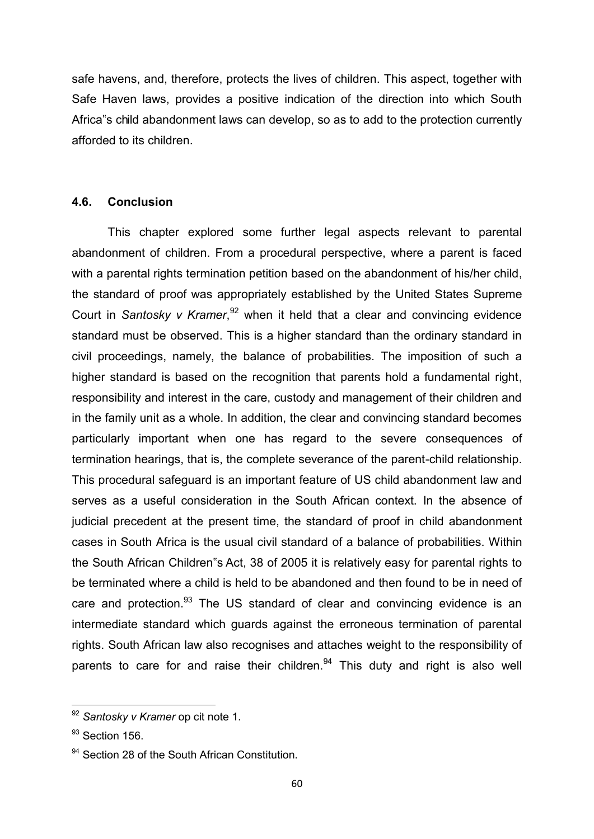safe havens, and, therefore, protects the lives of children. This aspect, together with Safe Haven laws, provides a positive indication of the direction into which South Africa"s child abandonment laws can develop, so as to add to the protection currently afforded to its children.

#### **4.6. Conclusion**

This chapter explored some further legal aspects relevant to parental abandonment of children. From a procedural perspective, where a parent is faced with a parental rights termination petition based on the abandonment of his/her child, the standard of proof was appropriately established by the United States Supreme Court in *Santosky v Kramer*, <sup>92</sup> when it held that a clear and convincing evidence standard must be observed. This is a higher standard than the ordinary standard in civil proceedings, namely, the balance of probabilities. The imposition of such a higher standard is based on the recognition that parents hold a fundamental right, responsibility and interest in the care, custody and management of their children and in the family unit as a whole. In addition, the clear and convincing standard becomes particularly important when one has regard to the severe consequences of termination hearings, that is, the complete severance of the parent-child relationship. This procedural safeguard is an important feature of US child abandonment law and serves as a useful consideration in the South African context. In the absence of judicial precedent at the present time, the standard of proof in child abandonment cases in South Africa is the usual civil standard of a balance of probabilities. Within the South African Children"s Act, 38 of 2005 it is relatively easy for parental rights to be terminated where a child is held to be abandoned and then found to be in need of care and protection.<sup>93</sup> The US standard of clear and convincing evidence is an intermediate standard which guards against the erroneous termination of parental rights. South African law also recognises and attaches weight to the responsibility of parents to care for and raise their children. $94$  This duty and right is also well

**.** 

<sup>92</sup> *Santosky v Kramer* op cit note 1.

<sup>&</sup>lt;sup>93</sup> Section 156.

<sup>&</sup>lt;sup>94</sup> Section 28 of the South African Constitution.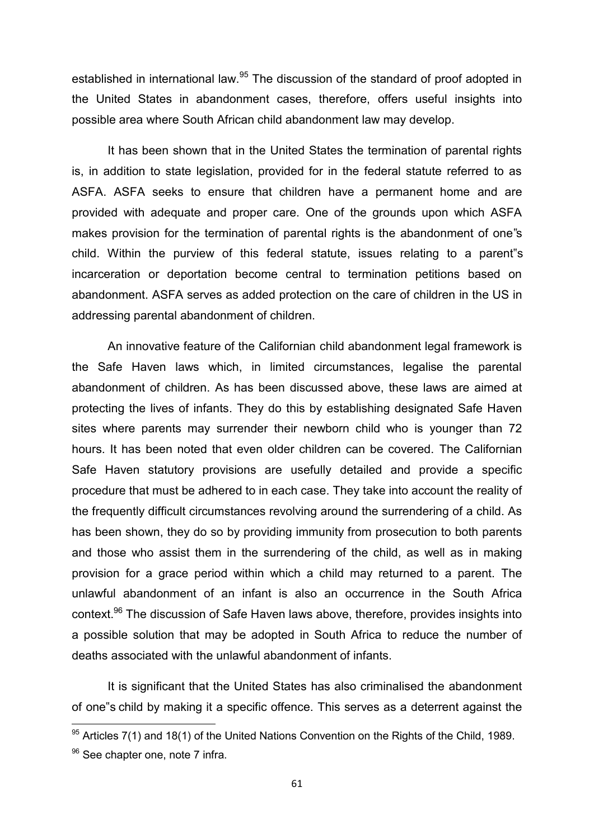established in international law.<sup>95</sup> The discussion of the standard of proof adopted in the United States in abandonment cases, therefore, offers useful insights into possible area where South African child abandonment law may develop.

It has been shown that in the United States the termination of parental rights is, in addition to state legislation, provided for in the federal statute referred to as ASFA. ASFA seeks to ensure that children have a permanent home and are provided with adequate and proper care. One of the grounds upon which ASFA makes provision for the termination of parental rights is the abandonment of one"s child. Within the purview of this federal statute, issues relating to a parent"s incarceration or deportation become central to termination petitions based on abandonment. ASFA serves as added protection on the care of children in the US in addressing parental abandonment of children.

An innovative feature of the Californian child abandonment legal framework is the Safe Haven laws which, in limited circumstances, legalise the parental abandonment of children. As has been discussed above, these laws are aimed at protecting the lives of infants. They do this by establishing designated Safe Haven sites where parents may surrender their newborn child who is younger than 72 hours. It has been noted that even older children can be covered. The Californian Safe Haven statutory provisions are usefully detailed and provide a specific procedure that must be adhered to in each case. They take into account the reality of the frequently difficult circumstances revolving around the surrendering of a child. As has been shown, they do so by providing immunity from prosecution to both parents and those who assist them in the surrendering of the child, as well as in making provision for a grace period within which a child may returned to a parent. The unlawful abandonment of an infant is also an occurrence in the South Africa context.<sup>96</sup> The discussion of Safe Haven laws above, therefore, provides insights into a possible solution that may be adopted in South Africa to reduce the number of deaths associated with the unlawful abandonment of infants.

It is significant that the United States has also criminalised the abandonment of one"s child by making it a specific offence. This serves as a deterrent against the

 $95$  Articles 7(1) and 18(1) of the United Nations Convention on the Rights of the Child, 1989.

<sup>&</sup>lt;sup>96</sup> See chapter one, note 7 infra.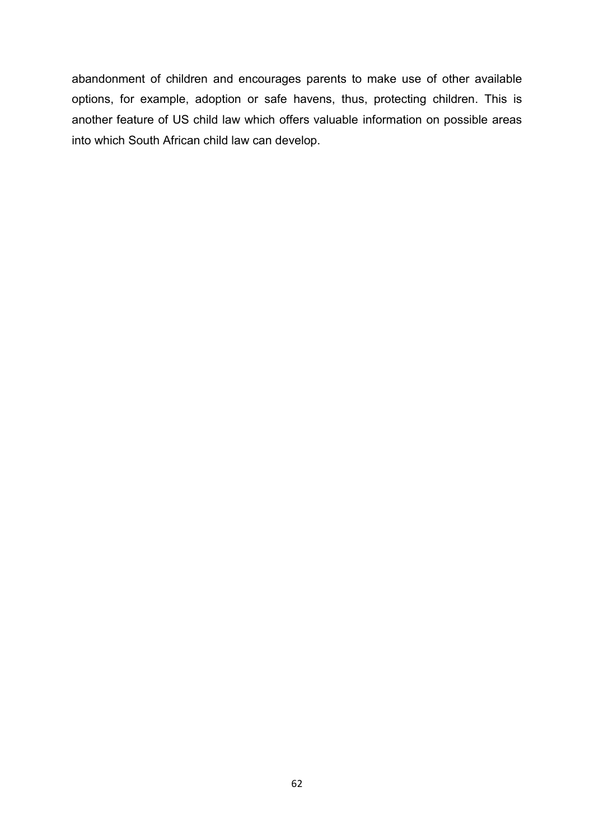abandonment of children and encourages parents to make use of other available options, for example, adoption or safe havens, thus, protecting children. This is another feature of US child law which offers valuable information on possible areas into which South African child law can develop.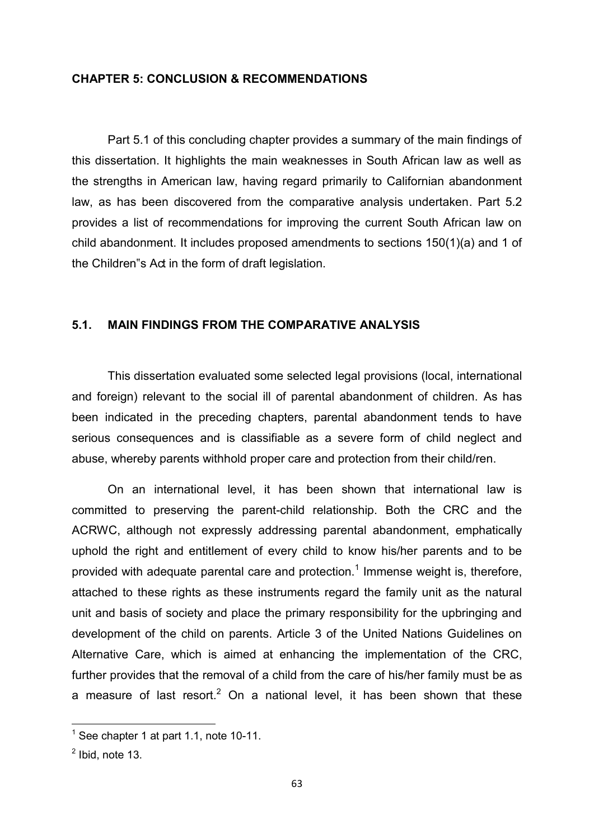#### **CHAPTER 5: CONCLUSION & RECOMMENDATIONS**

 Part 5.1 of this concluding chapter provides a summary of the main findings of this dissertation. It highlights the main weaknesses in South African law as well as the strengths in American law, having regard primarily to Californian abandonment law, as has been discovered from the comparative analysis undertaken. Part 5.2 provides a list of recommendations for improving the current South African law on child abandonment. It includes proposed amendments to sections 150(1)(a) and 1 of the Children"s Act in the form of draft legislation.

### **5.1. MAIN FINDINGS FROM THE COMPARATIVE ANALYSIS**

 This dissertation evaluated some selected legal provisions (local, international and foreign) relevant to the social ill of parental abandonment of children. As has been indicated in the preceding chapters, parental abandonment tends to have serious consequences and is classifiable as a severe form of child neglect and abuse, whereby parents withhold proper care and protection from their child/ren.

On an international level, it has been shown that international law is committed to preserving the parent-child relationship. Both the CRC and the ACRWC, although not expressly addressing parental abandonment, emphatically uphold the right and entitlement of every child to know his/her parents and to be provided with adequate parental care and protection.<sup>1</sup> Immense weight is, therefore, attached to these rights as these instruments regard the family unit as the natural unit and basis of society and place the primary responsibility for the upbringing and development of the child on parents. Article 3 of the United Nations Guidelines on Alternative Care, which is aimed at enhancing the implementation of the CRC, further provides that the removal of a child from the care of his/her family must be as a measure of last resort.<sup>2</sup> On a national level, it has been shown that these

 1 See chapter 1 at part 1.1, note 10-11.

 $<sup>2</sup>$  Ibid, note 13.</sup>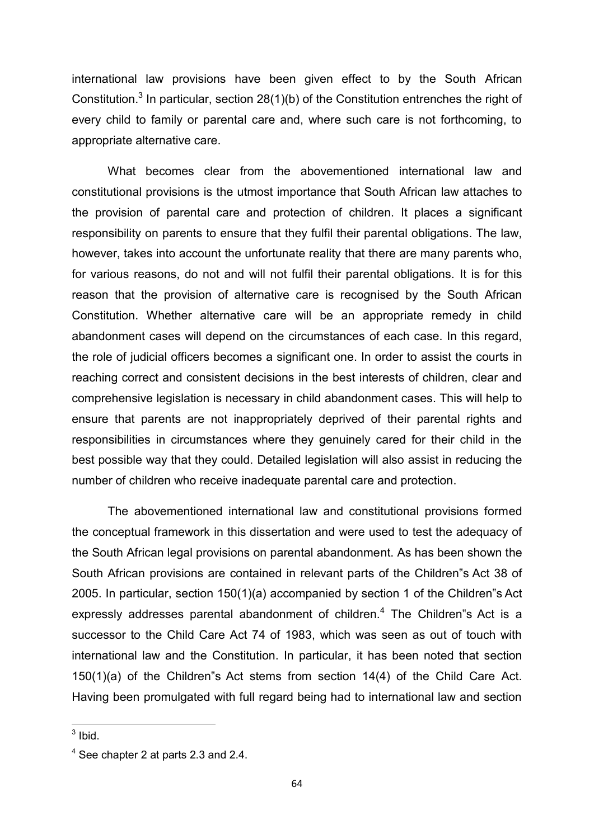international law provisions have been given effect to by the South African Constitution.<sup>3</sup> In particular, section 28(1)(b) of the Constitution entrenches the right of every child to family or parental care and, where such care is not forthcoming, to appropriate alternative care.

 What becomes clear from the abovementioned international law and constitutional provisions is the utmost importance that South African law attaches to the provision of parental care and protection of children. It places a significant responsibility on parents to ensure that they fulfil their parental obligations. The law, however, takes into account the unfortunate reality that there are many parents who, for various reasons, do not and will not fulfil their parental obligations. It is for this reason that the provision of alternative care is recognised by the South African Constitution. Whether alternative care will be an appropriate remedy in child abandonment cases will depend on the circumstances of each case. In this regard, the role of judicial officers becomes a significant one. In order to assist the courts in reaching correct and consistent decisions in the best interests of children, clear and comprehensive legislation is necessary in child abandonment cases. This will help to ensure that parents are not inappropriately deprived of their parental rights and responsibilities in circumstances where they genuinely cared for their child in the best possible way that they could. Detailed legislation will also assist in reducing the number of children who receive inadequate parental care and protection.

 The abovementioned international law and constitutional provisions formed the conceptual framework in this dissertation and were used to test the adequacy of the South African legal provisions on parental abandonment. As has been shown the South African provisions are contained in relevant parts of the Children"s Act 38 of 2005. In particular, section 150(1)(a) accompanied by section 1 of the Children"s Act expressly addresses parental abandonment of children. $<sup>4</sup>$  The Children"s Act is a</sup> successor to the Child Care Act 74 of 1983, which was seen as out of touch with international law and the Constitution. In particular, it has been noted that section 150(1)(a) of the Children"s Act stems from section 14(4) of the Child Care Act. Having been promulgated with full regard being had to international law and section

 $\frac{1}{3}$  Ibid.

 $<sup>4</sup>$  See chapter 2 at parts 2.3 and 2.4.</sup>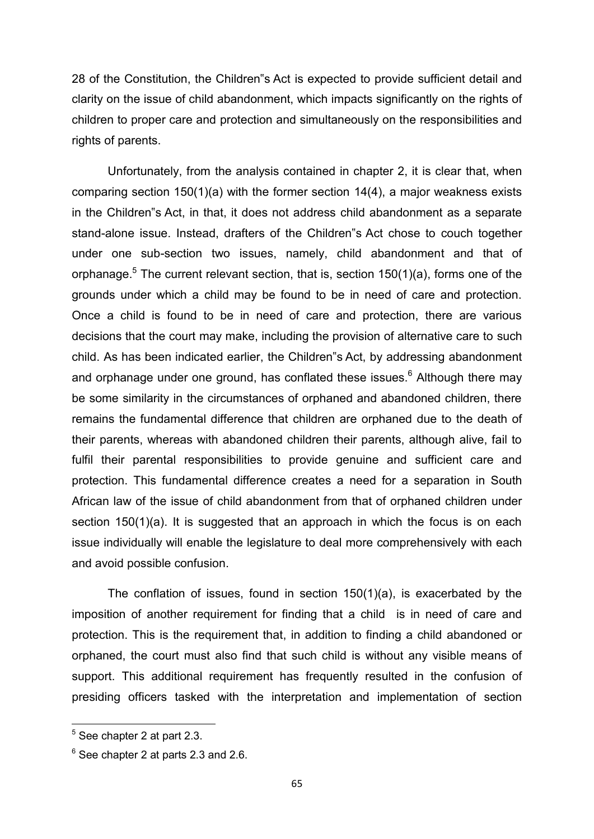28 of the Constitution, the Children"s Act is expected to provide sufficient detail and clarity on the issue of child abandonment, which impacts significantly on the rights of children to proper care and protection and simultaneously on the responsibilities and rights of parents.

 Unfortunately, from the analysis contained in chapter 2, it is clear that, when comparing section 150(1)(a) with the former section 14(4), a major weakness exists in the Children"s Act, in that, it does not address child abandonment as a separate stand-alone issue. Instead, drafters of the Children"s Act chose to couch together under one sub-section two issues, namely, child abandonment and that of orphanage. $^5$  The current relevant section, that is, section 150(1)(a), forms one of the grounds under which a child may be found to be in need of care and protection. Once a child is found to be in need of care and protection, there are various decisions that the court may make, including the provision of alternative care to such child. As has been indicated earlier, the Children"s Act, by addressing abandonment and orphanage under one ground, has conflated these issues.<sup>6</sup> Although there may be some similarity in the circumstances of orphaned and abandoned children, there remains the fundamental difference that children are orphaned due to the death of their parents, whereas with abandoned children their parents, although alive, fail to fulfil their parental responsibilities to provide genuine and sufficient care and protection. This fundamental difference creates a need for a separation in South African law of the issue of child abandonment from that of orphaned children under section 150(1)(a). It is suggested that an approach in which the focus is on each issue individually will enable the legislature to deal more comprehensively with each and avoid possible confusion.

The conflation of issues, found in section 150(1)(a), is exacerbated by the imposition of another requirement for finding that a child is in need of care and protection. This is the requirement that, in addition to finding a child abandoned or orphaned, the court must also find that such child is without any visible means of support. This additional requirement has frequently resulted in the confusion of presiding officers tasked with the interpretation and implementation of section

1

<sup>5</sup> See chapter 2 at part 2.3.

 $^6$  See chapter 2 at parts 2.3 and 2.6.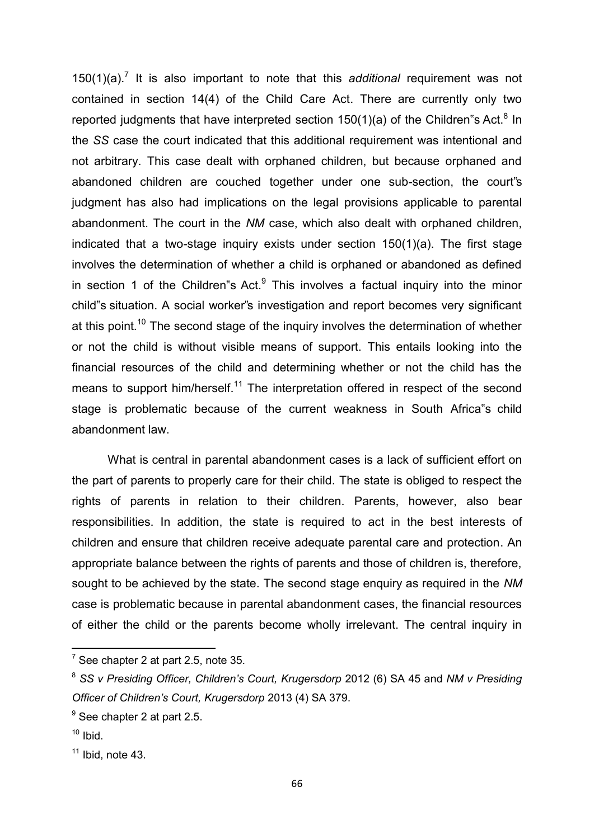150(1)(a).<sup>7</sup> It is also important to note that this *additional* requirement was not contained in section 14(4) of the Child Care Act. There are currently only two reported judgments that have interpreted section 150(1)(a) of the Children"s Act.<sup>8</sup> In the *SS* case the court indicated that this additional requirement was intentional and not arbitrary. This case dealt with orphaned children, but because orphaned and abandoned children are couched together under one sub-section, the court"s judgment has also had implications on the legal provisions applicable to parental abandonment. The court in the *NM* case, which also dealt with orphaned children, indicated that a two-stage inquiry exists under section 150(1)(a). The first stage involves the determination of whether a child is orphaned or abandoned as defined in section 1 of the Children"s Act. $9$  This involves a factual inquiry into the minor child"s situation. A social worker"s investigation and report becomes very significant at this point.<sup>10</sup> The second stage of the inquiry involves the determination of whether or not the child is without visible means of support. This entails looking into the financial resources of the child and determining whether or not the child has the means to support him/herself.<sup>11</sup> The interpretation offered in respect of the second stage is problematic because of the current weakness in South Africa"s child abandonment law.

 What is central in parental abandonment cases is a lack of sufficient effort on the part of parents to properly care for their child. The state is obliged to respect the rights of parents in relation to their children. Parents, however, also bear responsibilities. In addition, the state is required to act in the best interests of children and ensure that children receive adequate parental care and protection. An appropriate balance between the rights of parents and those of children is, therefore, sought to be achieved by the state. The second stage enquiry as required in the *NM*  case is problematic because in parental abandonment cases, the financial resources of either the child or the parents become wholly irrelevant. The central inquiry in

 $\overline{a}$ 

 $^7$  See chapter 2 at part 2.5, note 35.

<sup>8</sup> *SS v Presiding Officer, Children's Court, Krugersdorp* 2012 (6) SA 45 and *NM v Presiding Officer of Children's Court, Krugersdorp* 2013 (4) SA 379.

 $<sup>9</sup>$  See chapter 2 at part 2.5.</sup>

 $10$  Ibid.

 $11$  Ibid, note 43.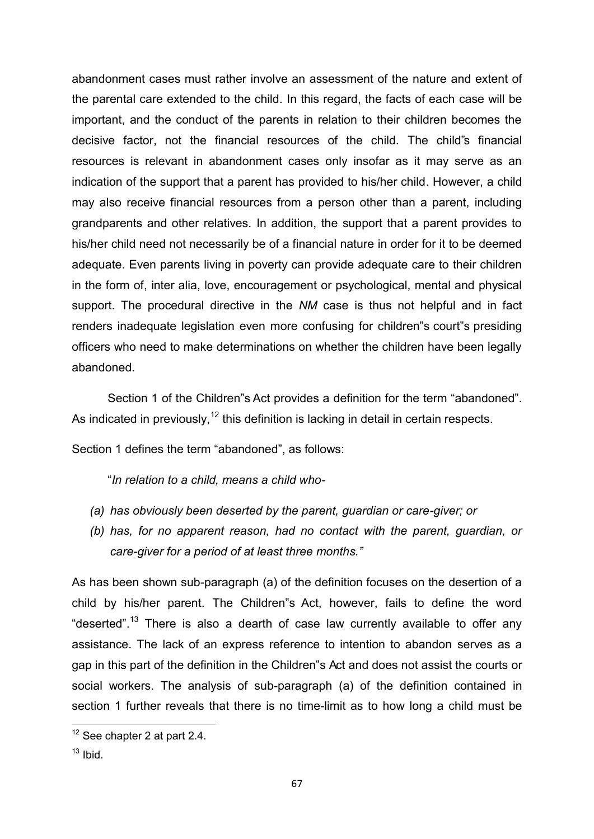abandonment cases must rather involve an assessment of the nature and extent of the parental care extended to the child. In this regard, the facts of each case will be important, and the conduct of the parents in relation to their children becomes the decisive factor, not the financial resources of the child. The child"s financial resources is relevant in abandonment cases only insofar as it may serve as an indication of the support that a parent has provided to his/her child. However, a child may also receive financial resources from a person other than a parent, including grandparents and other relatives. In addition, the support that a parent provides to his/her child need not necessarily be of a financial nature in order for it to be deemed adequate. Even parents living in poverty can provide adequate care to their children in the form of, inter alia, love, encouragement or psychological, mental and physical support. The procedural directive in the *NM* case is thus not helpful and in fact renders inadequate legislation even more confusing for children"s court"s presiding officers who need to make determinations on whether the children have been legally abandoned.

 Section 1 of the Children"s Act provides a definition for the term "abandoned". As indicated in previously,<sup>12</sup> this definition is lacking in detail in certain respects.

Section 1 defines the term "abandoned", as follows:

"*In relation to a child, means a child who-* 

- *(a) has obviously been deserted by the parent, guardian or care-giver; or*
- *(b) has, for no apparent reason, had no contact with the parent, guardian, or care-giver for a period of at least three months."*

As has been shown sub-paragraph (a) of the definition focuses on the desertion of a child by his/her parent. The Children"s Act, however, fails to define the word "deserted".<sup>13</sup> There is also a dearth of case law currently available to offer any assistance. The lack of an express reference to intention to abandon serves as a gap in this part of the definition in the Children"s Act and does not assist the courts or social workers. The analysis of sub-paragraph (a) of the definition contained in section 1 further reveals that there is no time-limit as to how long a child must be

1

 $12$  See chapter 2 at part 2.4.

 $13$  Ibid.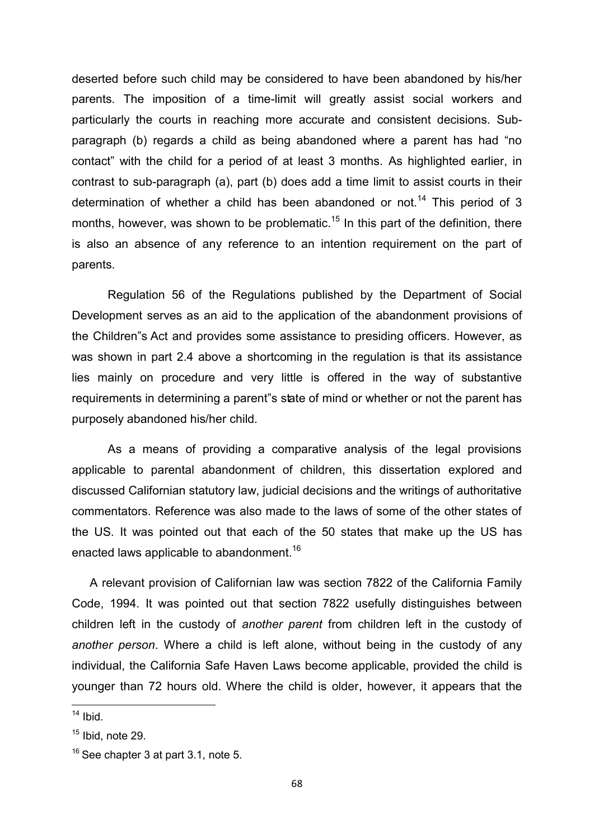deserted before such child may be considered to have been abandoned by his/her parents. The imposition of a time-limit will greatly assist social workers and particularly the courts in reaching more accurate and consistent decisions. Subparagraph (b) regards a child as being abandoned where a parent has had "no contact" with the child for a period of at least 3 months. As highlighted earlier, in contrast to sub-paragraph (a), part (b) does add a time limit to assist courts in their determination of whether a child has been abandoned or not.<sup>14</sup> This period of 3 months, however, was shown to be problematic.<sup>15</sup> In this part of the definition, there is also an absence of any reference to an intention requirement on the part of parents.

Regulation 56 of the Regulations published by the Department of Social Development serves as an aid to the application of the abandonment provisions of the Children"s Act and provides some assistance to presiding officers. However, as was shown in part 2.4 above a shortcoming in the regulation is that its assistance lies mainly on procedure and very little is offered in the way of substantive requirements in determining a parent"s state of mind or whether or not the parent has purposely abandoned his/her child.

As a means of providing a comparative analysis of the legal provisions applicable to parental abandonment of children, this dissertation explored and discussed Californian statutory law, judicial decisions and the writings of authoritative commentators. Reference was also made to the laws of some of the other states of the US. It was pointed out that each of the 50 states that make up the US has enacted laws applicable to abandonment.<sup>16</sup>

A relevant provision of Californian law was section 7822 of the California Family Code, 1994. It was pointed out that section 7822 usefully distinguishes between children left in the custody of *another parent* from children left in the custody of *another person*. Where a child is left alone, without being in the custody of any individual, the California Safe Haven Laws become applicable, provided the child is younger than 72 hours old. Where the child is older, however, it appears that the

**.** 

 $14$  Ibid.

 $15$  Ibid, note 29.

 $16$  See chapter 3 at part 3.1, note 5.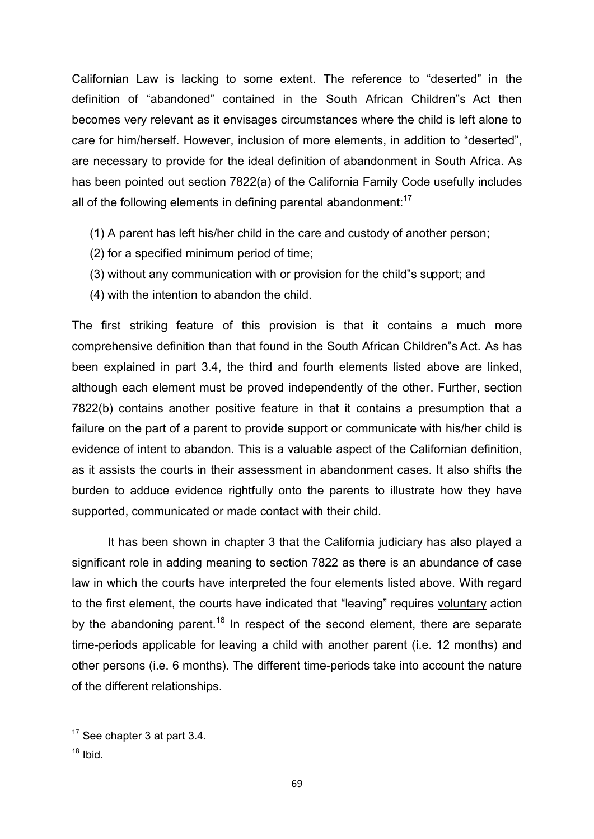Californian Law is lacking to some extent. The reference to "deserted" in the definition of "abandoned" contained in the South African Children"s Act then becomes very relevant as it envisages circumstances where the child is left alone to care for him/herself. However, inclusion of more elements, in addition to "deserted", are necessary to provide for the ideal definition of abandonment in South Africa. As has been pointed out section 7822(a) of the California Family Code usefully includes all of the following elements in defining parental abandonment: $17$ 

- (1) A parent has left his/her child in the care and custody of another person;
- (2) for a specified minimum period of time;
- (3) without any communication with or provision for the child"s support; and
- (4) with the intention to abandon the child.

The first striking feature of this provision is that it contains a much more comprehensive definition than that found in the South African Children"s Act. As has been explained in part 3.4, the third and fourth elements listed above are linked, although each element must be proved independently of the other. Further, section 7822(b) contains another positive feature in that it contains a presumption that a failure on the part of a parent to provide support or communicate with his/her child is evidence of intent to abandon. This is a valuable aspect of the Californian definition, as it assists the courts in their assessment in abandonment cases. It also shifts the burden to adduce evidence rightfully onto the parents to illustrate how they have supported, communicated or made contact with their child.

 It has been shown in chapter 3 that the California judiciary has also played a significant role in adding meaning to section 7822 as there is an abundance of case law in which the courts have interpreted the four elements listed above. With regard to the first element, the courts have indicated that "leaving" requires voluntary action by the abandoning parent.<sup>18</sup> In respect of the second element, there are separate time-periods applicable for leaving a child with another parent (i.e. 12 months) and other persons (i.e. 6 months). The different time-periods take into account the nature of the different relationships.

 $18$  Ibid.

1

 $17$  See chapter 3 at part 3.4.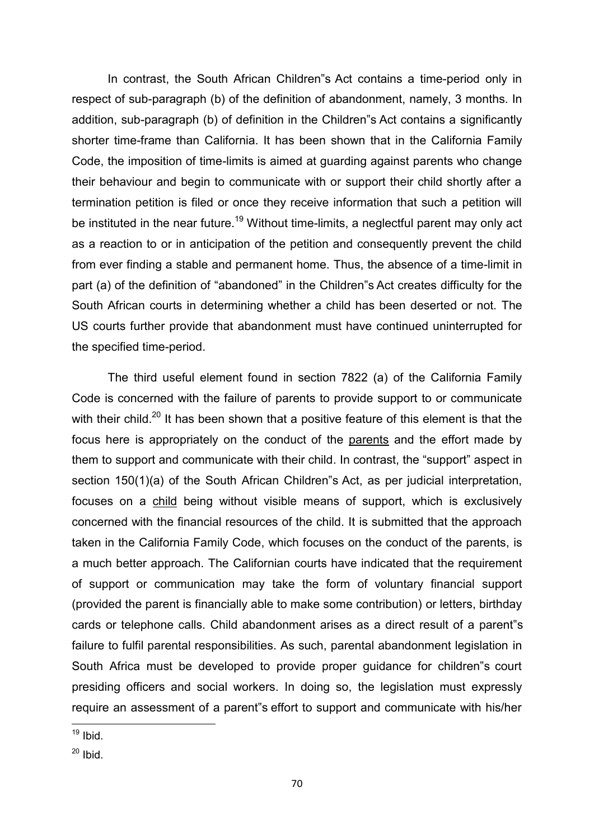In contrast, the South African Children"s Act contains a time-period only in respect of sub-paragraph (b) of the definition of abandonment, namely, 3 months. In addition, sub-paragraph (b) of definition in the Children"s Act contains a significantly shorter time-frame than California. It has been shown that in the California Family Code, the imposition of time-limits is aimed at guarding against parents who change their behaviour and begin to communicate with or support their child shortly after a termination petition is filed or once they receive information that such a petition will be instituted in the near future.<sup>19</sup> Without time-limits, a neglectful parent may only act as a reaction to or in anticipation of the petition and consequently prevent the child from ever finding a stable and permanent home. Thus, the absence of a time-limit in part (a) of the definition of "abandoned" in the Children"s Act creates difficulty for the South African courts in determining whether a child has been deserted or not. The US courts further provide that abandonment must have continued uninterrupted for the specified time-period.

 The third useful element found in section 7822 (a) of the California Family Code is concerned with the failure of parents to provide support to or communicate with their child.<sup>20</sup> It has been shown that a positive feature of this element is that the focus here is appropriately on the conduct of the parents and the effort made by them to support and communicate with their child. In contrast, the "support" aspect in section 150(1)(a) of the South African Children"s Act, as per judicial interpretation, focuses on a child being without visible means of support, which is exclusively concerned with the financial resources of the child. It is submitted that the approach taken in the California Family Code, which focuses on the conduct of the parents, is a much better approach. The Californian courts have indicated that the requirement of support or communication may take the form of voluntary financial support (provided the parent is financially able to make some contribution) or letters, birthday cards or telephone calls. Child abandonment arises as a direct result of a parent"s failure to fulfil parental responsibilities. As such, parental abandonment legislation in South Africa must be developed to provide proper guidance for children"s court presiding officers and social workers. In doing so, the legislation must expressly require an assessment of a parent"s effort to support and communicate with his/her

<sup>1</sup>  $19$  Ibid.

 $20$  Ibid.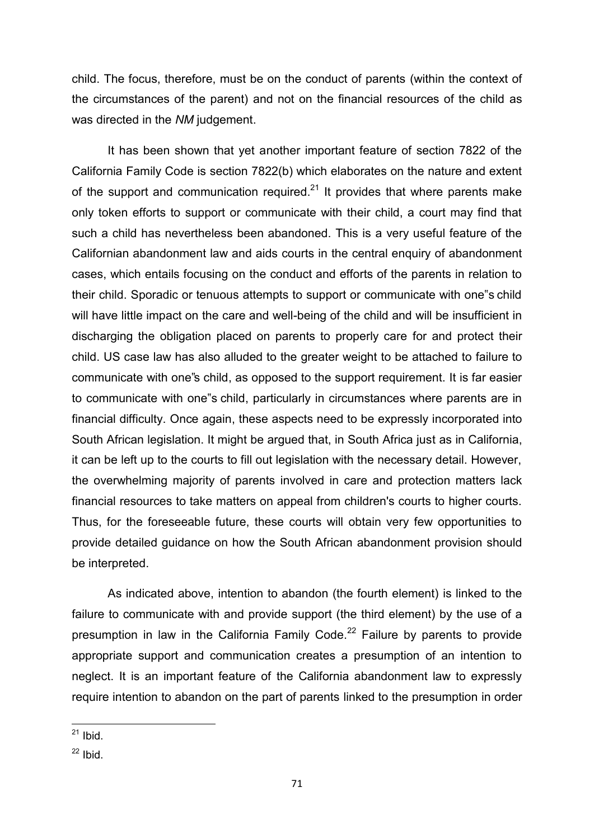child. The focus, therefore, must be on the conduct of parents (within the context of the circumstances of the parent) and not on the financial resources of the child as was directed in the *NM* judgement.

It has been shown that yet another important feature of section 7822 of the California Family Code is section 7822(b) which elaborates on the nature and extent of the support and communication required.<sup>21</sup> It provides that where parents make only token efforts to support or communicate with their child, a court may find that such a child has nevertheless been abandoned. This is a very useful feature of the Californian abandonment law and aids courts in the central enquiry of abandonment cases, which entails focusing on the conduct and efforts of the parents in relation to their child. Sporadic or tenuous attempts to support or communicate with one"s child will have little impact on the care and well-being of the child and will be insufficient in discharging the obligation placed on parents to properly care for and protect their child. US case law has also alluded to the greater weight to be attached to failure to communicate with one"s child, as opposed to the support requirement. It is far easier to communicate with one"s child, particularly in circumstances where parents are in financial difficulty. Once again, these aspects need to be expressly incorporated into South African legislation. It might be argued that, in South Africa just as in California, it can be left up to the courts to fill out legislation with the necessary detail. However, the overwhelming majority of parents involved in care and protection matters lack financial resources to take matters on appeal from children's courts to higher courts. Thus, for the foreseeable future, these courts will obtain very few opportunities to provide detailed guidance on how the South African abandonment provision should be interpreted.

 As indicated above, intention to abandon (the fourth element) is linked to the failure to communicate with and provide support (the third element) by the use of a presumption in law in the California Family Code. $^{22}$  Failure by parents to provide appropriate support and communication creates a presumption of an intention to neglect. It is an important feature of the California abandonment law to expressly require intention to abandon on the part of parents linked to the presumption in order

<sup>1</sup>  $21$  Ibid.

 $22$  Ibid.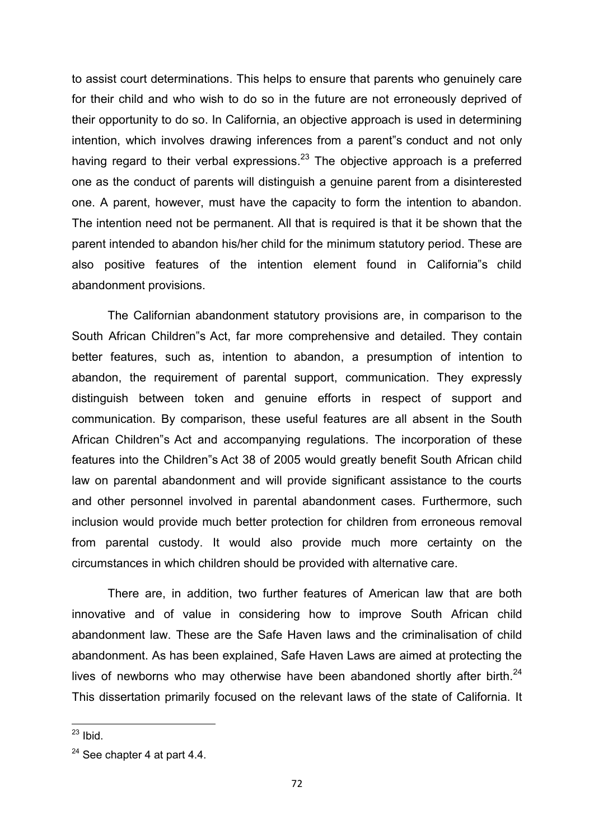to assist court determinations. This helps to ensure that parents who genuinely care for their child and who wish to do so in the future are not erroneously deprived of their opportunity to do so. In California, an objective approach is used in determining intention, which involves drawing inferences from a parent"s conduct and not only having regard to their verbal expressions.<sup>23</sup> The objective approach is a preferred one as the conduct of parents will distinguish a genuine parent from a disinterested one. A parent, however, must have the capacity to form the intention to abandon. The intention need not be permanent. All that is required is that it be shown that the parent intended to abandon his/her child for the minimum statutory period. These are also positive features of the intention element found in California"s child abandonment provisions.

 The Californian abandonment statutory provisions are, in comparison to the South African Children"s Act, far more comprehensive and detailed. They contain better features, such as, intention to abandon, a presumption of intention to abandon, the requirement of parental support, communication. They expressly distinguish between token and genuine efforts in respect of support and communication. By comparison, these useful features are all absent in the South African Children"s Act and accompanying regulations. The incorporation of these features into the Children"s Act 38 of 2005 would greatly benefit South African child law on parental abandonment and will provide significant assistance to the courts and other personnel involved in parental abandonment cases. Furthermore, such inclusion would provide much better protection for children from erroneous removal from parental custody. It would also provide much more certainty on the circumstances in which children should be provided with alternative care.

There are, in addition, two further features of American law that are both innovative and of value in considering how to improve South African child abandonment law. These are the Safe Haven laws and the criminalisation of child abandonment. As has been explained, Safe Haven Laws are aimed at protecting the lives of newborns who may otherwise have been abandoned shortly after birth.<sup>24</sup> This dissertation primarily focused on the relevant laws of the state of California. It

1

 $^{23}$  Ibid.

 $24$  See chapter 4 at part 4.4.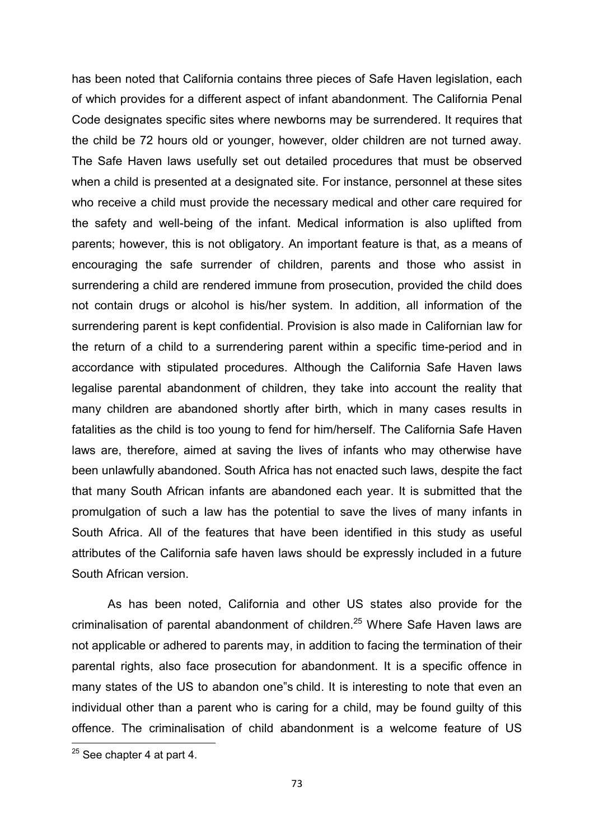has been noted that California contains three pieces of Safe Haven legislation, each of which provides for a different aspect of infant abandonment. The California Penal Code designates specific sites where newborns may be surrendered. It requires that the child be 72 hours old or younger, however, older children are not turned away. The Safe Haven laws usefully set out detailed procedures that must be observed when a child is presented at a designated site. For instance, personnel at these sites who receive a child must provide the necessary medical and other care required for the safety and well-being of the infant. Medical information is also uplifted from parents; however, this is not obligatory. An important feature is that, as a means of encouraging the safe surrender of children, parents and those who assist in surrendering a child are rendered immune from prosecution, provided the child does not contain drugs or alcohol is his/her system. In addition, all information of the surrendering parent is kept confidential. Provision is also made in Californian law for the return of a child to a surrendering parent within a specific time-period and in accordance with stipulated procedures. Although the California Safe Haven laws legalise parental abandonment of children, they take into account the reality that many children are abandoned shortly after birth, which in many cases results in fatalities as the child is too young to fend for him/herself. The California Safe Haven laws are, therefore, aimed at saving the lives of infants who may otherwise have been unlawfully abandoned. South Africa has not enacted such laws, despite the fact that many South African infants are abandoned each year. It is submitted that the promulgation of such a law has the potential to save the lives of many infants in South Africa. All of the features that have been identified in this study as useful attributes of the California safe haven laws should be expressly included in a future South African version.

 As has been noted, California and other US states also provide for the criminalisation of parental abandonment of children.<sup>25</sup> Where Safe Haven laws are not applicable or adhered to parents may, in addition to facing the termination of their parental rights, also face prosecution for abandonment. It is a specific offence in many states of the US to abandon one"s child. It is interesting to note that even an individual other than a parent who is caring for a child, may be found guilty of this offence. The criminalisation of child abandonment is a welcome feature of US

**.** 

 $25$  See chapter 4 at part 4.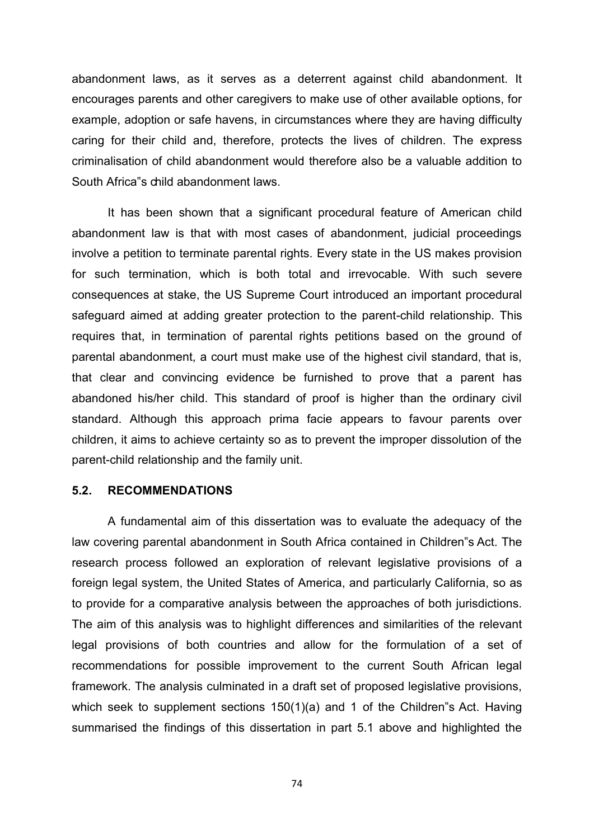abandonment laws, as it serves as a deterrent against child abandonment. It encourages parents and other caregivers to make use of other available options, for example, adoption or safe havens, in circumstances where they are having difficulty caring for their child and, therefore, protects the lives of children. The express criminalisation of child abandonment would therefore also be a valuable addition to South Africa"s child abandonment laws.

 It has been shown that a significant procedural feature of American child abandonment law is that with most cases of abandonment, judicial proceedings involve a petition to terminate parental rights. Every state in the US makes provision for such termination, which is both total and irrevocable. With such severe consequences at stake, the US Supreme Court introduced an important procedural safeguard aimed at adding greater protection to the parent-child relationship. This requires that, in termination of parental rights petitions based on the ground of parental abandonment, a court must make use of the highest civil standard, that is, that clear and convincing evidence be furnished to prove that a parent has abandoned his/her child. This standard of proof is higher than the ordinary civil standard. Although this approach prima facie appears to favour parents over children, it aims to achieve certainty so as to prevent the improper dissolution of the parent-child relationship and the family unit.

#### **5.2. RECOMMENDATIONS**

 A fundamental aim of this dissertation was to evaluate the adequacy of the law covering parental abandonment in South Africa contained in Children"s Act. The research process followed an exploration of relevant legislative provisions of a foreign legal system, the United States of America, and particularly California, so as to provide for a comparative analysis between the approaches of both jurisdictions. The aim of this analysis was to highlight differences and similarities of the relevant legal provisions of both countries and allow for the formulation of a set of recommendations for possible improvement to the current South African legal framework. The analysis culminated in a draft set of proposed legislative provisions, which seek to supplement sections 150(1)(a) and 1 of the Children 's Act. Having summarised the findings of this dissertation in part 5.1 above and highlighted the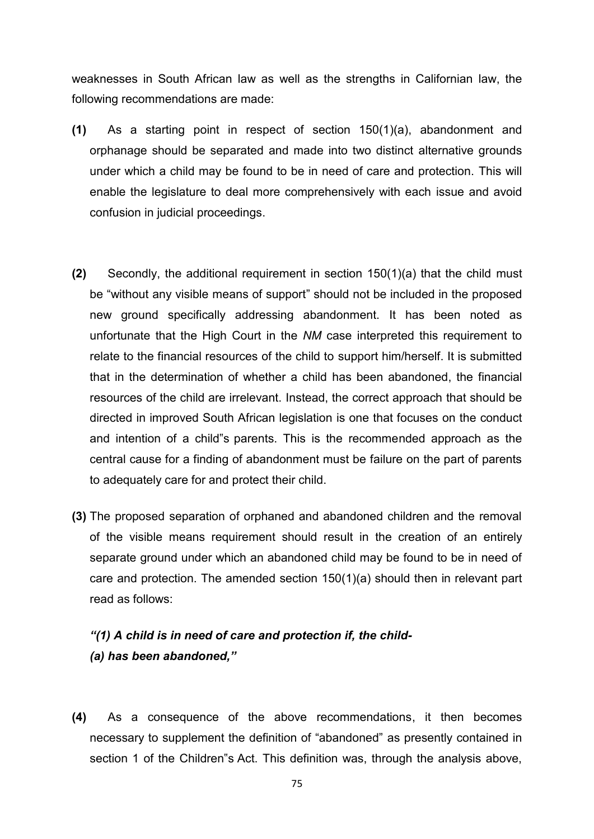weaknesses in South African law as well as the strengths in Californian law, the following recommendations are made:

- **(1)** As a starting point in respect of section 150(1)(a), abandonment and orphanage should be separated and made into two distinct alternative grounds under which a child may be found to be in need of care and protection. This will enable the legislature to deal more comprehensively with each issue and avoid confusion in judicial proceedings.
- **(2)** Secondly, the additional requirement in section 150(1)(a) that the child must be "without any visible means of support" should not be included in the proposed new ground specifically addressing abandonment. It has been noted as unfortunate that the High Court in the *NM* case interpreted this requirement to relate to the financial resources of the child to support him/herself. It is submitted that in the determination of whether a child has been abandoned, the financial resources of the child are irrelevant. Instead, the correct approach that should be directed in improved South African legislation is one that focuses on the conduct and intention of a child"s parents. This is the recommended approach as the central cause for a finding of abandonment must be failure on the part of parents to adequately care for and protect their child.
- **(3)** The proposed separation of orphaned and abandoned children and the removal of the visible means requirement should result in the creation of an entirely separate ground under which an abandoned child may be found to be in need of care and protection. The amended section 150(1)(a) should then in relevant part read as follows:

# *"(1) A child is in need of care and protection if, the child- (a) has been abandoned,"*

**(4)** As a consequence of the above recommendations, it then becomes necessary to supplement the definition of "abandoned" as presently contained in section 1 of the Children"s Act. This definition was, through the analysis above,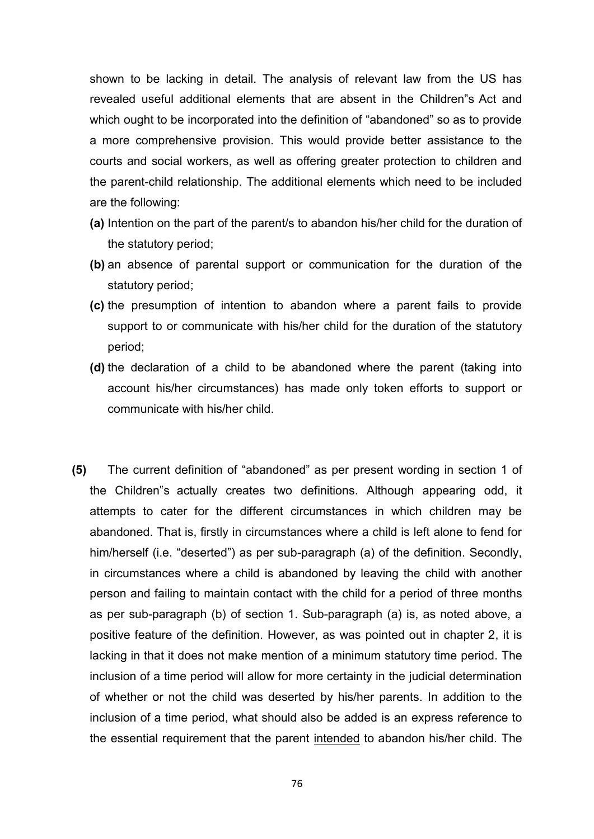shown to be lacking in detail. The analysis of relevant law from the US has revealed useful additional elements that are absent in the Children"s Act and which ought to be incorporated into the definition of "abandoned" so as to provide a more comprehensive provision. This would provide better assistance to the courts and social workers, as well as offering greater protection to children and the parent-child relationship. The additional elements which need to be included are the following:

- **(a)** Intention on the part of the parent/s to abandon his/her child for the duration of the statutory period;
- **(b)** an absence of parental support or communication for the duration of the statutory period;
- **(c)** the presumption of intention to abandon where a parent fails to provide support to or communicate with his/her child for the duration of the statutory period;
- **(d)** the declaration of a child to be abandoned where the parent (taking into account his/her circumstances) has made only token efforts to support or communicate with his/her child.
- **(5)** The current definition of "abandoned" as per present wording in section 1 of the Children"s actually creates two definitions. Although appearing odd, it attempts to cater for the different circumstances in which children may be abandoned. That is, firstly in circumstances where a child is left alone to fend for him/herself (i.e. "deserted") as per sub-paragraph (a) of the definition. Secondly, in circumstances where a child is abandoned by leaving the child with another person and failing to maintain contact with the child for a period of three months as per sub-paragraph (b) of section 1. Sub-paragraph (a) is, as noted above, a positive feature of the definition. However, as was pointed out in chapter 2, it is lacking in that it does not make mention of a minimum statutory time period. The inclusion of a time period will allow for more certainty in the judicial determination of whether or not the child was deserted by his/her parents. In addition to the inclusion of a time period, what should also be added is an express reference to the essential requirement that the parent intended to abandon his/her child. The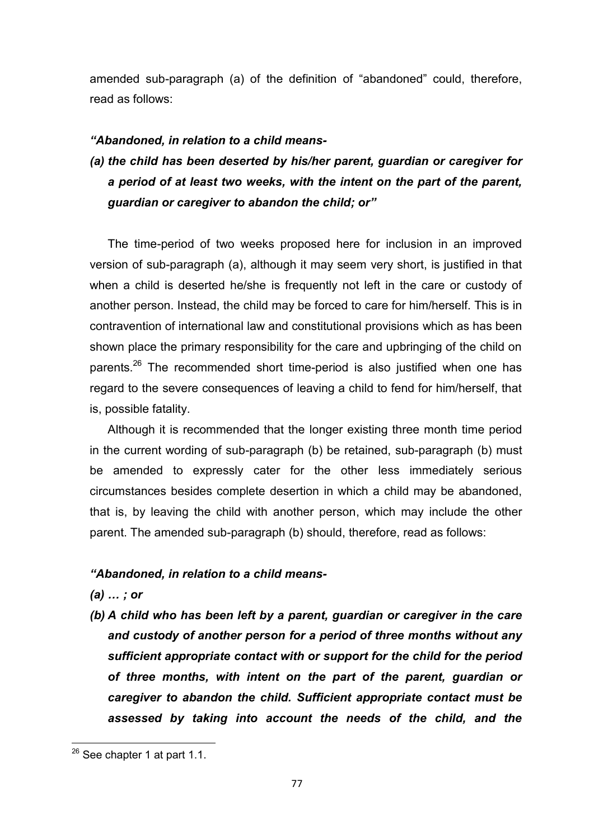amended sub-paragraph (a) of the definition of "abandoned" could, therefore, read as follows:

### *"Abandoned, in relation to a child means-*

*(a) the child has been deserted by his/her parent, guardian or caregiver for a period of at least two weeks, with the intent on the part of the parent, guardian or caregiver to abandon the child; or"* 

The time-period of two weeks proposed here for inclusion in an improved version of sub-paragraph (a), although it may seem very short, is justified in that when a child is deserted he/she is frequently not left in the care or custody of another person. Instead, the child may be forced to care for him/herself. This is in contravention of international law and constitutional provisions which as has been shown place the primary responsibility for the care and upbringing of the child on parents.<sup>26</sup> The recommended short time-period is also justified when one has regard to the severe consequences of leaving a child to fend for him/herself, that is, possible fatality.

Although it is recommended that the longer existing three month time period in the current wording of sub-paragraph (b) be retained, sub-paragraph (b) must be amended to expressly cater for the other less immediately serious circumstances besides complete desertion in which a child may be abandoned, that is, by leaving the child with another person, which may include the other parent. The amended sub-paragraph (b) should, therefore, read as follows:

## *"Abandoned, in relation to a child means-*

*(a) … ; or* 

*(b) A child who has been left by a parent, guardian or caregiver in the care and custody of another person for a period of three months without any sufficient appropriate contact with or support for the child for the period of three months, with intent on the part of the parent, guardian or caregiver to abandon the child. Sufficient appropriate contact must be assessed by taking into account the needs of the child, and the* 

**.** 

 $26$  See chapter 1 at part 1.1.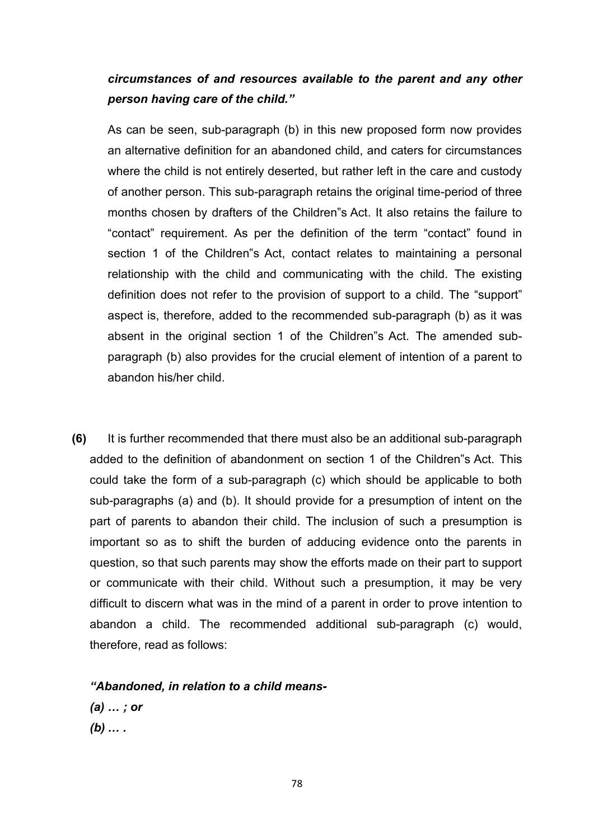# *circumstances of and resources available to the parent and any other person having care of the child."*

As can be seen, sub-paragraph (b) in this new proposed form now provides an alternative definition for an abandoned child, and caters for circumstances where the child is not entirely deserted, but rather left in the care and custody of another person. This sub-paragraph retains the original time-period of three months chosen by drafters of the Children"s Act. It also retains the failure to "contact" requirement. As per the definition of the term "contact" found in section 1 of the Children"s Act, contact relates to maintaining a personal relationship with the child and communicating with the child. The existing definition does not refer to the provision of support to a child. The "support" aspect is, therefore, added to the recommended sub-paragraph (b) as it was absent in the original section 1 of the Children"s Act. The amended subparagraph (b) also provides for the crucial element of intention of a parent to abandon his/her child.

**(6)** It is further recommended that there must also be an additional sub-paragraph added to the definition of abandonment on section 1 of the Children"s Act. This could take the form of a sub-paragraph (c) which should be applicable to both sub-paragraphs (a) and (b). It should provide for a presumption of intent on the part of parents to abandon their child. The inclusion of such a presumption is important so as to shift the burden of adducing evidence onto the parents in question, so that such parents may show the efforts made on their part to support or communicate with their child. Without such a presumption, it may be very difficult to discern what was in the mind of a parent in order to prove intention to abandon a child. The recommended additional sub-paragraph (c) would, therefore, read as follows:

*"Abandoned, in relation to a child means-* 

*(a) … ; or (b) … .*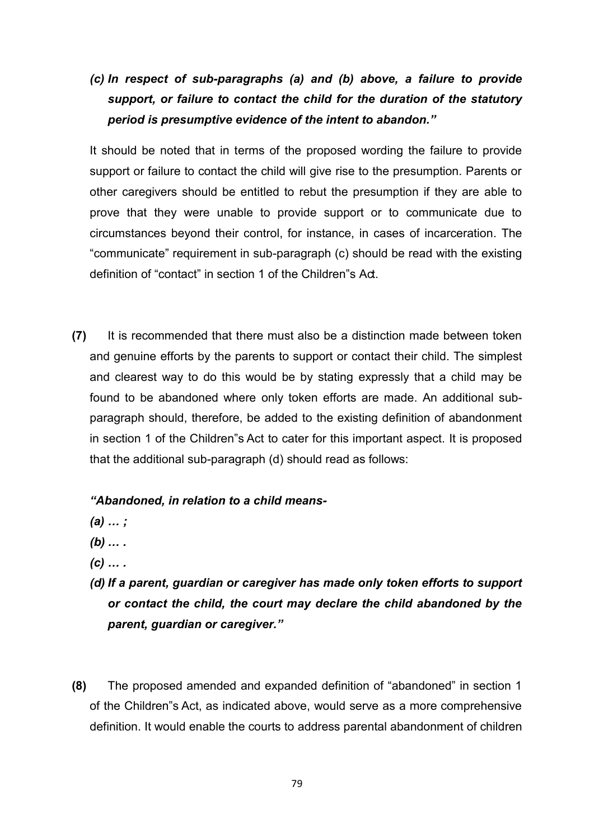# *(c) In respect of sub-paragraphs (a) and (b) above, a failure to provide support, or failure to contact the child for the duration of the statutory period is presumptive evidence of the intent to abandon."*

It should be noted that in terms of the proposed wording the failure to provide support or failure to contact the child will give rise to the presumption. Parents or other caregivers should be entitled to rebut the presumption if they are able to prove that they were unable to provide support or to communicate due to circumstances beyond their control, for instance, in cases of incarceration. The "communicate" requirement in sub-paragraph (c) should be read with the existing definition of "contact" in section 1 of the Children"s Act.

**(7)** It is recommended that there must also be a distinction made between token and genuine efforts by the parents to support or contact their child. The simplest and clearest way to do this would be by stating expressly that a child may be found to be abandoned where only token efforts are made. An additional subparagraph should, therefore, be added to the existing definition of abandonment in section 1 of the Children"s Act to cater for this important aspect. It is proposed that the additional sub-paragraph (d) should read as follows:

## *"Abandoned, in relation to a child means-*

- *(a) … ;*
- *(b) … .*
- *(c) … .*
- *(d) If a parent, guardian or caregiver has made only token efforts to support or contact the child, the court may declare the child abandoned by the parent, guardian or caregiver."*
- **(8)** The proposed amended and expanded definition of "abandoned" in section 1 of the Children"s Act, as indicated above, would serve as a more comprehensive definition. It would enable the courts to address parental abandonment of children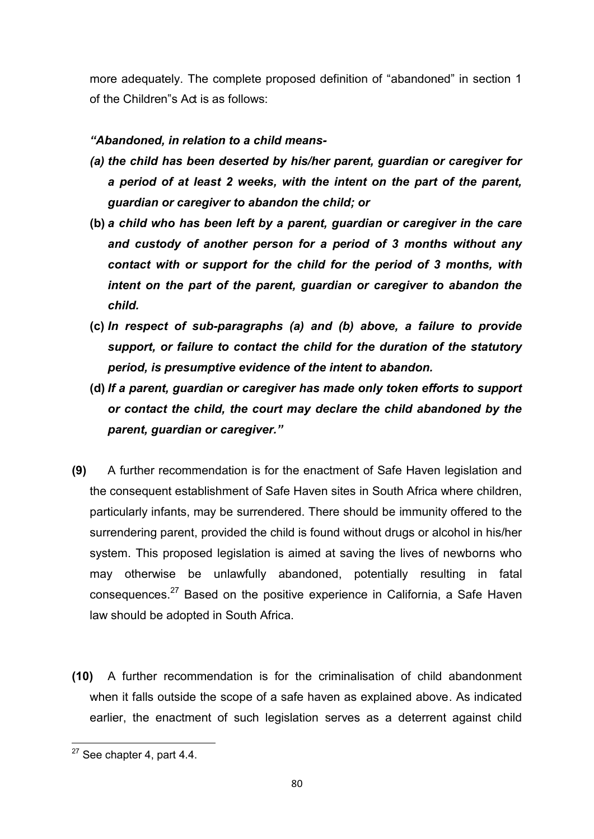more adequately. The complete proposed definition of "abandoned" in section 1 of the Children"s Act is as follows:

## *"Abandoned, in relation to a child means-*

- *(a) the child has been deserted by his/her parent, guardian or caregiver for a period of at least 2 weeks, with the intent on the part of the parent, guardian or caregiver to abandon the child; or*
- **(b)** *a child who has been left by a parent, guardian or caregiver in the care and custody of another person for a period of 3 months without any contact with or support for the child for the period of 3 months, with intent on the part of the parent, guardian or caregiver to abandon the child.*
- **(c)** *In respect of sub-paragraphs (a) and (b) above, a failure to provide support, or failure to contact the child for the duration of the statutory period, is presumptive evidence of the intent to abandon.*
- **(d)** *If a parent, guardian or caregiver has made only token efforts to support or contact the child, the court may declare the child abandoned by the parent, guardian or caregiver."*
- **(9)** A further recommendation is for the enactment of Safe Haven legislation and the consequent establishment of Safe Haven sites in South Africa where children, particularly infants, may be surrendered. There should be immunity offered to the surrendering parent, provided the child is found without drugs or alcohol in his/her system. This proposed legislation is aimed at saving the lives of newborns who may otherwise be unlawfully abandoned, potentially resulting in fatal consequences.<sup>27</sup> Based on the positive experience in California, a Safe Haven law should be adopted in South Africa.
- **(10)** A further recommendation is for the criminalisation of child abandonment when it falls outside the scope of a safe haven as explained above. As indicated earlier, the enactment of such legislation serves as a deterrent against child

**<sup>.</sup>**  $27$  See chapter 4, part 4.4.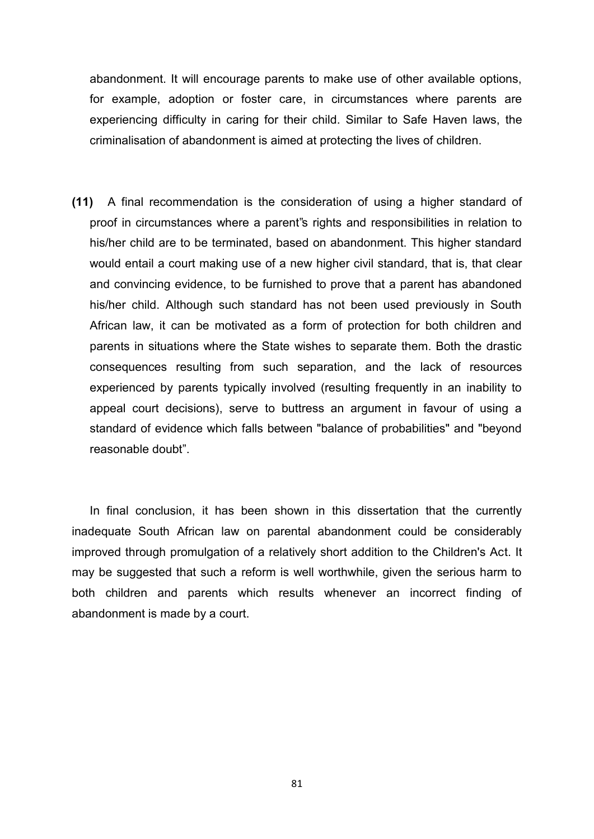abandonment. It will encourage parents to make use of other available options, for example, adoption or foster care, in circumstances where parents are experiencing difficulty in caring for their child. Similar to Safe Haven laws, the criminalisation of abandonment is aimed at protecting the lives of children.

**(11)** A final recommendation is the consideration of using a higher standard of proof in circumstances where a parent"s rights and responsibilities in relation to his/her child are to be terminated, based on abandonment. This higher standard would entail a court making use of a new higher civil standard, that is, that clear and convincing evidence, to be furnished to prove that a parent has abandoned his/her child. Although such standard has not been used previously in South African law, it can be motivated as a form of protection for both children and parents in situations where the State wishes to separate them. Both the drastic consequences resulting from such separation, and the lack of resources experienced by parents typically involved (resulting frequently in an inability to appeal court decisions), serve to buttress an argument in favour of using a standard of evidence which falls between "balance of probabilities" and "beyond reasonable doubt".

In final conclusion, it has been shown in this dissertation that the currently inadequate South African law on parental abandonment could be considerably improved through promulgation of a relatively short addition to the Children's Act. It may be suggested that such a reform is well worthwhile, given the serious harm to both children and parents which results whenever an incorrect finding of abandonment is made by a court.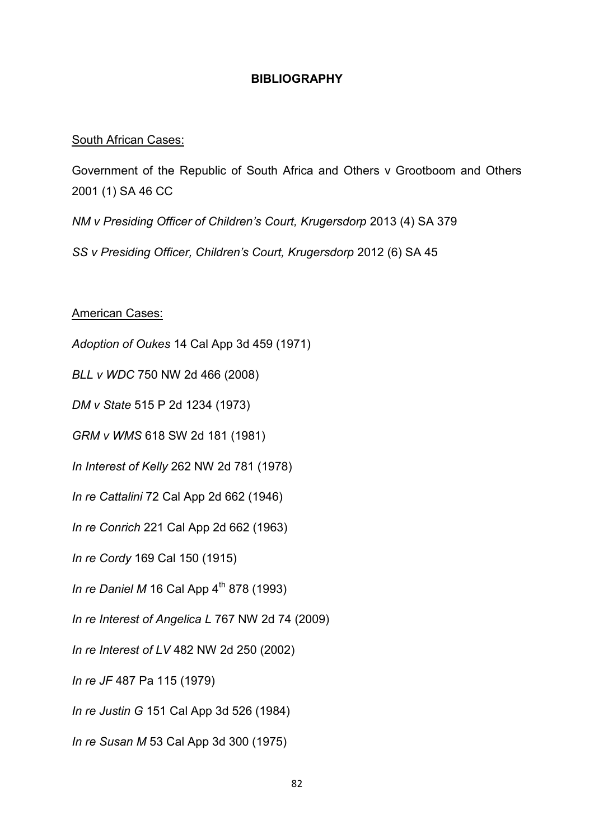## **BIBLIOGRAPHY**

#### South African Cases:

Government of the Republic of South Africa and Others v Grootboom and Others 2001 (1) SA 46 CC

*NM v Presiding Officer of Children's Court, Krugersdorp* 2013 (4) SA 379

*SS v Presiding Officer, Children's Court, Krugersdorp* 2012 (6) SA 45

American Cases:

*Adoption of Oukes* 14 Cal App 3d 459 (1971)

*BLL v WDC* 750 NW 2d 466 (2008)

*DM v State* 515 P 2d 1234 (1973)

*GRM v WMS* 618 SW 2d 181 (1981)

*In Interest of Kelly* 262 NW 2d 781 (1978)

*In re Cattalini* 72 Cal App 2d 662 (1946)

*In re Conrich* 221 Cal App 2d 662 (1963)

*In re Cordy* 169 Cal 150 (1915)

*In re Daniel M* 16 Cal App  $4^{th}$  878 (1993)

*In re Interest of Angelica L* 767 NW 2d 74 (2009)

*In re Interest of LV* 482 NW 2d 250 (2002)

*In re JF* 487 Pa 115 (1979)

*In re Justin G* 151 Cal App 3d 526 (1984)

*In re Susan M* 53 Cal App 3d 300 (1975)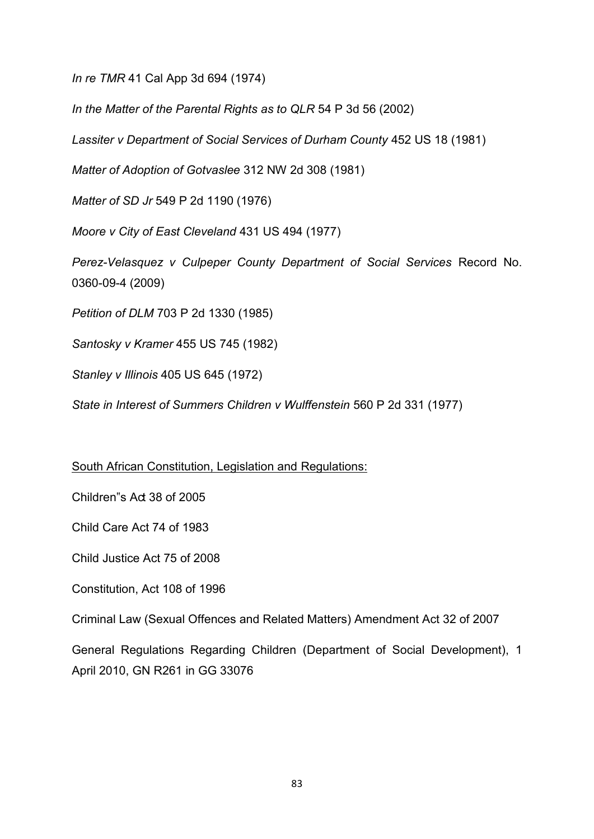*In re TMR* 41 Cal App 3d 694 (1974)

*In the Matter of the Parental Rights as to QLR* 54 P 3d 56 (2002)

*Lassiter v Department of Social Services of Durham County* 452 US 18 (1981)

*Matter of Adoption of Gotvaslee* 312 NW 2d 308 (1981)

*Matter of SD Jr* 549 P 2d 1190 (1976)

*Moore v City of East Cleveland* 431 US 494 (1977)

*Perez-Velasquez v Culpeper County Department of Social Services Record No.* 0360-09-4 (2009)

*Petition of DLM* 703 P 2d 1330 (1985)

*Santosky v Kramer* 455 US 745 (1982)

*Stanley v Illinois* 405 US 645 (1972)

*State in Interest of Summers Children v Wulffenstein* 560 P 2d 331 (1977)

# South African Constitution, Legislation and Regulations:

Children"s Act 38 of 2005

Child Care Act 74 of 1983

Child Justice Act 75 of 2008

Constitution, Act 108 of 1996

Criminal Law (Sexual Offences and Related Matters) Amendment Act 32 of 2007

General Regulations Regarding Children (Department of Social Development), 1 April 2010, GN R261 in GG 33076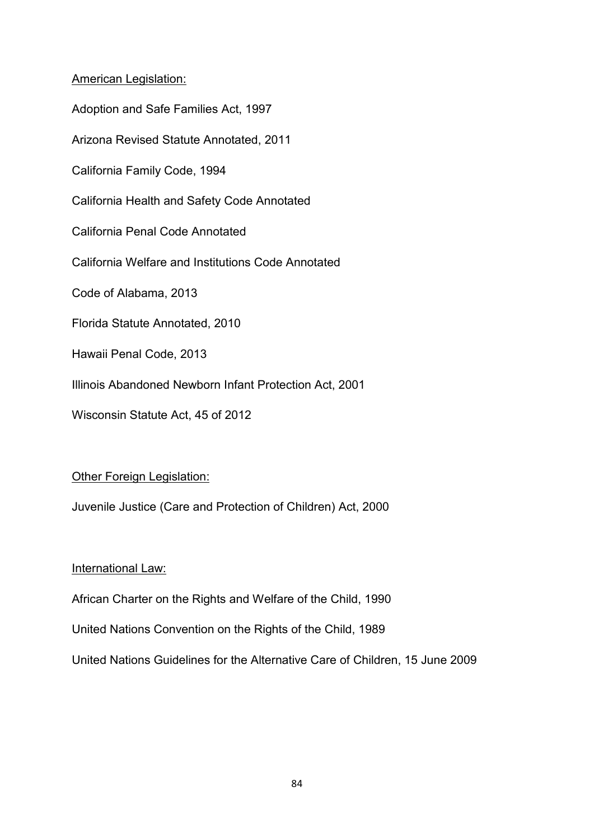## American Legislation:

Adoption and Safe Families Act, 1997 Arizona Revised Statute Annotated, 2011 California Family Code, 1994 California Health and Safety Code Annotated California Penal Code Annotated California Welfare and Institutions Code Annotated Code of Alabama, 2013 Florida Statute Annotated, 2010 Hawaii Penal Code, 2013 Illinois Abandoned Newborn Infant Protection Act, 2001 Wisconsin Statute Act, 45 of 2012

# Other Foreign Legislation:

Juvenile Justice (Care and Protection of Children) Act, 2000

# International Law:

African Charter on the Rights and Welfare of the Child, 1990

United Nations Convention on the Rights of the Child, 1989

United Nations Guidelines for the Alternative Care of Children, 15 June 2009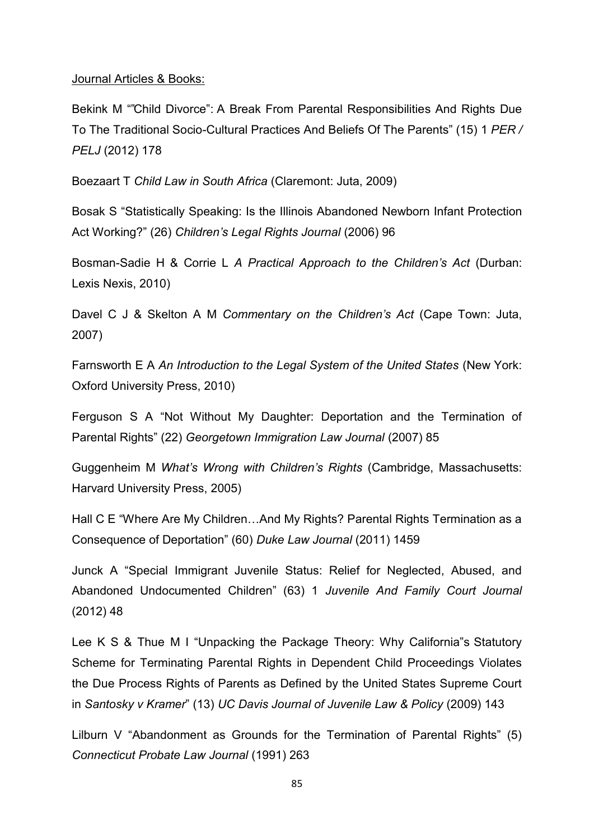#### Journal Articles & Books:

Bekink M ""Child Divorce": A Break From Parental Responsibilities And Rights Due To The Traditional Socio-Cultural Practices And Beliefs Of The Parents" (15) 1 *PER / PELJ* (2012) 178

Boezaart T *Child Law in South Africa* (Claremont: Juta, 2009)

Bosak S "Statistically Speaking: Is the Illinois Abandoned Newborn Infant Protection Act Working?" (26) *Children's Legal Rights Journal* (2006) 96

Bosman-Sadie H & Corrie L *A Practical Approach to the Children's Act* (Durban: Lexis Nexis, 2010)

Davel C J & Skelton A M *Commentary on the Children's Act* (Cape Town: Juta, 2007)

Farnsworth E A *An Introduction to the Legal System of the United States* (New York: Oxford University Press, 2010)

Ferguson S A "Not Without My Daughter: Deportation and the Termination of Parental Rights" (22) *Georgetown Immigration Law Journal* (2007) 85

Guggenheim M *What's Wrong with Children's Rights* (Cambridge, Massachusetts: Harvard University Press, 2005)

Hall C E "Where Are My Children…And My Rights? Parental Rights Termination as a Consequence of Deportation" (60) *Duke Law Journal* (2011) 1459

Junck A "Special Immigrant Juvenile Status: Relief for Neglected, Abused, and Abandoned Undocumented Children" (63) 1 *Juvenile And Family Court Journal*  (2012) 48

Lee K S & Thue M I "Unpacking the Package Theory: Why California"s Statutory Scheme for Terminating Parental Rights in Dependent Child Proceedings Violates the Due Process Rights of Parents as Defined by the United States Supreme Court in *Santosky v Kramer*" (13) *UC Davis Journal of Juvenile Law & Policy* (2009) 143

Lilburn V "Abandonment as Grounds for the Termination of Parental Rights" (5) *Connecticut Probate Law Journal* (1991) 263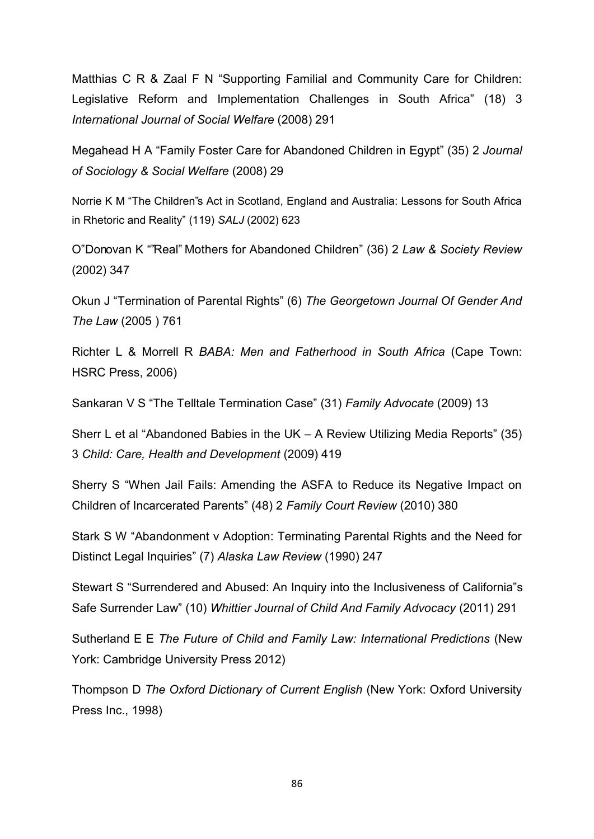Matthias C R & Zaal F N "Supporting Familial and Community Care for Children: Legislative Reform and Implementation Challenges in South Africa" (18) 3 *International Journal of Social Welfare* (2008) 291

Megahead H A "Family Foster Care for Abandoned Children in Egypt" (35) 2 *Journal of Sociology & Social Welfare* (2008) 29

Norrie K M "The Children"s Act in Scotland, England and Australia: Lessons for South Africa in Rhetoric and Reality" (119) *SALJ* (2002) 623

O"Donovan K ""Real" Mothers for Abandoned Children" (36) 2 *Law & Society Review* (2002) 347

Okun J "Termination of Parental Rights" (6) *The Georgetown Journal Of Gender And The Law* (2005 ) 761

Richter L & Morrell R *BABA: Men and Fatherhood in South Africa* (Cape Town: HSRC Press, 2006)

Sankaran V S "The Telltale Termination Case" (31) *Family Advocate* (2009) 13

Sherr L et al "Abandoned Babies in the UK – A Review Utilizing Media Reports" (35) 3 *Child: Care, Health and Development* (2009) 419

Sherry S "When Jail Fails: Amending the ASFA to Reduce its Negative Impact on Children of Incarcerated Parents" (48) 2 *Family Court Review* (2010) 380

Stark S W "Abandonment v Adoption: Terminating Parental Rights and the Need for Distinct Legal Inquiries" (7) *Alaska Law Review* (1990) 247

Stewart S "Surrendered and Abused: An Inquiry into the Inclusiveness of California"s Safe Surrender Law" (10) *Whittier Journal of Child And Family Advocacy* (2011) 291

Sutherland E E *The Future of Child and Family Law: International Predictions* (New York: Cambridge University Press 2012)

Thompson D *The Oxford Dictionary of Current English* (New York: Oxford University Press Inc., 1998)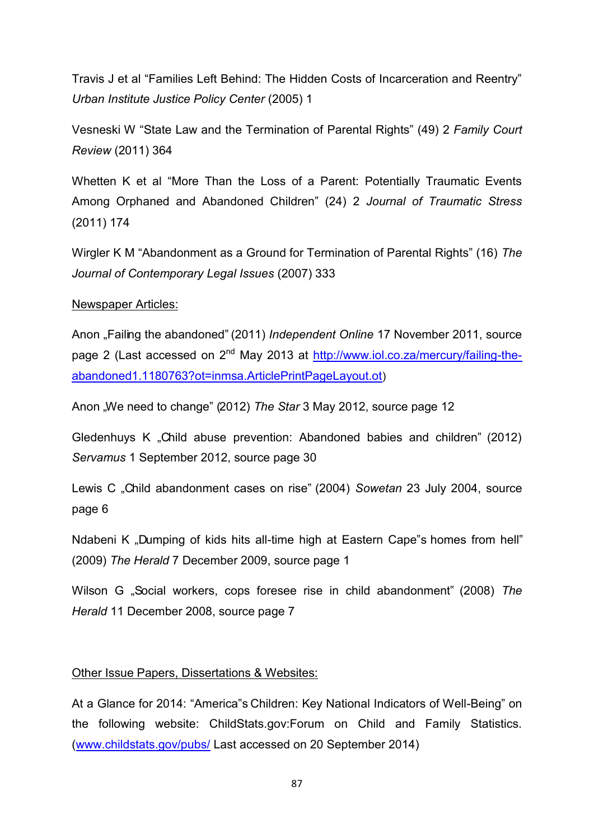Travis J et al "Families Left Behind: The Hidden Costs of Incarceration and Reentry" *Urban Institute Justice Policy Center* (2005) 1

Vesneski W "State Law and the Termination of Parental Rights" (49) 2 *Family Court Review* (2011) 364

Whetten K et al "More Than the Loss of a Parent: Potentially Traumatic Events Among Orphaned and Abandoned Children" (24) 2 *Journal of Traumatic Stress* (2011) 174

Wirgler K M "Abandonment as a Ground for Termination of Parental Rights" (16) *The Journal of Contemporary Legal Issues* (2007) 333

#### Newspaper Articles:

Anon "Failing the abandoned" (2011) *Independent Online* 17 November 2011, source page 2 (Last accessed on 2<sup>nd</sup> May 2013 at http://www.jol.co.za/mercury/failing-the[abandoned1.1180763?ot=inmsa.ArticlePrintPageLayout.ot](http://www.iol.co.za/mercury/failing-the-abandoned1.1180763?ot=inmsa.ArticlePrintPageLayout.ot))

Anon "We need to change" (2012) *The Star* 3 May 2012, source page 12

Gledenhuys K "Child abuse prevention: Abandoned babies and children" (2012) *Servamus* 1 September 2012, source page 30

Lewis C "Child abandonment cases on rise" (2004) *Sowetan* 23 July 2004, source page 6

Ndabeni K "Dumping of kids hits all-time high at Eastern Cape"s homes from hell (2009) *The Herald* 7 December 2009, source page 1

Wilson G "Social workers, cops foresee rise in child abandonment" (2008) *The Herald* 11 December 2008, source page 7

## Other Issue Papers, Dissertations & Websites:

At a Glance for 2014: "America"s Children: Key National Indicators of Well-Being" on the following website: ChildStats.gov:Forum on Child and Family Statistics. [\(www.childstats.gov/pubs/](http://www.childstats.gov/pubs/) Last accessed on 20 September 2014)